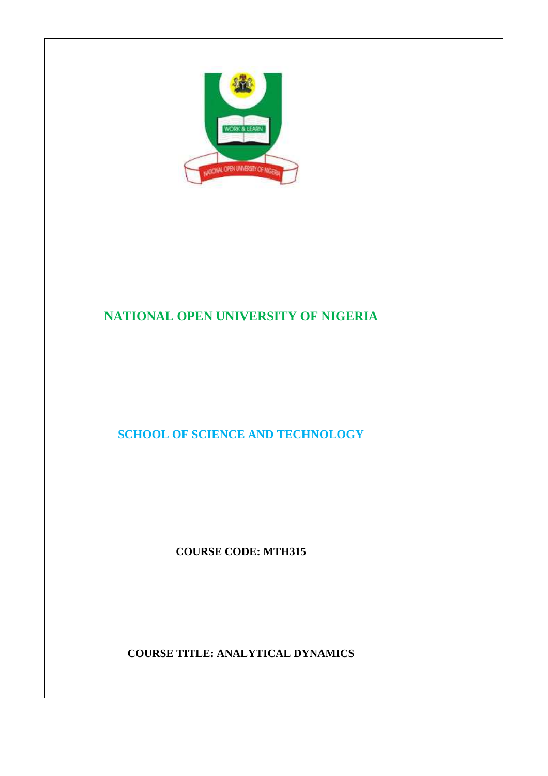

# **NATIONAL OPEN UNIVERSITY OF NIGERIA**

# **SCHOOL OF SCIENCE AND TECHNOLOGY**

**COURSE CODE: MTH315** 

**COURSE TITLE: ANALYTICAL DYNAMICS**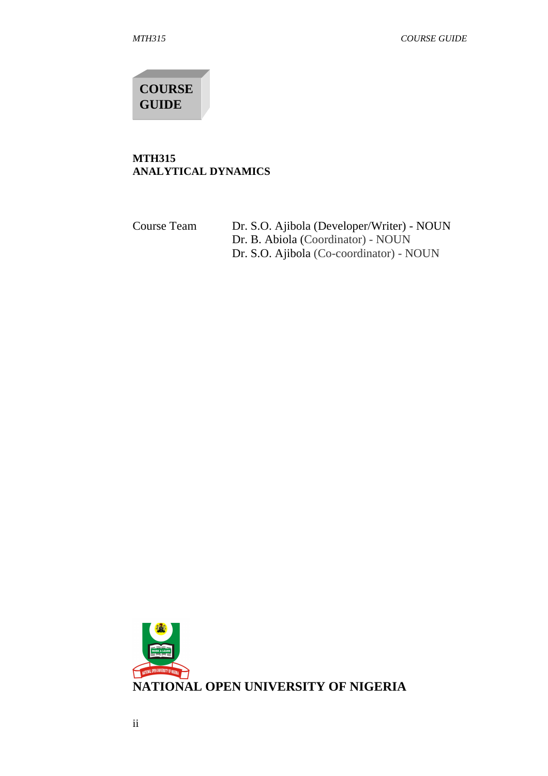**COURSE GUIDE** 

#### **MTH315 ANALYTICAL DYNAMICS**

Course Team Dr. S.O. Ajibola (Developer/Writer) - NOUN Dr. B. Abiola (Coordinator) - NOUN Dr. S.O. Ajibola (Co-coordinator) - NOUN

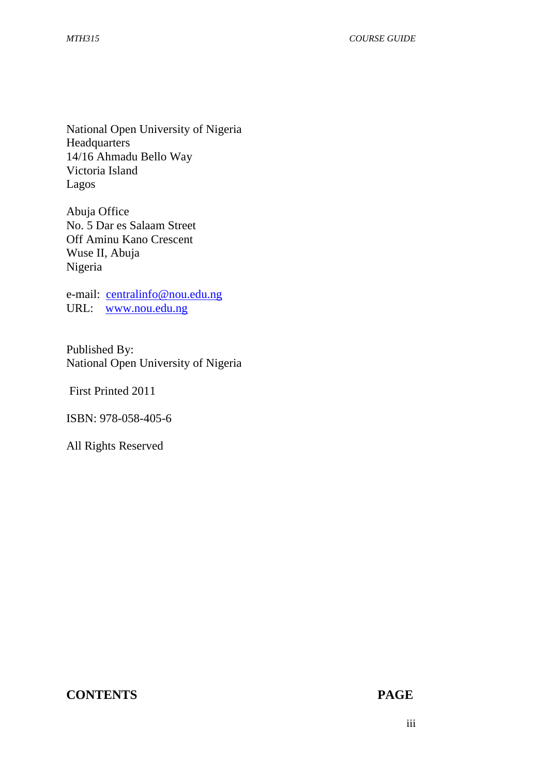National Open University of Nigeria Headquarters 14/16 Ahmadu Bello Way Victoria Island Lagos

Abuja Office No. 5 Dar es Salaam Street Off Aminu Kano Crescent Wuse II, Abuja Nigeria

e-mail: centralinfo@nou.edu.ng URL: www.nou.edu.ng

Published By: National Open University of Nigeria

First Printed 2011

ISBN: 978-058-405-6

All Rights Reserved

## **CONTENTS PAGE**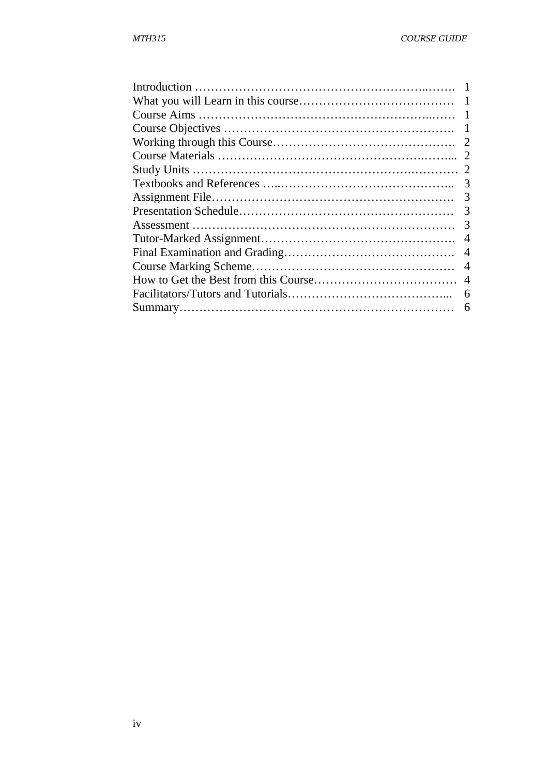| 2              |
|----------------|
| 2              |
|                |
| 3              |
| 3              |
| 3              |
| 3              |
| $\overline{4}$ |
| $\overline{4}$ |
| $\overline{4}$ |
| $\overline{4}$ |
| 6              |
| 6              |
|                |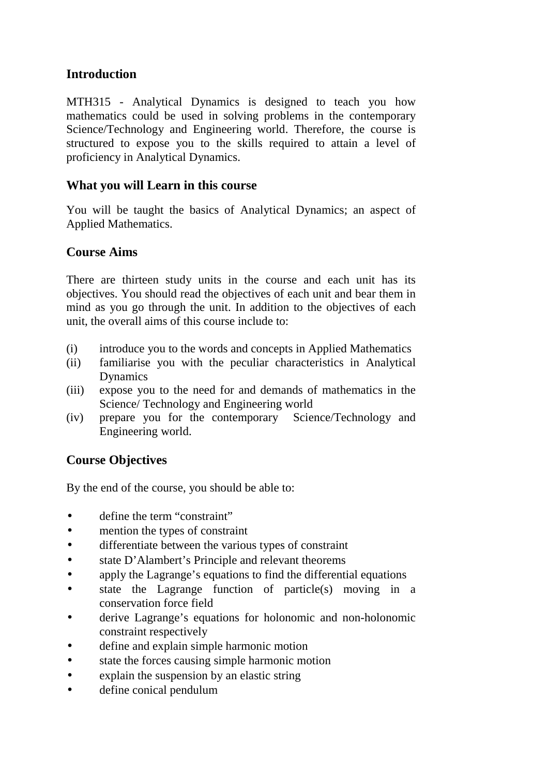# **Introduction**

MTH315 - Analytical Dynamics is designed to teach you how mathematics could be used in solving problems in the contemporary Science/Technology and Engineering world. Therefore, the course is structured to expose you to the skills required to attain a level of proficiency in Analytical Dynamics.

# **What you will Learn in this course**

You will be taught the basics of Analytical Dynamics; an aspect of Applied Mathematics.

# **Course Aims**

There are thirteen study units in the course and each unit has its objectives. You should read the objectives of each unit and bear them in mind as you go through the unit. In addition to the objectives of each unit, the overall aims of this course include to:

- (i) introduce you to the words and concepts in Applied Mathematics
- (ii) familiarise you with the peculiar characteristics in Analytical Dynamics
- (iii) expose you to the need for and demands of mathematics in the Science/ Technology and Engineering world
- (iv) prepare you for the contemporary Science/Technology and Engineering world.

# **Course Objectives**

By the end of the course, you should be able to:

- define the term "constraint"
- mention the types of constraint
- differentiate between the various types of constraint
- state D'Alambert's Principle and relevant theorems
- apply the Lagrange's equations to find the differential equations
- state the Lagrange function of particle $(s)$  moving in a conservation force field
- derive Lagrange's equations for holonomic and non-holonomic constraint respectively
- define and explain simple harmonic motion
- state the forces causing simple harmonic motion
- explain the suspension by an elastic string
- define conical pendulum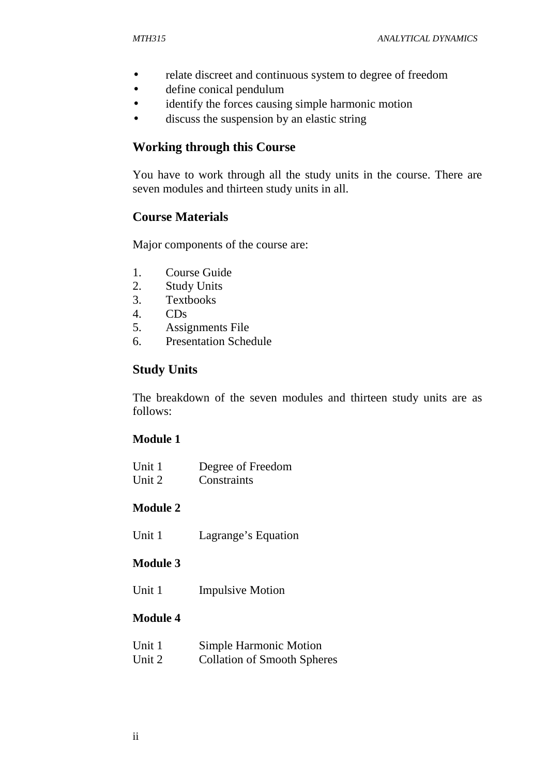- relate discreet and continuous system to degree of freedom
- define conical pendulum
- identify the forces causing simple harmonic motion
- discuss the suspension by an elastic string

## **Working through this Course**

You have to work through all the study units in the course. There are seven modules and thirteen study units in all.

## **Course Materials**

Major components of the course are:

- 1. Course Guide
- 2. Study Units
- 3. Textbooks
- 4. CDs
- 5. Assignments File
- 6. Presentation Schedule

# **Study Units**

The breakdown of the seven modules and thirteen study units are as follows:

## **Module 1**

| Unit 1 | Degree of Freedom |
|--------|-------------------|
| Unit 2 | Constraints       |

## **Module 2**

Unit 1 Lagrange's Equation

## **Module 3**

Unit 1 Impulsive Motion

## **Module 4**

| Unit 1 | <b>Simple Harmonic Motion</b>      |
|--------|------------------------------------|
| Unit 2 | <b>Collation of Smooth Spheres</b> |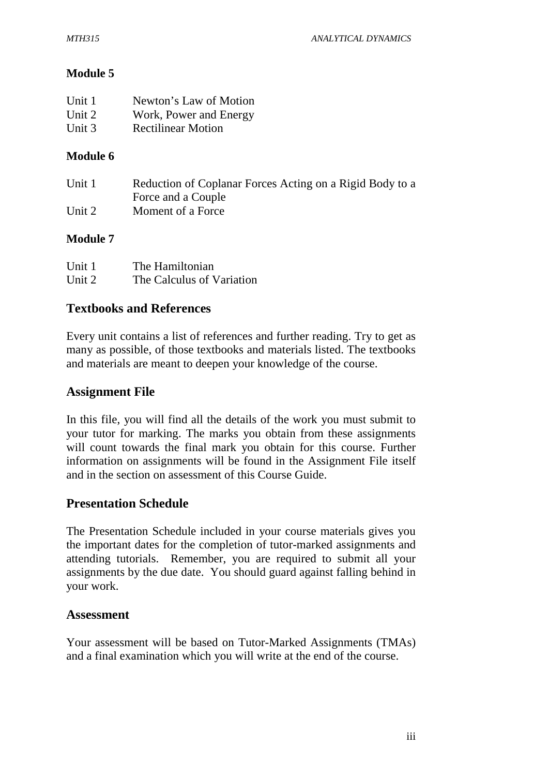## **Module 5**

| Unit 1 | Newton's Law of Motion    |
|--------|---------------------------|
| Unit 2 | Work, Power and Energy    |
| Unit 3 | <b>Rectilinear Motion</b> |

## **Module 6**

| Unit 1 | Reduction of Coplanar Forces Acting on a Rigid Body to a |
|--------|----------------------------------------------------------|
|        | Force and a Couple                                       |
| Unit 2 | Moment of a Force                                        |

## **Module 7**

| Unit 1 | The Hamiltonian           |
|--------|---------------------------|
| Unit 2 | The Calculus of Variation |

## **Textbooks and References**

Every unit contains a list of references and further reading. Try to get as many as possible, of those textbooks and materials listed. The textbooks and materials are meant to deepen your knowledge of the course.

## **Assignment File**

In this file, you will find all the details of the work you must submit to your tutor for marking. The marks you obtain from these assignments will count towards the final mark you obtain for this course. Further information on assignments will be found in the Assignment File itself and in the section on assessment of this Course Guide.

## **Presentation Schedule**

The Presentation Schedule included in your course materials gives you the important dates for the completion of tutor-marked assignments and attending tutorials. Remember, you are required to submit all your assignments by the due date. You should guard against falling behind in your work.

## **Assessment**

Your assessment will be based on Tutor-Marked Assignments (TMAs) and a final examination which you will write at the end of the course.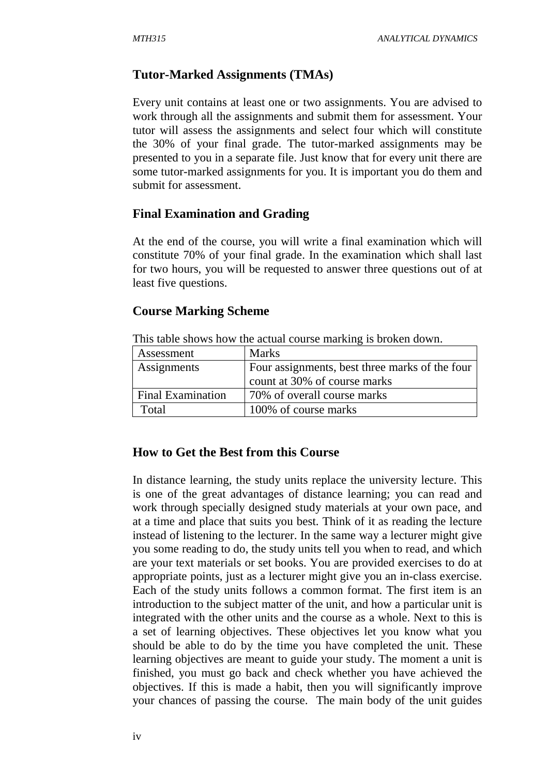## **Tutor-Marked Assignments (TMAs)**

Every unit contains at least one or two assignments. You are advised to work through all the assignments and submit them for assessment. Your tutor will assess the assignments and select four which will constitute the 30% of your final grade. The tutor-marked assignments may be presented to you in a separate file. Just know that for every unit there are some tutor-marked assignments for you. It is important you do them and submit for assessment.

## **Final Examination and Grading**

At the end of the course, you will write a final examination which will constitute 70% of your final grade. In the examination which shall last for two hours, you will be requested to answer three questions out of at least five questions.

#### **Course Marking Scheme**

| Assessment               | <b>Marks</b>                                   |
|--------------------------|------------------------------------------------|
| Assignments              | Four assignments, best three marks of the four |
|                          | count at 30% of course marks                   |
| <b>Final Examination</b> | 70% of overall course marks                    |
| Total                    | 100% of course marks                           |

This table shows how the actual course marking is broken down.

## **How to Get the Best from this Course**

In distance learning, the study units replace the university lecture. This is one of the great advantages of distance learning; you can read and work through specially designed study materials at your own pace, and at a time and place that suits you best. Think of it as reading the lecture instead of listening to the lecturer. In the same way a lecturer might give you some reading to do, the study units tell you when to read, and which are your text materials or set books. You are provided exercises to do at appropriate points, just as a lecturer might give you an in-class exercise. Each of the study units follows a common format. The first item is an introduction to the subject matter of the unit, and how a particular unit is integrated with the other units and the course as a whole. Next to this is a set of learning objectives. These objectives let you know what you should be able to do by the time you have completed the unit. These learning objectives are meant to guide your study. The moment a unit is finished, you must go back and check whether you have achieved the objectives. If this is made a habit, then you will significantly improve your chances of passing the course. The main body of the unit guides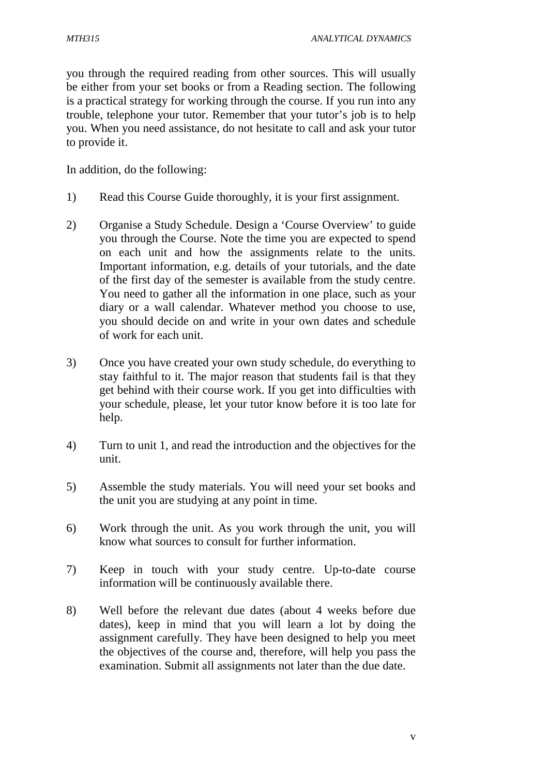you through the required reading from other sources. This will usually be either from your set books or from a Reading section. The following is a practical strategy for working through the course. If you run into any trouble, telephone your tutor. Remember that your tutor's job is to help you. When you need assistance, do not hesitate to call and ask your tutor to provide it.

In addition, do the following:

- 1) Read this Course Guide thoroughly, it is your first assignment.
- 2) Organise a Study Schedule. Design a 'Course Overview' to guide you through the Course. Note the time you are expected to spend on each unit and how the assignments relate to the units. Important information, e.g. details of your tutorials, and the date of the first day of the semester is available from the study centre. You need to gather all the information in one place, such as your diary or a wall calendar. Whatever method you choose to use, you should decide on and write in your own dates and schedule of work for each unit.
- 3) Once you have created your own study schedule, do everything to stay faithful to it. The major reason that students fail is that they get behind with their course work. If you get into difficulties with your schedule, please, let your tutor know before it is too late for help.
- 4) Turn to unit 1, and read the introduction and the objectives for the unit.
- 5) Assemble the study materials. You will need your set books and the unit you are studying at any point in time.
- 6) Work through the unit. As you work through the unit, you will know what sources to consult for further information.
- 7) Keep in touch with your study centre. Up-to-date course information will be continuously available there.
- 8) Well before the relevant due dates (about 4 weeks before due dates), keep in mind that you will learn a lot by doing the assignment carefully. They have been designed to help you meet the objectives of the course and, therefore, will help you pass the examination. Submit all assignments not later than the due date.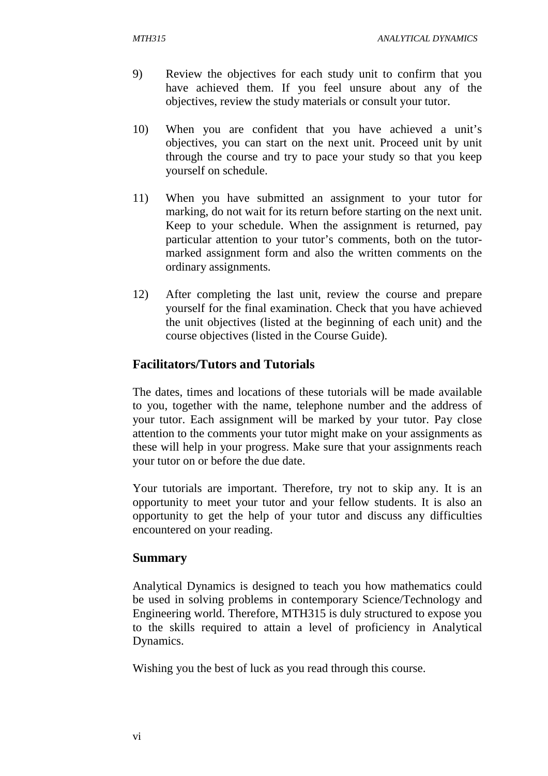- 9) Review the objectives for each study unit to confirm that you have achieved them. If you feel unsure about any of the objectives, review the study materials or consult your tutor.
- 10) When you are confident that you have achieved a unit's objectives, you can start on the next unit. Proceed unit by unit through the course and try to pace your study so that you keep yourself on schedule.
- 11) When you have submitted an assignment to your tutor for marking, do not wait for its return before starting on the next unit. Keep to your schedule. When the assignment is returned, pay particular attention to your tutor's comments, both on the tutormarked assignment form and also the written comments on the ordinary assignments.
- 12) After completing the last unit, review the course and prepare yourself for the final examination. Check that you have achieved the unit objectives (listed at the beginning of each unit) and the course objectives (listed in the Course Guide).

# **Facilitators/Tutors and Tutorials**

The dates, times and locations of these tutorials will be made available to you, together with the name, telephone number and the address of your tutor. Each assignment will be marked by your tutor. Pay close attention to the comments your tutor might make on your assignments as these will help in your progress. Make sure that your assignments reach your tutor on or before the due date.

Your tutorials are important. Therefore, try not to skip any. It is an opportunity to meet your tutor and your fellow students. It is also an opportunity to get the help of your tutor and discuss any difficulties encountered on your reading.

#### **Summary**

Analytical Dynamics is designed to teach you how mathematics could be used in solving problems in contemporary Science/Technology and Engineering world. Therefore, MTH315 is duly structured to expose you to the skills required to attain a level of proficiency in Analytical Dynamics.

Wishing you the best of luck as you read through this course.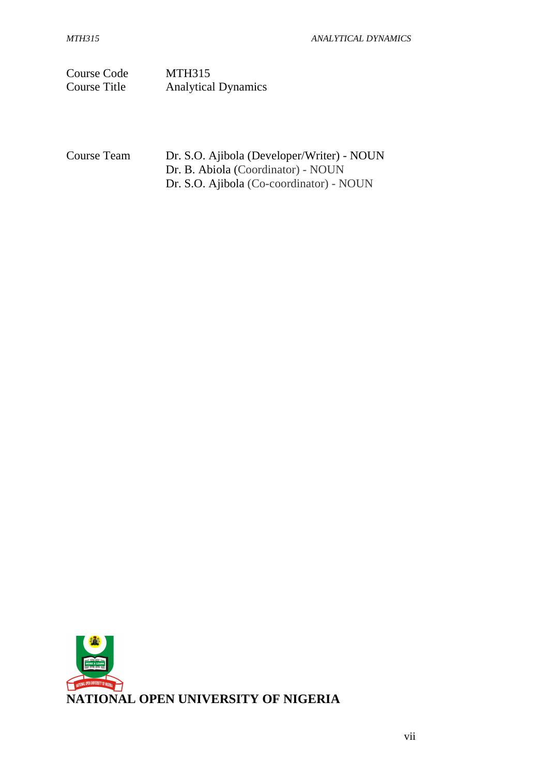Course Code MTH315 Course Title Analytical Dynamics

Course Team Dr. S.O. Ajibola (Developer/Writer) - NOUN Dr. B. Abiola (Coordinator) - NOUN Dr. S.O. Ajibola (Co-coordinator) - NOUN

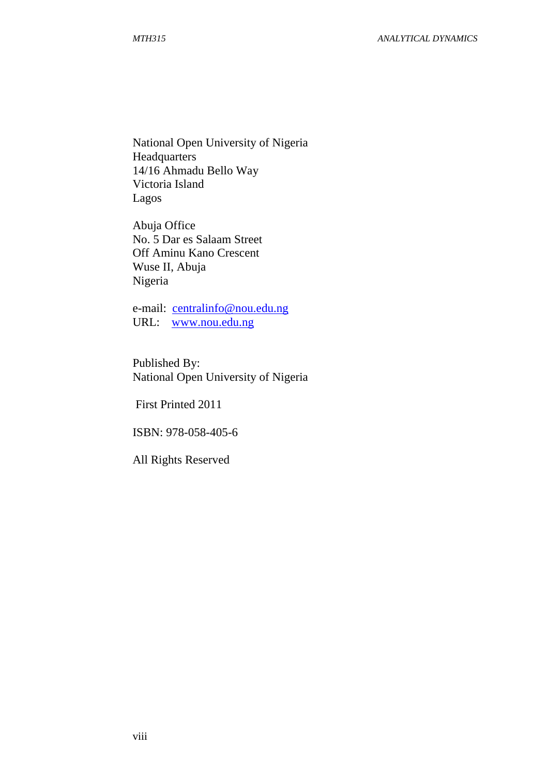National Open University of Nigeria Headquarters 14/16 Ahmadu Bello Way Victoria Island Lagos

Abuja Office No. 5 Dar es Salaam Street Off Aminu Kano Crescent Wuse II, Abuja Nigeria

e-mail: centralinfo@nou.edu.ng URL: www.nou.edu.ng

Published By: National Open University of Nigeria

First Printed 2011

ISBN: 978-058-405-6

All Rights Reserved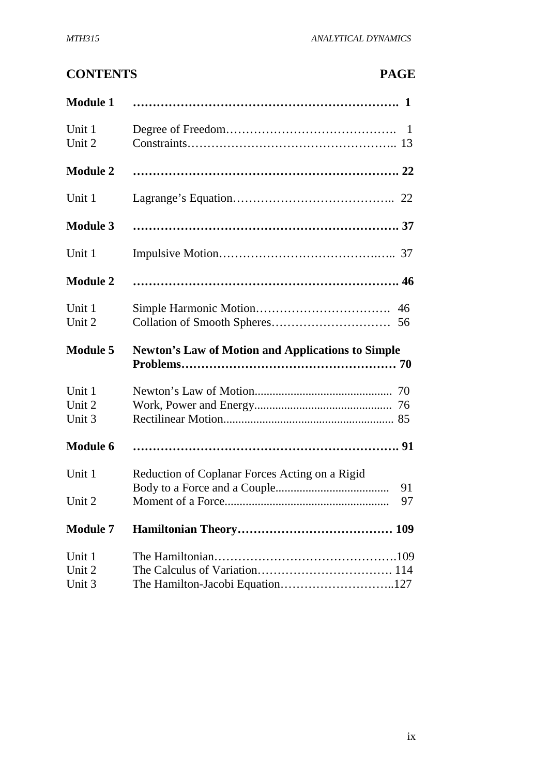# **CONTENTS PAGE**

| <b>Module 1</b>            |                                                          |
|----------------------------|----------------------------------------------------------|
| Unit 1<br>Unit 2           |                                                          |
| <b>Module 2</b>            |                                                          |
| Unit 1                     |                                                          |
| <b>Module 3</b>            |                                                          |
| Unit 1                     |                                                          |
| <b>Module 2</b>            |                                                          |
| Unit 1<br>Unit 2           | 56                                                       |
|                            |                                                          |
| <b>Module 5</b>            | <b>Newton's Law of Motion and Applications to Simple</b> |
| Unit 1<br>Unit 2<br>Unit 3 |                                                          |
| <b>Module 6</b>            |                                                          |
| Unit 1                     | Reduction of Coplanar Forces Acting on a Rigid<br>91     |
| Unit 2                     | 97                                                       |
| <b>Module 7</b>            |                                                          |
| Unit 1<br>Unit 2<br>Unit 3 | The Hamilton-Jacobi Equation127                          |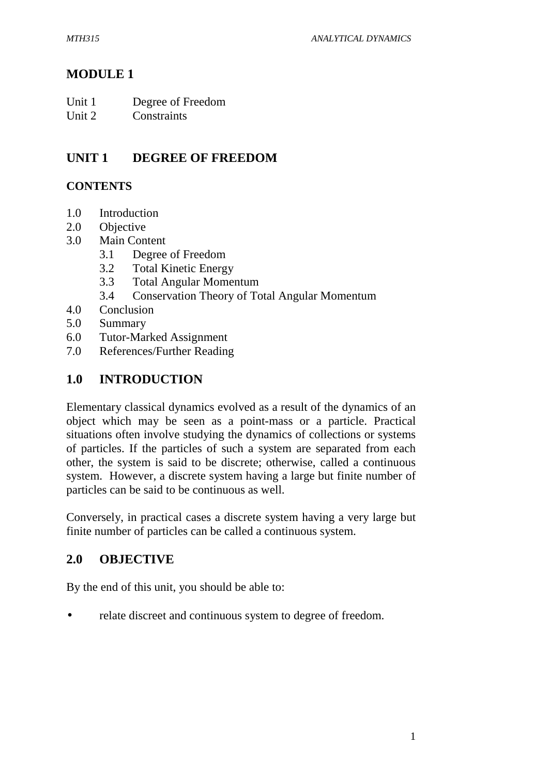# **MODULE 1**

Unit 2 Constraints

# **UNIT 1 DEGREE OF FREEDOM**

## **CONTENTS**

- 1.0 Introduction
- 2.0 Objective
- 3.0 Main Content
	- 3.1 Degree of Freedom
	- 3.2 Total Kinetic Energy
	- 3.3 Total Angular Momentum
	- 3.4 Conservation Theory of Total Angular Momentum
- 4.0 Conclusion
- 5.0 Summary
- 6.0 Tutor-Marked Assignment
- 7.0 References/Further Reading

# **1.0 INTRODUCTION**

Elementary classical dynamics evolved as a result of the dynamics of an object which may be seen as a point-mass or a particle. Practical situations often involve studying the dynamics of collections or systems of particles. If the particles of such a system are separated from each other, the system is said to be discrete; otherwise, called a continuous system. However, a discrete system having a large but finite number of particles can be said to be continuous as well.

Conversely, in practical cases a discrete system having a very large but finite number of particles can be called a continuous system.

# **2.0 OBJECTIVE**

By the end of this unit, you should be able to:

relate discreet and continuous system to degree of freedom.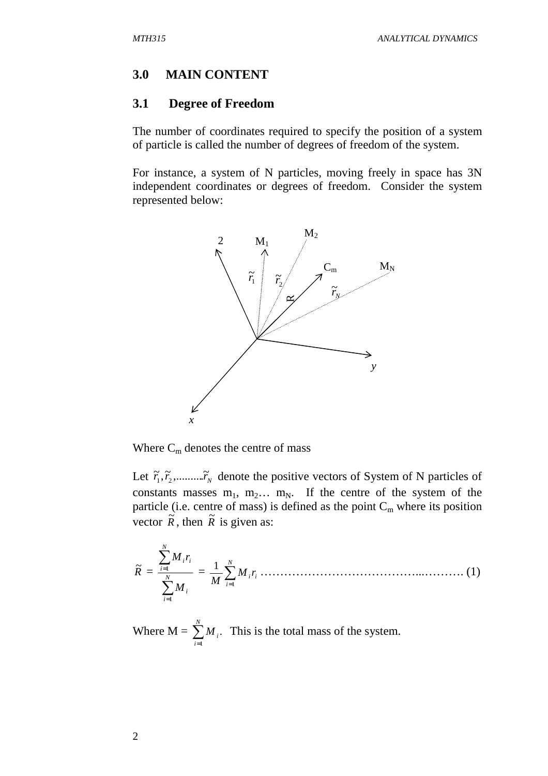#### **3.0 MAIN CONTENT**

#### **3.1 Degree of Freedom**

The number of coordinates required to specify the position of a system of particle is called the number of degrees of freedom of the system.

For instance, a system of N particles, moving freely in space has 3N independent coordinates or degrees of freedom. Consider the system represented below:



Where  $C_m$  denotes the centre of mass

Let  $\tilde{r}_1, \tilde{r}_2, \dots, \tilde{r}_N$  denote the positive vectors of System of N particles of constants masses  $m_1$ ,  $m_2$ ...  $m_N$ . If the centre of the system of the particle (i.e. centre of mass) is defined as the point  $C_m$  where its position vector  $\tilde{R}$ , then  $\tilde{R}$  is given as:

*R* ~ = ∑ ∑ = = *N i i N i ii M M r* 1 1 = ∑= *N i ii M r M* <sup>1</sup> <sup>1</sup> …………………………………...………. (1)

Where  $M = \sum_{ }^{\infty}$ = *N i*  $M_{\overline{i}}$ 1 . This is the total mass of the system.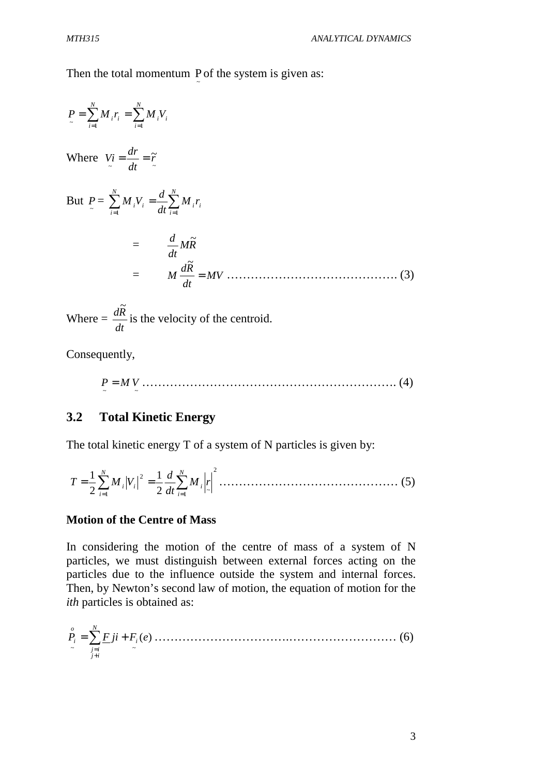Then the total momentum P of the system is given as: ~

$$
P = \sum_{i=1}^{N} M_i r_i = \sum_{i=1}^{N} M_i V_i
$$
  
Where  $Vi = \frac{dr}{dt} = \tilde{r}$   
But  $P = \sum_{i=1}^{N} M_i V_i = \frac{d}{dt} \sum_{i=1}^{N} M_i r_i$   

$$
= \frac{d}{dt} M \tilde{R}
$$
  

$$
= M \frac{d \tilde{R}}{dt} = MV
$$
 (3)

Where  $=$ *dt*  $d\tilde{R}$ is the velocity of the centroid.

Consequently,

~ ~ *P* = *M V* ………………………………………………………. (4)

## **3.2 Total Kinetic Energy**

The total kinetic energy T of a system of N particles is given by:

$$
T = \frac{1}{2} \sum_{i=1}^{N} M_i |V_i|^2 = \frac{1}{2} \frac{d}{dt} \sum_{i=1}^{N} M_i |r|^2 \dots \dots \dots \dots \dots \dots \dots \dots \dots \dots \dots \dots \tag{5}
$$

#### **Motion of the Centre of Mass**

In considering the motion of the centre of mass of a system of N particles, we must distinguish between external forces acting on the particles due to the influence outside the system and internal forces. Then, by Newton's second law of motion, the equation of motion for the *ith* particles is obtained as:

)( ~ ~ *P jiF F e <sup>i</sup> N ij ij o <sup>i</sup>* <sup>=</sup> ∑ <sup>+</sup> + = …………………………….……………………… (6)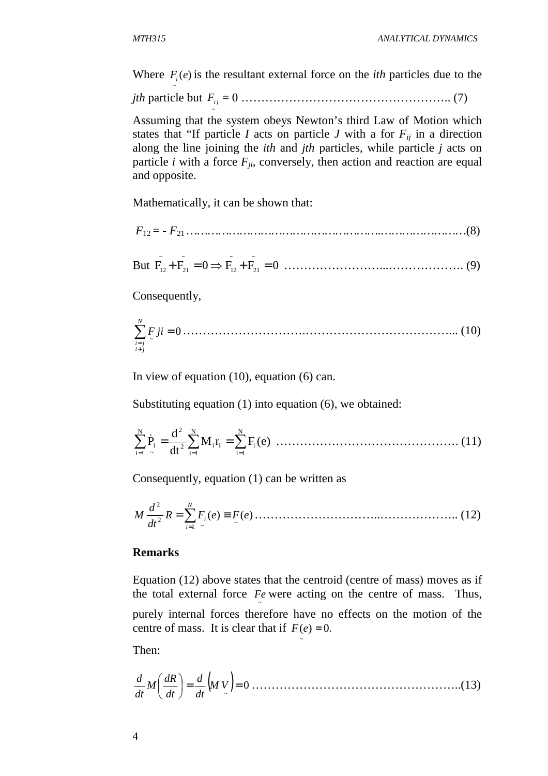~

Where  $F_i(e)$  is the resultant external force on the *ith* particles due to the

*jth* particle but ~ *i i F* = 0 …………………………………………….. (7)

Assuming that the system obeys Newton's third Law of Motion which states that "If particle *I* acts on particle *J* with a for  $F_{ii}$  in a direction along the line joining the *ith* and *jth* particles, while particle *j* acts on particle *i* with a force  $F_{ji}$ , conversely, then action and reaction are equal and opposite.

Mathematically, it can be shown that:

 *F*12 = - *F*<sup>21</sup> *……………………………………………….……………………*(8)

But 
$$
\tilde{F}_{12} + \tilde{F}_{21} = 0 \implies \tilde{F}_{12} + \tilde{F}_{21} = 0
$$
 ....... (9)

Consequently,

0 <sup>~</sup> ∑ <sup>=</sup> + = *jiF N ji ji* ………………………….………………………………... (10)

In view of equation (10), equation (6) can.

Substituting equation (1) into equation (6), we obtained:

M r )e(F dt d P N 1i i i N 1i 2 i N 2 1i ~ ∑ <sup>i</sup> ∑ ∑ = = = & <sup>=</sup> <sup>=</sup> ………………………………………. (11)

Consequently, equation (1) can be written as

)( )( ~ 1 ~ 2 2 *R F e F e dt d M N i* <sup>=</sup> ∑ *<sup>i</sup>* <sup>≡</sup> = …………………………..……………….. (12)

#### **Remarks**

Equation (12) above states that the centroid (centre of mass) moves as if the total external force  $Fe$  were acting on the centre of mass. Thus, purely internal forces therefore have no effects on the motion of the centre of mass. It is clear that if  $F(e) = 0$ .

~

Then:

( ) 0 ~ = = *<sup>M</sup> <sup>V</sup> dt d dt dR <sup>M</sup> dt <sup>d</sup>* ……………………………………………..(13)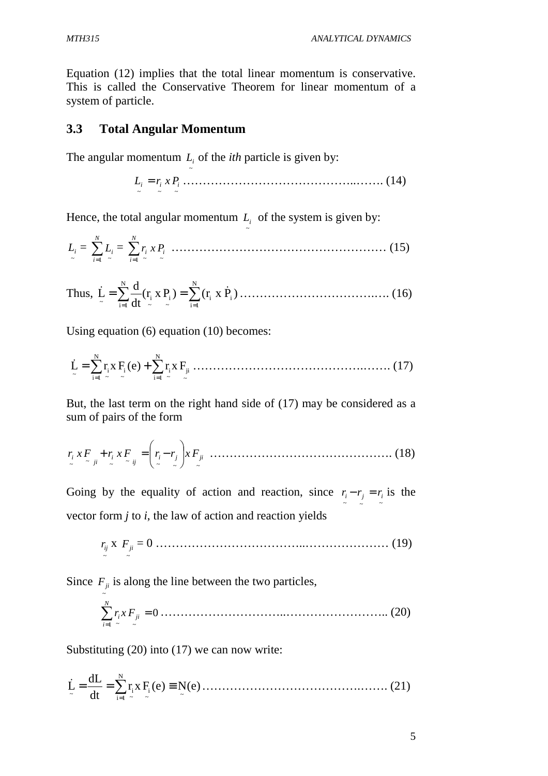*MTH315 ANALYTICAL DYNAMICS*

Equation (12) implies that the total linear momentum is conservative. This is called the Conservative Theorem for linear momentum of a system of particle.

#### **3.3 Total Angular Momentum**

The angular momentum  $L_i$  of the *ith* particle is given by:

~

~ ~ ~ *L<sup>i</sup>* = *<sup>i</sup> Pxr <sup>i</sup>* ……………………………………..……. (14)

Hence, the total angular momentum  $L_i$  of the system is given by:

~ *<sup>L</sup><sup>i</sup>* = ∑= *N i Li* 1 ~ = ∑= *N i <sup>i</sup> Pxr <sup>i</sup>* 1 ~ ~ ……………………………………………… (15)

~

Thus, )Pxr( r( x )P dt d L <sup>i</sup> N 1i i ~ i ~ i N 1i ~ & & ∑ ∑ = = = = …………………………….…. (16)

Using equation (6) equation (10) becomes:

~ ji N 1i ~ i ~ i N 1i ~ i ~ L ∑ )e(Fxr ∑ Fxr = = & <sup>=</sup> <sup>+</sup> …………………………………….……. (17)

But, the last term on the right hand side of (17) may be considered as a sum of pairs of the form

~ ~ ~ ~ ~ ~ ~ *<sup>i</sup> <sup>j</sup> ji ij <sup>i</sup> ji <sup>i</sup> Fxr Fxr <sup>r</sup> <sup>r</sup> Fx* + = − ………………………………………. (18)

Going by the equality of action and reaction, since  $r_i - r_j = r_i$  is the vector form *j* to *i*, the law of action and reaction yields

~ *ij r* x ~ *Fji* = 0 ………………………………..………………… (19)

Since  $F_{ji}$  is along the line between the two particles,

~ 0 1 ~ ~ ∑ <sup>=</sup> = *ji N i <sup>i</sup> Fxr* …………………………..…………………….. (20)

Substituting (20) into (17) we can now write:

)e(Fxr )e(N dt dL <sup>L</sup> ~ ~ i N 1i ~ i ~ = = ∑ ≡ = & ………………………………….……. (21)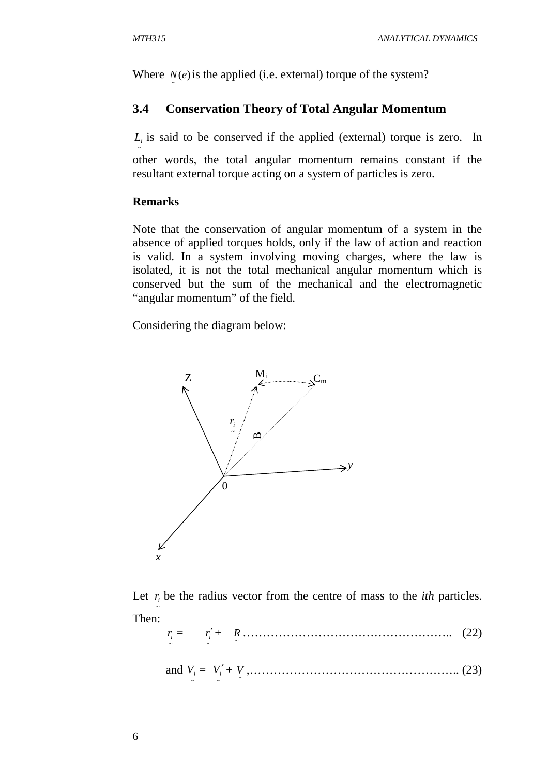Where  $N(e)$  is the applied (i.e. external) torque of the system? ~

#### **3.4 Conservation Theory of Total Angular Momentum**

 $L_i$  is said to be conserved if the applied (external) torque is zero. In

other words, the total angular momentum remains constant if the resultant external torque acting on a system of particles is zero.

#### **Remarks**

~

Note that the conservation of angular momentum of a system in the absence of applied torques holds, only if the law of action and reaction is valid. In a system involving moving charges, where the law is isolated, it is not the total mechanical angular momentum which is conserved but the sum of the mechanical and the electromagnetic "angular momentum" of the field.

Considering the diagram below:



Let  $r_i$  be the radius vector from the centre of mass to the *ith* particles. ~ Then:

~ *i r* = ~ *i r*′+ ~ *R* …………………………………………….. (22)

and ~ *V<sup>i</sup>* = ~ *Vi* ′ + ~ *V* ,…………………………………………….. (23)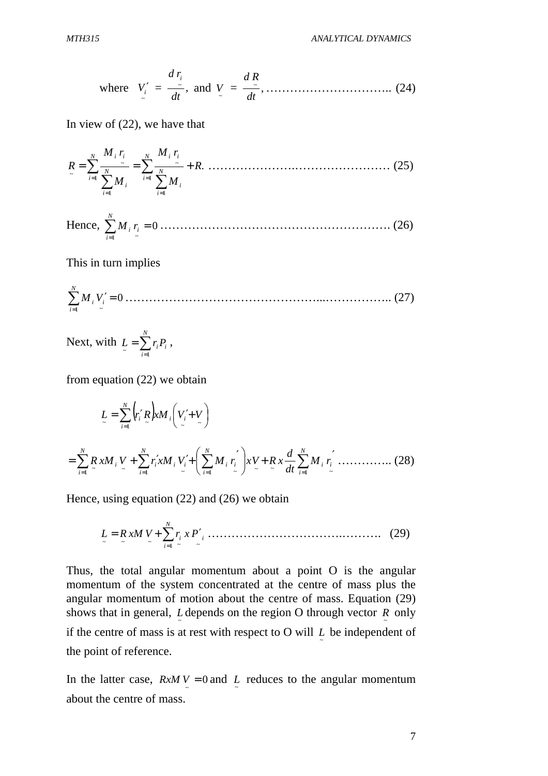where 
$$
V'_i = \frac{d\,r_i}{dt}
$$
, and  $V = \frac{d\,R}{dt}$ , ... (24)

In view of (22), we have that

. 1 1 ~ 1 1 ~ ~ *R M M r M M r R N i N i i N ii i N i i ii* <sup>=</sup> <sup>=</sup> ∑ <sup>+</sup> ∑ ∑ ∑ = = = = ………………….…………………… (25)

Hence, 
$$
\sum_{i=1}^{N} M_i r_i = 0
$$
 ....... (26)

This in turn implies

0 1 ~ ∑ ′ <sup>=</sup> = *i N i M <sup>i</sup> V* …………………………………………...…………….. (27)

Next, with  $L = \sum_{i=1}^{N}$ = = *N i*  $L = \sum r_i P_i$  $L = \sum_{i=1}^r r_i P_i$ ,

from equation (22) we obtain

$$
L = \sum_{i=1}^{N} (r'_i R) x M_i \left( V'_i + V \right)
$$
  
= 
$$
\sum_{i=1}^{N} R x M_i V_i + \sum_{i=1}^{N} r'_i x M_i V'_i + \left( \sum_{i=1}^{N} M_i r'_i \right) x V_i + R x \frac{d}{dt} \sum_{i=1}^{N} M_i r'_i \dots \dots \dots \dots \tag{28}
$$

Hence, using equation (22) and (26) we obtain

$$
L = R x M V + \sum_{i=1}^{N} r_i x P'_i \dots (29)
$$

Thus, the total angular momentum about a point O is the angular momentum of the system concentrated at the centre of mass plus the angular momentum of motion about the centre of mass. Equation (29) shows that in general, *L* depends on the region O through vector *R* only ~ ~ if the centre of mass is at rest with respect to O will  $\sum_{n=1}^{\infty}$  be independent of the point of reference.

In the latter case,  $RxMV = 0$  and L reduces to the angular momentum ~ ~ about the centre of mass.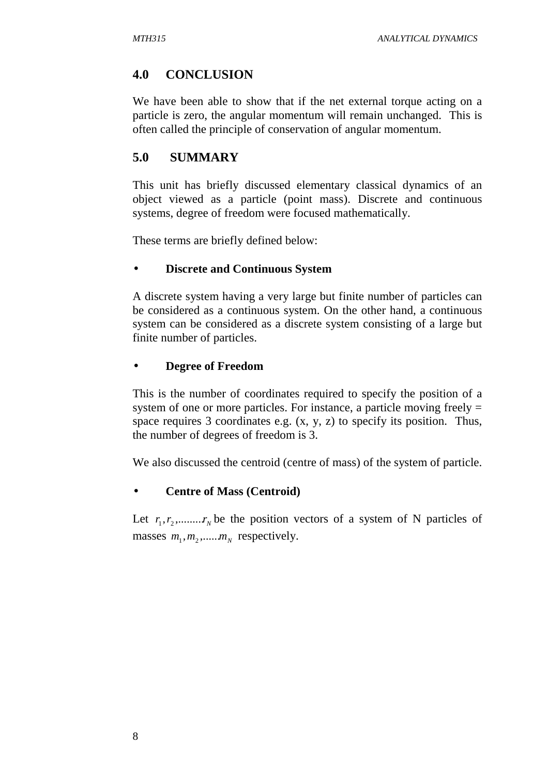# **4.0 CONCLUSION**

We have been able to show that if the net external torque acting on a particle is zero, the angular momentum will remain unchanged. This is often called the principle of conservation of angular momentum.

# **5.0 SUMMARY**

This unit has briefly discussed elementary classical dynamics of an object viewed as a particle (point mass). Discrete and continuous systems, degree of freedom were focused mathematically.

These terms are briefly defined below:

## • **Discrete and Continuous System**

A discrete system having a very large but finite number of particles can be considered as a continuous system. On the other hand, a continuous system can be considered as a discrete system consisting of a large but finite number of particles.

## • **Degree of Freedom**

This is the number of coordinates required to specify the position of a system of one or more particles. For instance, a particle moving freely = space requires 3 coordinates e.g. (x, y, z) to specify its position. Thus, the number of degrees of freedom is 3.

We also discussed the centroid (centre of mass) of the system of particle.

## • **Centre of Mass (Centroid)**

Let  $r_1, r_2, \ldots, r_N$  be the position vectors of a system of N particles of masses  $m_1, m_2, \dots, m_N$  respectively.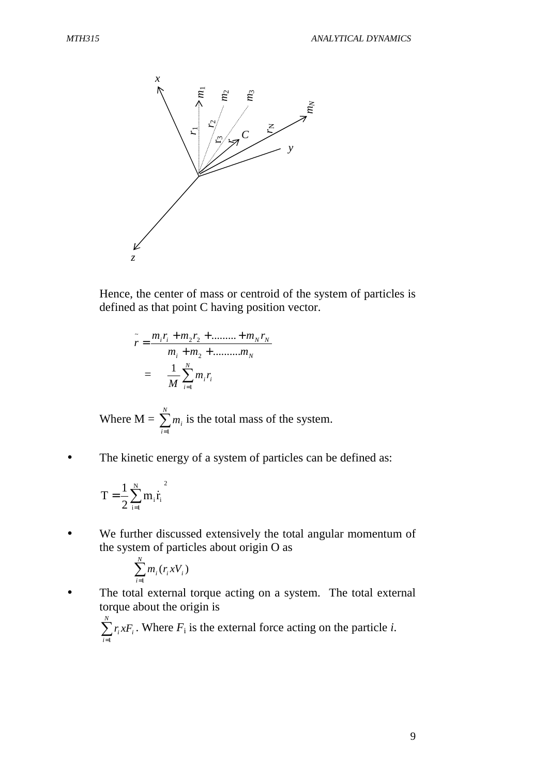

Hence, the center of mass or centroid of the system of particles is defined as that point C having position vector.

$$
\tilde{r} = \frac{m_i r_i + m_2 r_2 + \dots + m_N r_N}{m_i + m_2 + \dots + m_N}
$$

$$
= \frac{1}{M} \sum_{i=1}^{N} m_i r_i
$$

Where  $M = \sum_{ }^{n}$ = *N i mi* 1 is the total mass of the system.

The kinetic energy of a system of particles can be defined as:

$$
T=\frac{1}{2}\sum_{i=1}^Nm_i\dot{r}_i^2
$$

• We further discussed extensively the total angular momentum of the system of particles about origin O as

$$
\sum_{i=1}^N m_i(r_i x V_i)
$$

• The total external torque acting on a system. The total external torque about the origin is

$$
\sum_{i=1}^{N} r_i x F_i
$$
. Where  $F_i$  is the external force acting on the particle *i*.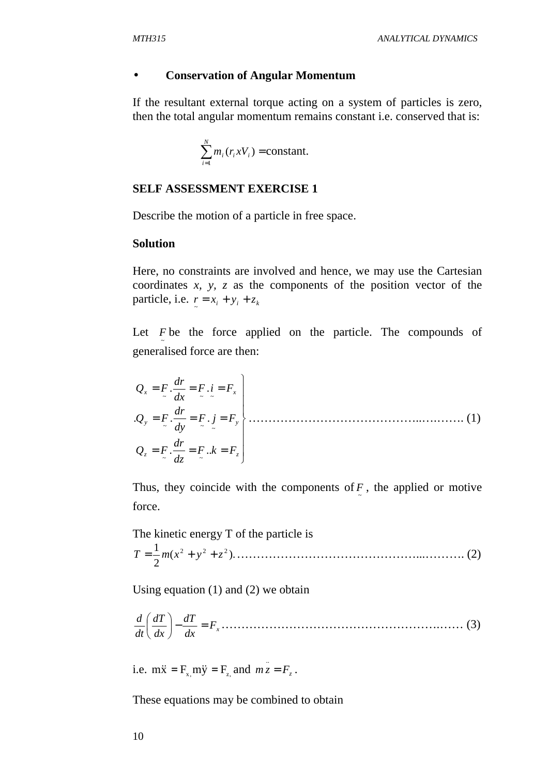#### • **Conservation of Angular Momentum**

If the resultant external torque acting on a system of particles is zero, then the total angular momentum remains constant i.e. conserved that is:

$$
\sum_{i=1}^N m_i(r_i x V_i) = \text{constant}.
$$

#### **SELF ASSESSMENT EXERCISE 1**

Describe the motion of a particle in free space.

#### **Solution**

Here, no constraints are involved and hence, we may use the Cartesian coordinates *x, y, z* as the components of the position vector of the particle, i.e.  $r = x_i + y_i + z_k$ 

Let *F* be the force applied on the particle. The compounds of ~ generalised force are then:

$$
Q_x = F \cdot \frac{dr}{dx} = F \cdot i = F_x
$$
  
\n
$$
Q_y = F \cdot \frac{dr}{dy} = F \cdot j = F_y
$$
  
\n
$$
Q_z = F \cdot \frac{dr}{dz} = F \cdot k = F_z
$$
  
\n(1)

Thus, they coincide with the components of  $\frac{F}{r}$ , the applied or motive force.

The kinetic energy T of the particle is  $(x^2 + y^2 + z^2)$ . 2 1 <sup>2</sup> <sup>2</sup> <sup>2</sup> *T* = *m x* + *y* + *z* ………………………………………...………. (2)

Using equation (1) and (2) we obtain

$$
\frac{d}{dt}\left(\frac{dT}{dx}\right) - \frac{dT}{dx} = F_x \dots \dots \dots \dots \dots \dots \dots \dots \dots \dots \dots \dots \dots \dots \dots \dots \tag{3}
$$

i.e.  $m\ddot{x} = F_{x} m\ddot{y} = F_{z}$  and  $m\ddot{z} = F_{z}$ .

These equations may be combined to obtain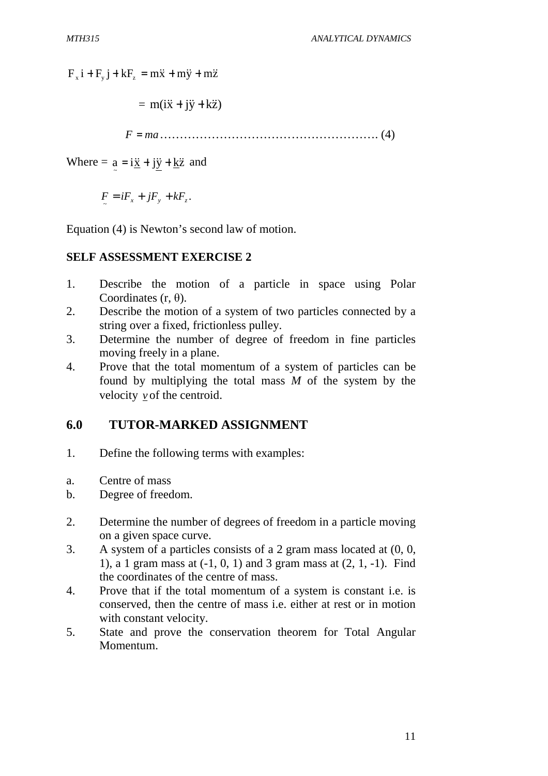$F_x i + F_y j + kF_z = m\ddot{x} + m\ddot{y} + m\ddot{z}$ 

$$
= m(i\ddot{x} + j\ddot{y} + k\ddot{z})
$$

*F* = *ma*………………………………………………. (4)

Where =  $\underline{a} = i\underline{\dot{x}} + j\underline{\dot{y}} + \underline{k}\ddot{z}$  and

 $F = iF_x + jF_y + kF_z.$ ~

Equation (4) is Newton's second law of motion.

#### **SELF ASSESSMENT EXERCISE 2**

- 1. Describe the motion of a particle in space using Polar Coordinates (r, θ).
- 2. Describe the motion of a system of two particles connected by a string over a fixed, frictionless pulley.
- 3. Determine the number of degree of freedom in fine particles moving freely in a plane.
- 4. Prove that the total momentum of a system of particles can be found by multiplying the total mass *M* of the system by the velocity *v* of the centroid.

## **6.0 TUTOR-MARKED ASSIGNMENT**

- 1. Define the following terms with examples:
- a. Centre of mass
- b. Degree of freedom.
- 2. Determine the number of degrees of freedom in a particle moving on a given space curve.
- 3. A system of a particles consists of a 2 gram mass located at (0, 0, 1), a 1 gram mass at (-1, 0, 1) and 3 gram mass at (2, 1, -1). Find the coordinates of the centre of mass.
- 4. Prove that if the total momentum of a system is constant i.e. is conserved, then the centre of mass i.e. either at rest or in motion with constant velocity.
- 5. State and prove the conservation theorem for Total Angular Momentum.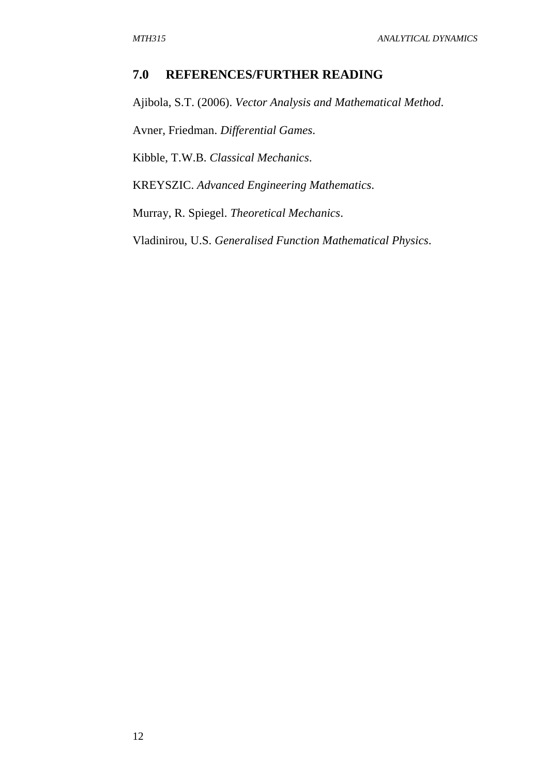## **7.0 REFERENCES/FURTHER READING**

Ajibola, S.T. (2006). *Vector Analysis and Mathematical Method*.

Avner, Friedman. *Differential Games*.

Kibble, T.W.B. *Classical Mechanics*.

KREYSZIC. *Advanced Engineering Mathematics*.

Murray, R. Spiegel. *Theoretical Mechanics*.

Vladinirou, U.S. *Generalised Function Mathematical Physics*.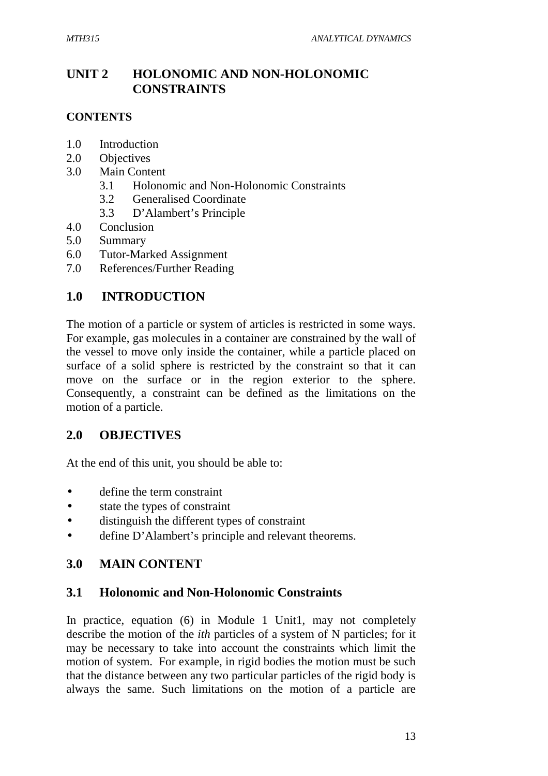# **UNIT 2 HOLONOMIC AND NON-HOLONOMIC CONSTRAINTS**

# **CONTENTS**

- 1.0 Introduction
- 2.0 Objectives
- 3.0 Main Content
	- 3.1 Holonomic and Non-Holonomic Constraints
	- 3.2 Generalised Coordinate
	- 3.3 D'Alambert's Principle
- 4.0 Conclusion
- 5.0 Summary
- 6.0 Tutor-Marked Assignment
- 7.0 References/Further Reading

# **1.0 INTRODUCTION**

The motion of a particle or system of articles is restricted in some ways. For example, gas molecules in a container are constrained by the wall of the vessel to move only inside the container, while a particle placed on surface of a solid sphere is restricted by the constraint so that it can move on the surface or in the region exterior to the sphere. Consequently, a constraint can be defined as the limitations on the motion of a particle.

# **2.0 OBJECTIVES**

At the end of this unit, you should be able to:

- define the term constraint
- state the types of constraint
- distinguish the different types of constraint
- define D'Alambert's principle and relevant theorems.

# **3.0 MAIN CONTENT**

# **3.1 Holonomic and Non-Holonomic Constraints**

In practice, equation (6) in Module 1 Unit1, may not completely describe the motion of the *ith* particles of a system of N particles; for it may be necessary to take into account the constraints which limit the motion of system. For example, in rigid bodies the motion must be such that the distance between any two particular particles of the rigid body is always the same. Such limitations on the motion of a particle are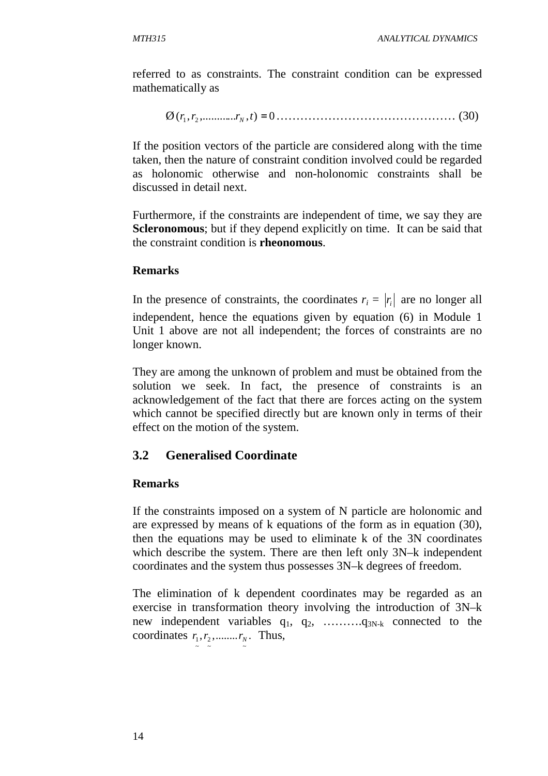referred to as constraints. The constraint condition can be expressed mathematically as

Ø ,( ,............ ), 0 *r*<sup>1</sup> *r*2 *rN t* = ……………………………………… (30)

If the position vectors of the particle are considered along with the time taken, then the nature of constraint condition involved could be regarded as holonomic otherwise and non-holonomic constraints shall be discussed in detail next.

Furthermore, if the constraints are independent of time, we say they are **Scleronomous**; but if they depend explicitly on time. It can be said that the constraint condition is **rheonomous**.

## **Remarks**

In the presence of constraints, the coordinates  $r_i = |r_i|$  are no longer all independent, hence the equations given by equation (6) in Module 1 Unit 1 above are not all independent; the forces of constraints are no longer known.

They are among the unknown of problem and must be obtained from the solution we seek. In fact, the presence of constraints is an acknowledgement of the fact that there are forces acting on the system which cannot be specified directly but are known only in terms of their effect on the motion of the system.

# **3.2 Generalised Coordinate**

# **Remarks**

If the constraints imposed on a system of N particle are holonomic and are expressed by means of k equations of the form as in equation (30), then the equations may be used to eliminate k of the 3N coordinates which describe the system. There are then left only 3N–k independent coordinates and the system thus possesses 3N–k degrees of freedom.

The elimination of k dependent coordinates may be regarded as an exercise in transformation theory involving the introduction of 3N–k new independent variables q1, q2, ……….q3N-k connected to the coordinates  $r_1, r_2, \dots, r_N$ . Thus,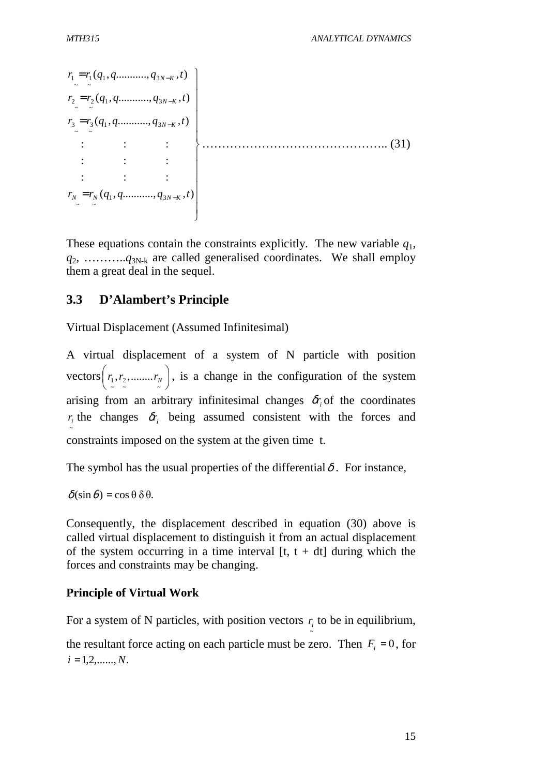$\overline{a}$  $\overline{\phantom{a}}$  $\overline{\phantom{a}}$  $\overline{a}$  $\overline{\phantom{a}}$  $\overline{\phantom{a}}$  $\int$  $\overline{\phantom{a}}$  $\overline{\phantom{a}}$  $\overline{\phantom{a}}$  $\overline{a}$  $\overline{\phantom{a}}$  $\overline{\phantom{a}}$  $\vdots$  : : :  $\cdots$  :  $\cdots$  :  $\cdots$  :  $\cdots$  :  $(31)$  $r_1 = r_1(q_1, q \dots, q_{3N-K}, t)$  $=r_N(q_1, q \ldots q_{3N-K}, t)$  $r_3 = r_3(q_1, q \dots, q_{3N-K}, t)$  $r_2 = r_2(q_1, q \dots, q_{3N-K}, t)$  $\mathbb{R}^2$  :  $\mathbb{R}^2$  :  $\mathbb{R}^2$  :  $\mathbb{R}^2$  :  $\mathbb{R}^2$  : : : :  $\frac{1}{2}$   $\frac{1}{N}(q_1, q, \ldots, q_3)$  $r_N = r_N(q_1, q \dots \dots \dots q_{3N-K}, t)$ 

These equations contain the constraints explicitly. The new variable *q*1,  $q_2$ , ……….. $q_{3N-k}$  are called generalised coordinates. We shall employ them a great deal in the sequel.

## **3.3 D'Alambert's Principle**

Virtual Displacement (Assumed Infinitesimal)

A virtual displacement of a system of N particle with position vectors  $|r_1, r_2, \dots, r_N|$ J  $r_1, r_2, \dots, r_N$  $\setminus$ ſ  $(r_1, r_2, \dots, r_N)$ , is a change in the configuration of the system arising from an arbitrary infinitesimal changes  $\delta r$  of the coordinates ~  $r_i$  the changes  $\delta r_i$  being assumed consistent with the forces and constraints imposed on the system at the given time t.

The symbol has the usual properties of the differential  $\delta$ . For instance,

 $\delta(\sin\theta) = \cos\theta \, \delta\theta$ .

Consequently, the displacement described in equation (30) above is called virtual displacement to distinguish it from an actual displacement of the system occurring in a time interval  $[t, t + dt]$  during which the forces and constraints may be changing.

## **Principle of Virtual Work**

For a system of N particles, with position vectors  $r_i$  to be in equilibrium,

~

the resultant force acting on each particle must be zero. Then  $F_i = 0$ , for  $i = 1, 2, \ldots, N.$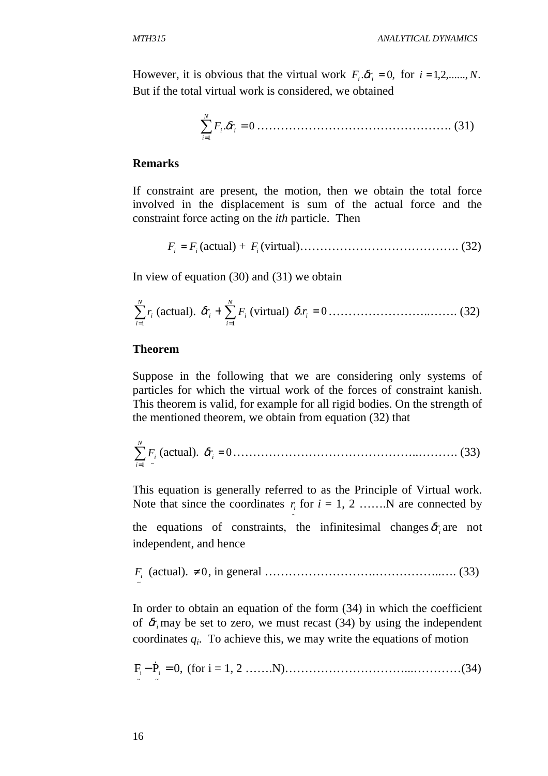However, it is obvious that the virtual work  $F_i \delta r_i = 0$ , for  $i = 1, 2, \dots, N$ . But if the total virtual work is considered, we obtained

 . 0 1 ∑ <sup>=</sup> = *i N i <sup>i</sup> F* <sup>δ</sup>*r* …………………………………………. (31)

#### **Remarks**

If constraint are present, the motion, then we obtain the total force involved in the displacement is sum of the actual force and the constraint force acting on the *ith* particle. Then

*F<sup>i</sup>* = *F<sup>i</sup>* (actual) + *F<sup>i</sup>* (virtual)…………………………………. (32)

In view of equation (30) and (31) we obtain

∑= *N i i r* 1 (actual). δ*r<sup>i</sup>* <sup>+</sup> ∑= *N i Fi* 1 (virtual) . = 0 *<sup>i</sup>* <sup>δ</sup> *r* ……………………..……. (32)

#### **Theorem**

Suppose in the following that we are considering only systems of particles for which the virtual work of the forces of constraint kanish. This theorem is valid, for example for all rigid bodies. On the strength of the mentioned theorem, we obtain from equation (32) that

 $\sum$ = *N i Fi* 1 ~ (actual). *<sup>i</sup>* <sup>δ</sup>*r* = 0………………………………………..………. (33)

This equation is generally referred to as the Principle of Virtual work. Note that since the coordinates  $r_i$  for  $i = 1, 2, \ldots, N$  are connected by

~

the equations of constraints, the infinitesimal changes  $\delta r$  are not independent, and hence

~ *Fi* (actual). ≠ 0, in general ……………………….……………..…. (33)

In order to obtain an equation of the form (34) in which the coefficient of  $\delta r$  may be set to zero, we must recast (34) by using the independent coordinates  $q_i$ . To achieve this, we may write the equations of motion

$$
F_{i} - \dot{P}_{i} = 0, \text{ (for } i = 1, 2, \dots, N), \dots, \dots, \dots, \dots, \dots, \dots, (34)
$$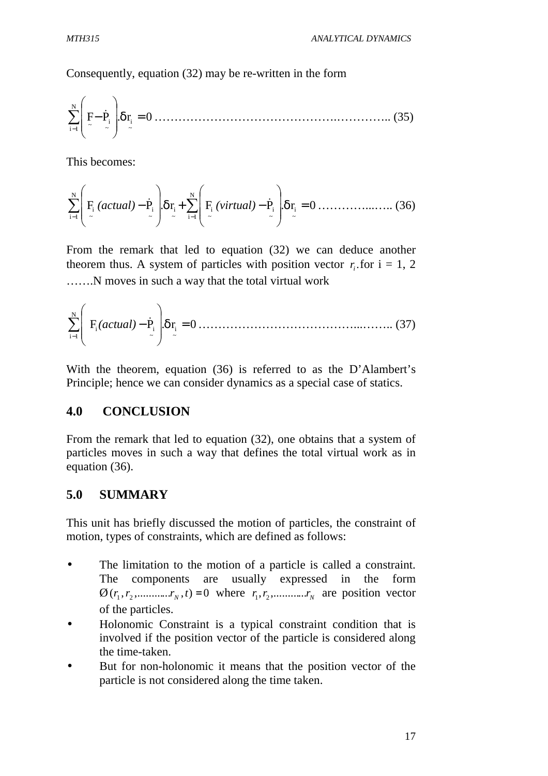Consequently, equation (32) may be re-written in the form

F P r. 0 ~ i N 1i ~ i ~ δ = ∑ − − & ……………………………………….………….. (35)

This becomes:

$$
\sum_{i=1}^{N} \left( F_i \left( \text{actual} \right) - \dot{P}_i \right) \delta r_i + \sum_{i=1}^{N} \left( F_i \left( \text{virtual} \right) - \dot{P}_i \right) \delta r_i = 0 \dots \dots \dots \dots \dots \dots \tag{36}
$$

From the remark that led to equation (32) we can deduce another theorem thus. A system of particles with position vector  $r_i$  for  $i = 1, 2$ …….N moves in such a way that the total virtual work

$$
\sum_{i=1}^{N} \left( F_i(\text{actual}) - \dot{P}_i \right) \delta r_i = 0 \dots \dots \dots \dots \dots \dots \dots \dots \dots \dots \dots \dots \dots \dots \dots \dots \tag{37}
$$

With the theorem, equation (36) is referred to as the D'Alambert's Principle; hence we can consider dynamics as a special case of statics.

## **4.0 CONCLUSION**

From the remark that led to equation (32), one obtains that a system of particles moves in such a way that defines the total virtual work as in equation (36).

## **5.0 SUMMARY**

This unit has briefly discussed the motion of particles, the constraint of motion, types of constraints, which are defined as follows:

- The limitation to the motion of a particle is called a constraint. The components are usually expressed in the form  $\mathcal{O}(r_1, r_2, \dots, r_N, t) = 0$  where  $r_1, r_2, \dots, r_N$  are position vector of the particles.
- Holonomic Constraint is a typical constraint condition that is involved if the position vector of the particle is considered along the time-taken.
- But for non-holonomic it means that the position vector of the particle is not considered along the time taken.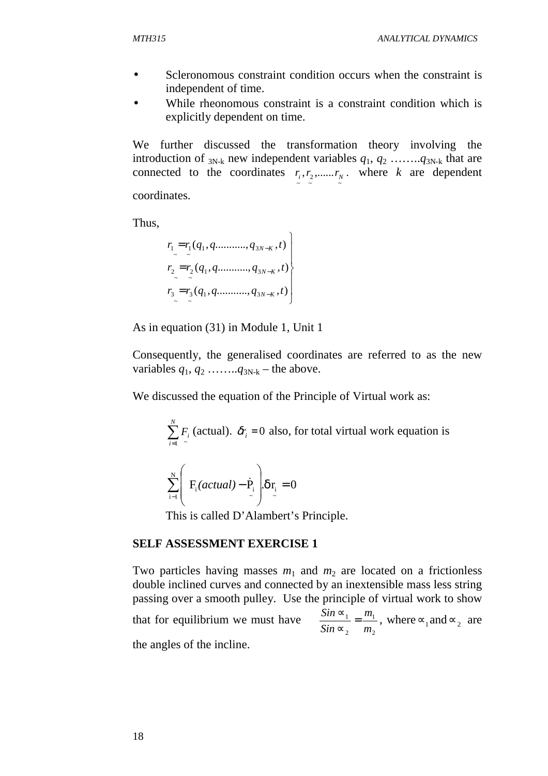- Scleronomous constraint condition occurs when the constraint is independent of time.
- While rheonomous constraint is a constraint condition which is explicitly dependent on time.

We further discussed the transformation theory involving the introduction of  $_{3N-k}$  new independent variables  $q_1, q_2, \ldots, q_{3N-k}$  that are connected to the coordinates  $r_i, r_2, \dots, r_N$ .  $r_i, r_2, \dots, r_N$ . where *k* are dependent coordinates.

Thus,

$$
r_1 = r_1(q_1, q \dots \dots \dots q_{3N-K}, t)
$$
  
\n
$$
r_2 = r_2(q_1, q \dots \dots \dots q_{3N-K}, t)
$$
  
\n
$$
r_3 = r_3(q_1, q \dots \dots \dots q_{3N-K}, t)
$$

As in equation (31) in Module 1, Unit 1

Consequently, the generalised coordinates are referred to as the new variables  $q_1, q_2, \ldots, q_{3N-k}$  – the above.

We discussed the equation of the Principle of Virtual work as:

 $\sum$ = *N i Fi*  $\overline{1}$  ~ (actual).  $\delta r_i = 0$  also, for total virtual work equation is

$$
\sum_{i=1}^{N} \left( F_i(\text{actual}) - \dot{P}_i \right) \delta r_i = 0
$$

This is called D'Alambert's Principle.

#### **SELF ASSESSMENT EXERCISE 1**

Two particles having masses  $m_1$  and  $m_2$  are located on a frictionless double inclined curves and connected by an inextensible mass less string passing over a smooth pulley. Use the principle of virtual work to show that for equilibrium we must have 2 1 2 1 *m m Sin*  $\frac{Sin \infty_1}{\sigma}$ ∝  $\frac{\infty_1}{\cdots} = \frac{m_1}{\cdots}$ , where  $\infty_1$  and  $\infty_2$  are the angles of the incline.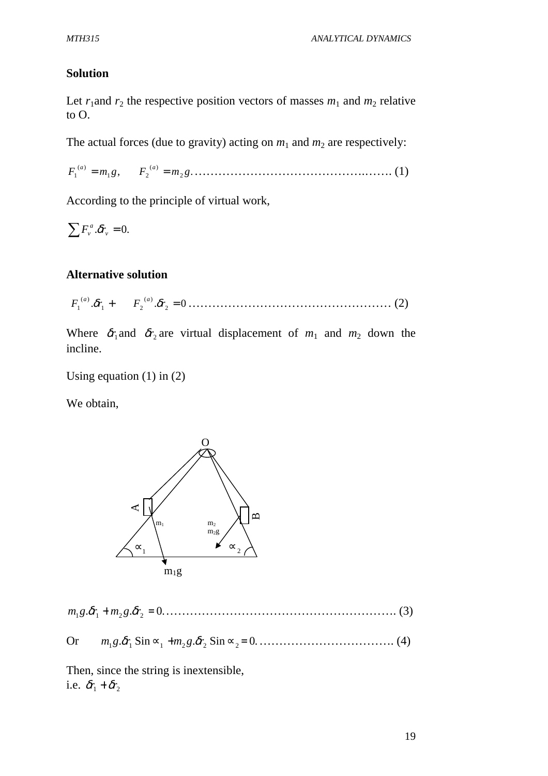#### **Solution**

Let  $r_1$  and  $r_2$  the respective position vectors of masses  $m_1$  and  $m_2$  relative to O.

The actual forces (due to gravity) acting on  $m_1$  and  $m_2$  are respectively:

 $F_2^{(a)} = m_2 g.$  $(a)$  $18, 12$ )( *F*<sup>1</sup> *m g F m g a a* = = …………………………………….……. (1)

According to the principle of virtual work,

 $\sum F_v^a \cdot \delta r_v^{\dagger} = 0.$ 

#### **Alternative solution**

 $\delta r_1 + F_2^{(a)} \delta r_2 = 0$  $1$   $1$   $2$ )( *F*1 *r* + *F r* = *a a* <sup>δ</sup> <sup>δ</sup> …………………………………………… (2)

Where  $\delta r_1$  and  $\delta r_2$  are virtual displacement of  $m_1$  and  $m_2$  down the incline.

Using equation  $(1)$  in  $(2)$ 

We obtain,



. . .0 *m*<sup>1</sup> *g* <sup>δ</sup>*r*<sup>1</sup> + *m*<sup>2</sup> *g* <sup>δ</sup>*r*<sup>2</sup> = …………………………………………………. (3)

Or  $m_1 g \, \delta r_1 \, \sin \alpha_1 + m_2 g \, \delta r_2 \, \sin \alpha_2 = 0 \dots \dots \dots \dots \dots \dots \dots \dots \tag{4}$ 

Then, since the string is inextensible, i.e.  $\delta r_1 + \delta r_2$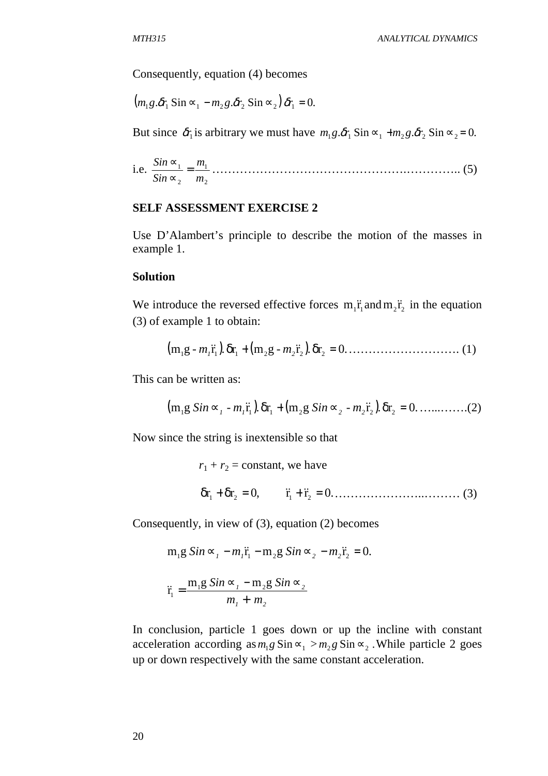Consequently, equation (4) becomes

$$
(m_1g.\delta r_1\,\mathrm{Sin} \sim_1 - m_2g.\delta r_2\,\mathrm{Sin} \sim_2)\,\delta r_1 = 0.
$$

But since  $\delta r_1$  is arbitrary we must have  $m_1 g \cdot \delta r_1 \cdot \sin \alpha_1 + m_2 g \cdot \delta r_2 \cdot \sin \alpha_2 = 0$ .

i.e. 
$$
\frac{\sin \alpha_1}{\sin \alpha_2} = \frac{m_1}{m_2}
$$
................. (5)

#### **SELF ASSESSMENT EXERCISE 2**

Use D'Alambert's principle to describe the motion of the masses in example 1.

#### **Solution**

We introduce the reversed effective forces  $m_1 \ddot{r}_1$  and  $m_2 \ddot{r}_2$  in the equation (3) of example 1 to obtain:

(m g ) r.r (m g ) r.r .0 <sup>1</sup> *m - 1* && 1 δ <sup>1</sup> + <sup>2</sup> *m - 2* && 2 δ <sup>2</sup> = ………………………. (1)

This can be written as:

(m g ) r.r (m g ) r.r .0 <sup>1</sup>  *Sin*∝*<sup>1</sup> m - 1* && 1 δ <sup>1</sup> + <sup>2</sup>  *Sin*∝*<sup>2</sup> m - 2* && 2 δ <sup>2</sup> = …...…….(2)

Now since the string is inextensible so that

$$
r_1 + r_2 = \text{constant, we have}
$$
  
\n $\delta r_1 + \delta r_2 = 0,$   $\ddot{r}_1 + \ddot{r}_2 = 0.$  (3)

Consequently, in view of (3), equation (2) becomes

$$
m_1 g \, Sin \, \infty_I - m_I \ddot{r}_1 - m_2 g \, Sin \, \infty_2 - m_2 \ddot{r}_2 = 0.
$$

$$
\ddot{\mathbf{r}}_1 = \frac{\mathbf{m}_1 \mathbf{g} \, \mathbf{S} \dot{\mathbf{n}} \, \mathbf{\alpha}_1 - \mathbf{m}_2 \mathbf{g} \, \mathbf{S} \dot{\mathbf{n}} \, \mathbf{\alpha}_2}{m_1 + m_2}
$$

In conclusion, particle 1 goes down or up the incline with constant acceleration according as  $m_1 g \sin \approx_1 > m_2 g \sin \approx_2$ . While particle 2 goes up or down respectively with the same constant acceleration.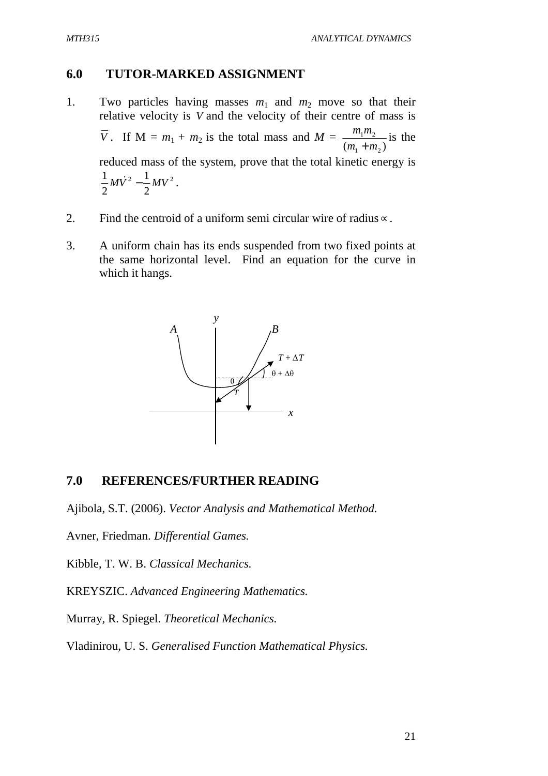## **6.0 TUTOR-MARKED ASSIGNMENT**

- 1. Two particles having masses  $m_1$  and  $m_2$  move so that their relative velocity is *V* and the velocity of their centre of mass is *V*. If  $M = m_1 + m_2$  is the total mass and  $M =$  $(m_1 + m_2)$  $1''$   $2$  $m_1 + m$  $m_1 m$ + is the reduced mass of the system, prove that the total kinetic energy is 2  $\frac{1}{2}$   $\frac{1}{2}$ 2 1 2  $\frac{1}{2}M\dot{V}^2 - \frac{1}{2}MV^2$ .
- 2. Find the centroid of a uniform semi circular wire of radius∝.
- 3. A uniform chain has its ends suspended from two fixed points at the same horizontal level. Find an equation for the curve in which it hangs.



## **7.0 REFERENCES/FURTHER READING**

Ajibola, S.T. (2006). *Vector Analysis and Mathematical Method.*

Avner, Friedman. *Differential Games.*

Kibble, T. W. B. *Classical Mechanics.*

KREYSZIC. *Advanced Engineering Mathematics.*

Murray, R. Spiegel. *Theoretical Mechanics.*

Vladinirou, U. S. *Generalised Function Mathematical Physics.*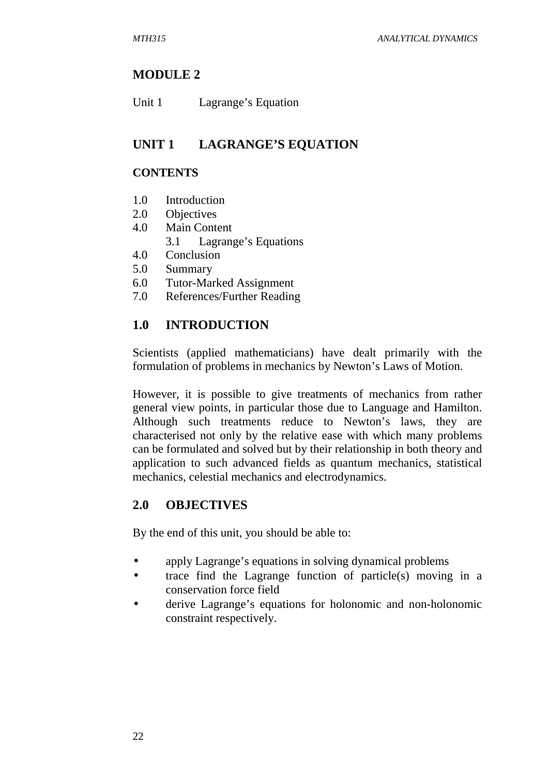# **MODULE 2**

| Unit 1<br>Lagrange's Equation |
|-------------------------------|
|-------------------------------|

# **UNIT 1 LAGRANGE'S EQUATION**

## **CONTENTS**

- 1.0 Introduction
- 2.0 Objectives
- 4.0 Main Content
	- 3.1 Lagrange's Equations
- 4.0 Conclusion
- 5.0 Summary
- 6.0 Tutor-Marked Assignment
- 7.0 References/Further Reading

# **1.0 INTRODUCTION**

Scientists (applied mathematicians) have dealt primarily with the formulation of problems in mechanics by Newton's Laws of Motion.

However, it is possible to give treatments of mechanics from rather general view points, in particular those due to Language and Hamilton. Although such treatments reduce to Newton's laws, they are characterised not only by the relative ease with which many problems can be formulated and solved but by their relationship in both theory and application to such advanced fields as quantum mechanics, statistical mechanics, celestial mechanics and electrodynamics.

# **2.0 OBJECTIVES**

By the end of this unit, you should be able to:

- apply Lagrange's equations in solving dynamical problems
- trace find the Lagrange function of particle(s) moving in a conservation force field
- derive Lagrange's equations for holonomic and non-holonomic constraint respectively.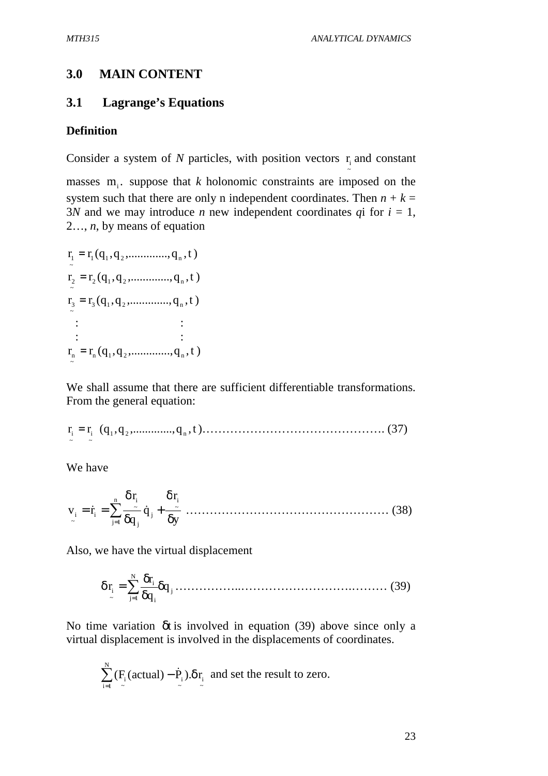~

#### **3.0 MAIN CONTENT**

### **3.1 Lagrange's Equations**

#### **Definition**

Consider a system of  $N$  particles, with position vectors  $r_i$  and constant

masses  $m_i$ . suppose that *k* holonomic constraints are imposed on the system such that there are only n independent coordinates. Then  $n + k =$ 3*N* and we may introduce *n* new independent coordinates *q*i for  $i = 1$ , 2…, *n*, by means of equation

$$
r_1 = r_1(q_1, q_2, \dots, q_n, t)
$$
  
\n
$$
r_2 = r_2(q_1, q_2, \dots, q_n, t)
$$
  
\n
$$
r_3 = r_3(q_1, q_2, \dots, q_n, t)
$$
  
\n
$$
\vdots \qquad \vdots
$$
  
\n
$$
r_n = r_n(q_1, q_2, \dots, q_n, t)
$$

We shall assume that there are sufficient differentiable transformations. From the general equation:

r r q,q( ,.............,q t, 1 2 n ~ i ~ <sup>i</sup> = )………………………………………. (37)

We have

$$
v_{i} = \dot{r}_{i} = \sum_{j=1}^{n} \frac{\delta r_{i}}{\delta q_{j}} \dot{q}_{j} + \frac{\delta r_{i}}{\delta y} \dots \dots \dots \dots \dots \dots \dots \dots \dots \dots \dots \dots \dots \dots \dots \tag{38}
$$

Also, we have the virtual displacement

j N 1j i i ~ i q q r r δ δ δ δ = ∑= ……………..……………………….……… (39)

No time variation δt is involved in equation (39) above since only a virtual displacement is involved in the displacements of coordinates.

$$
\sum_{i=1}^{N} (F_i(\text{actual}) - \dot{P}_i).\delta r_i
$$
 and set the result to zero.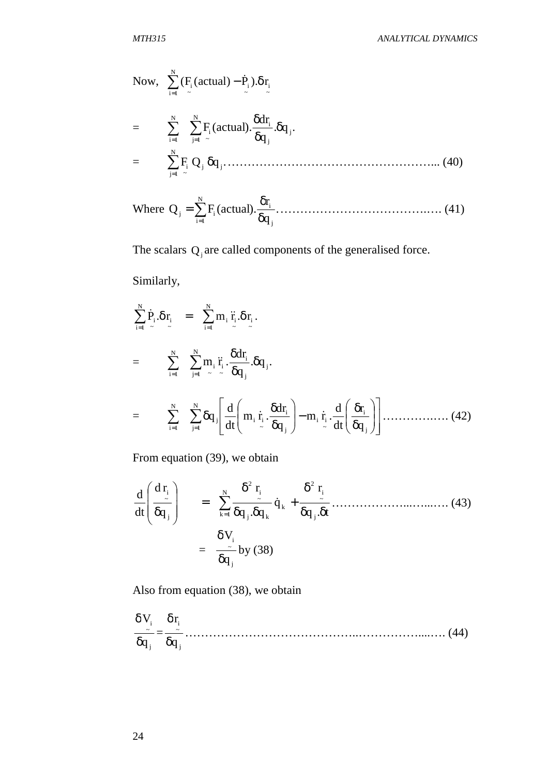Now, 
$$
\sum_{i=1}^{N} (F_i(\text{actual}) - \dot{P}_i) . \delta r_i
$$
  
= 
$$
\sum_{i=1}^{N} \sum_{j=1}^{N} F_i(\text{actual}) . \frac{\delta dr_i}{\delta q_j} . \delta q_j.
$$
  
= 
$$
\sum_{j=1}^{N} F_i Q_j \delta q_j. \qquad (40)
$$

Where 
$$
Q_j = \sum_{i=1}^{N} F_i
$$
 (actual).  $\frac{\delta r_i}{\delta q_j}$ ................. (41)

The scalars  $Q_j$  are called components of the generalised force.

Similarly,

$$
\sum_{i=1}^{N} \dot{P}_{i} \cdot \delta r_{i} = \sum_{i=1}^{N} m_{i} \ddot{r}_{i} \cdot \delta r_{i}.
$$
\n
$$
= \sum_{i=1}^{N} \sum_{j=1}^{N} m_{i} \ddot{r}_{i} \cdot \frac{\delta dr_{i}}{\delta q_{j}} \cdot \delta q_{j}.
$$
\n
$$
= \sum_{i=1}^{N} \sum_{j=1}^{N} \delta q_{j} \left[ \frac{d}{dt} \left( m_{i} \dot{r}_{i} \cdot \frac{\delta dr_{i}}{\delta q_{j}} \right) - m_{i} \dot{r}_{i} \cdot \frac{d}{dt} \left( \frac{\delta r_{i}}{\delta q_{j}} \right) \right] \dots \dots \dots \dots \tag{42}
$$

From equation (39), we obtain

t.q r q q.q r q rd dt d j ~ i 2 k N 1k j k ~ i 2 j ~ i δ δ δ + δ δ δ = δ ∑= & ………………...…...…. (43) = j ~ i q V δ δ by (38)

Also from equation (38), we obtain

j ~ i q V δ δ = j ~ i q r δ δ ……………………………………..……………....…. (44)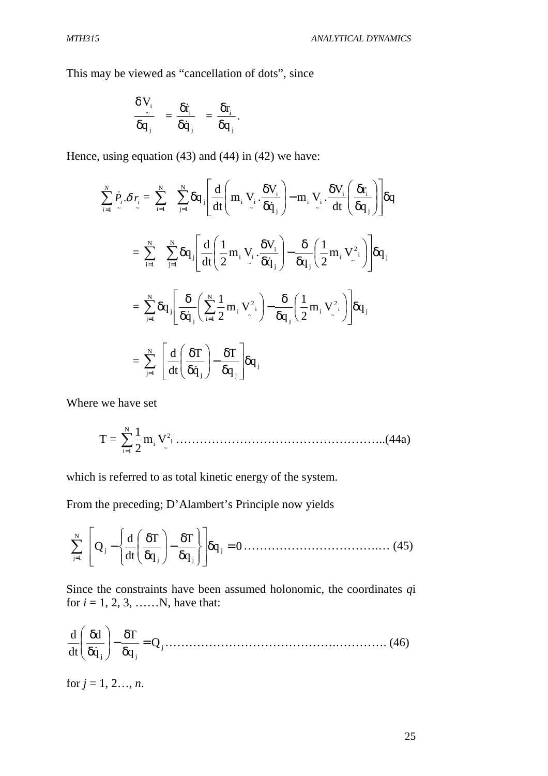This may be viewed as "cancellation of dots", since

$$
\frac{\delta V_i}{\delta q_j} = \frac{\delta \dot{r}_i}{\delta \dot{q}_j} = \frac{\delta r_i}{\delta q_j}.
$$

Hence, using equation (43) and (44) in (42) we have:

$$
\begin{split} \sum_{i=1}^{N} \dot{P}_{i} \cdot \delta \, r_{i} &= \sum_{i=1}^{N} \sum_{j=1}^{N} \delta q_{j} \Bigg[ \frac{d}{dt} \Bigg( m_{i} \, V_{i} \cdot \frac{\delta V_{i}}{\delta \dot{q}_{j}} \Bigg) - m_{i} \, V_{i} \cdot \frac{\delta V_{i}}{dt} \Bigg( \frac{\delta r_{i}}{\delta q_{j}} \Bigg) \Bigg] \delta q \\ &= \sum_{i=1}^{N} \sum_{j=1}^{N} \delta q_{j} \Bigg[ \frac{d}{dt} \Bigg( \frac{1}{2} m_{i} \, V_{i} \cdot \frac{\delta V_{i}}{\delta \dot{q}_{j}} \Bigg) - \frac{\delta}{\delta q_{j}} \Bigg( \frac{1}{2} m_{i} \, V_{\cdot}^{2} \Bigg) \Bigg] \delta q_{j} \\ &= \sum_{j=1}^{N} \delta q_{j} \Bigg[ \frac{\delta}{\delta \dot{q}_{j}} \Bigg( \sum_{i=1}^{N} \frac{1}{2} m_{i} \, V_{\cdot}^{2} \Bigg) - \frac{\delta}{\delta q_{j}} \Bigg( \frac{1}{2} m_{i} \, V_{\cdot}^{2} \Bigg) \Bigg] \delta q_{j} \\ &= \sum_{j=1}^{N} \Bigg[ \frac{d}{dt} \Bigg( \frac{\delta T}{\delta \dot{q}_{j}} \Bigg) - \frac{\delta T}{\delta q_{j}} \Bigg] \delta q_{j} \end{split}
$$

Where we have set

 T = ∑= N 1i ~ i <sup>2</sup> m<sup>i</sup> V 2 <sup>1</sup> ……………………………………………..(44a)

which is referred to as total kinetic energy of the system.

From the preceding; D'Alambert's Principle now yields

$$
\sum_{j=1}^{N} \left[ Q_j - \left\{ \frac{d}{dt} \left( \frac{\delta T}{\delta q_j} \right) - \frac{\delta T}{\delta q_j} \right\} \right] \delta q_j = 0 \dots \dots \dots \dots \dots \dots \dots \dots \dots \dots \dots \tag{45}
$$

Since the constraints have been assumed holonomic, the coordinates *q*i for  $i = 1, 2, 3, \dots$  N, have that:

j j j Q q T q d dt d = δ δ − δ δ &…………………………………….…………. (46)

for  $j = 1, 2, ..., n$ .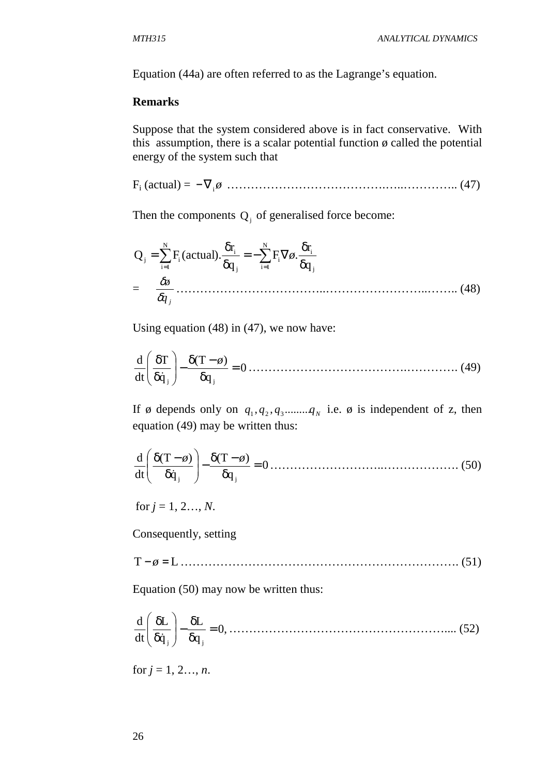Equation (44a) are often referred to as the Lagrange's equation.

#### **Remarks**

Suppose that the system considered above is in fact conservative. With this assumption, there is a scalar potential function  $\phi$  called the potential energy of the system such that

Fi (actual) = *ø* −∇<sup>i</sup> ………………………………….…..………….. (47)

Then the components  $Q_j$  of generalised force become:

$$
Q_{j} = \sum_{i=1}^{N} F_{i} (actual). \frac{\delta r_{i}}{\delta q_{j}} = -\sum_{i=1}^{N} F_{i} \nabla \phi . \frac{\delta r_{i}}{\delta q_{j}}
$$
  
=  $\frac{\delta \phi}{\delta q_{j}}$ ................. (48)

Using equation (48) in (47), we now have:

$$
\frac{d}{dt} \left( \frac{\delta T}{\delta \dot{q}_j} \right) - \frac{\delta (T - \phi)}{\delta q_j} = 0 \dots \dots \dots \dots \dots \dots \dots \dots \dots \dots \dots \dots \dots \dots \dots \tag{49}
$$

If ø depends only on  $q_1, q_2, q_3, \dots, q_N$  i.e. ø is independent of z, then equation (49) may be written thus:

$$
\frac{d}{dt} \left( \frac{\delta (T - \phi)}{\delta \dot{q}_j} \right) - \frac{\delta (T - \phi)}{\delta q_j} = 0 \dots \dots \dots \dots \dots \dots \dots \dots \dots \dots \dots \dots \tag{50}
$$

for  $j = 1, 2, ..., N$ .

Consequently, setting

T − *ø* = L……………………………………………………………. (51)

Equation (50) may now be written thus:

,0 q L q L dt d j j = δ δ − δ δ & ……………………………………………….... (52)

for  $j = 1, 2, ..., n$ .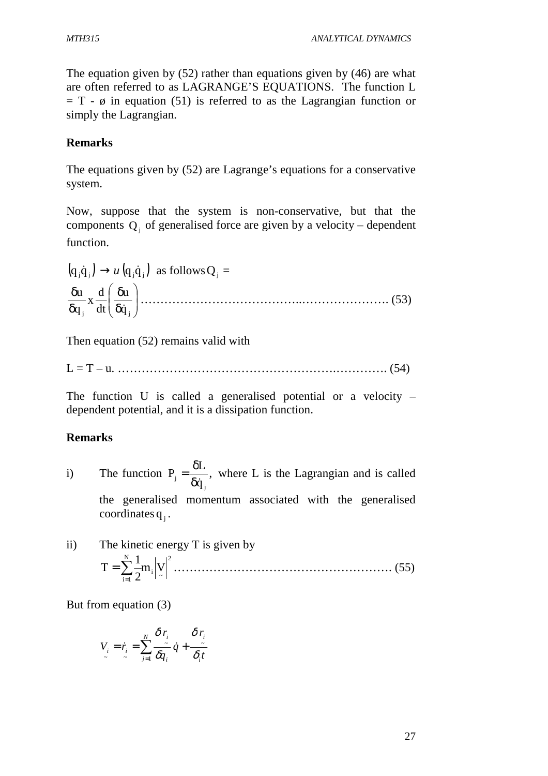The equation given by (52) rather than equations given by (46) are what are often referred to as LAGRANGE'S EQUATIONS. The function L  $= T - \emptyset$  in equation (51) is referred to as the Lagrangian function or simply the Lagrangian.

## **Remarks**

The equations given by (52) are Lagrange's equations for a conservative system.

Now, suppose that the system is non-conservative, but that the components  $Q_i$  of generalised force are given by a velocity – dependent function.

$$
(q_j \dot{q}_j) \rightarrow u (q_j \dot{q}_j) \text{ as follows } Q_j =
$$
  

$$
\frac{\delta u}{\delta q_j} x \frac{d}{dt} \left( \frac{\delta u}{\delta \dot{q}_j} \right) \dots \dots \dots \dots \dots \dots \dots \dots \dots \dots \dots \dots \dots \dots \dots \dots \dots \tag{53}
$$

Then equation (52) remains valid with

L = T – u. ……………………………………………….…………. (54)

The function U is called a generalised potential or a velocity – dependent potential, and it is a dissipation function.

## **Remarks**

i) The function  $P_i = \frac{Q_i}{Q_i}$ , q L P j  $j = \overline{\delta \dot{q}}$  $=\frac{\delta L}{\delta L}$ , where L is the Lagrangian and is called

the generalised momentum associated with the generalised coordinates  $q_j$ .

ii) The kinetic energy T is given by 2  $\frac{1}{2}$   $\frac{1}{2}$ N  $i=1$  $m_{\rm i}$   $\rm |V$ 2  $T = \sum_{n=1}^{N} \frac{1}{n}$ = = ………………………………………………. (55)

But from equation (3)

$$
V_i = \dot{r}_i = \sum_{j=1}^N \frac{\delta \, r_i}{\delta q_i} \, \dot{q} + \frac{\delta \, r_i}{\delta_i t}
$$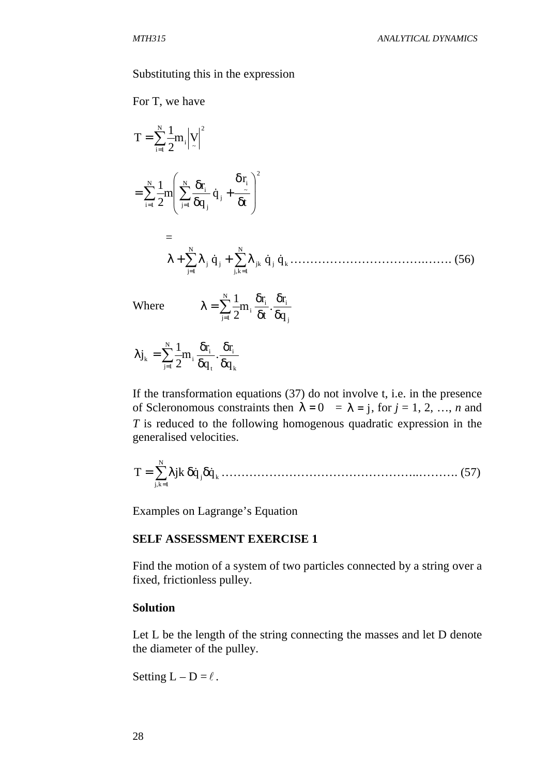#### Substituting this in the expression

For T, we have

$$
T = \sum_{i=1}^{N} \frac{1}{2} m_i \left| y \right|^2
$$
  
= 
$$
\sum_{i=1}^{N} \frac{1}{2} m \left( \sum_{j=1}^{N} \frac{\delta r_i}{\delta q_j} \dot{q}_j + \frac{\delta r_i}{\delta t} \right)^2
$$
  
= 
$$
\lambda + \sum_{j=1}^{N} \lambda_j \dot{q}_j + \sum_{j,k=1}^{N} \lambda_{jk} \dot{q}_j \dot{q}_k \dots \dots \dots \dots \dots \dots \dots \tag{56}
$$

Where

$$
\lambda = \sum_{j=1}^N \frac{1}{2} m_i \, \frac{\delta r_i}{\delta t} \cdot \frac{\delta r_i}{\delta q_j}
$$

$$
\lambda j_{k} = \sum_{j=1}^{N} \frac{1}{2} m_{i} \frac{\delta r_{i}}{\delta q_{t}} \cdot \frac{\delta r_{i}}{\delta q_{k}}
$$

If the transformation equations (37) do not involve t, i.e. in the presence of Scleronomous constraints then  $\lambda = 0$  =  $\lambda = j$ , for  $j = 1, 2, ..., n$  and *T* is reduced to the following homogenous quadratic expression in the generalised velocities.

j k N 1k,j T = ∑λjk δq& δq& = …………………………………………..………. (57)

Examples on Lagrange's Equation

#### **SELF ASSESSMENT EXERCISE 1**

Find the motion of a system of two particles connected by a string over a fixed, frictionless pulley.

#### **Solution**

Let L be the length of the string connecting the masses and let D denote the diameter of the pulley.

Setting  $L - D = \ell$ .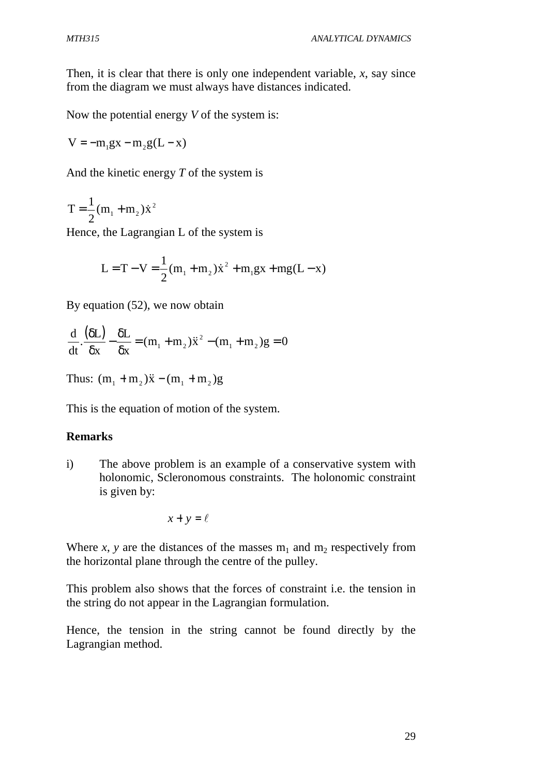Then, it is clear that there is only one independent variable, *x*, say since from the diagram we must always have distances indicated.

Now the potential energy *V* of the system is:

$$
V = -m_1gx - m_2g(L - x)
$$

And the kinetic energy *T* of the system is

$$
T = \frac{1}{2}(m_1 + m_2)\dot{x}^2
$$

Hence, the Lagrangian L of the system is

$$
L = T - V = \frac{1}{2}(m_1 + m_2)\dot{x}^2 + m_1gx + mg(L - x)
$$

By equation (52), we now obtain

$$
\frac{d}{dt} \cdot \frac{(\delta L)}{\delta x} - \frac{\delta L}{\delta x} = (m_1 + m_2)\ddot{x}^2 - (m_1 + m_2)g = 0
$$

Thus:  $(m_1 + m_2)\ddot{x} - (m_1 + m_2)g$ 

This is the equation of motion of the system.

## **Remarks**

i) The above problem is an example of a conservative system with holonomic, Scleronomous constraints. The holonomic constraint is given by:

$$
x + y = \ell
$$

Where *x*, *y* are the distances of the masses  $m_1$  and  $m_2$  respectively from the horizontal plane through the centre of the pulley.

This problem also shows that the forces of constraint i.e. the tension in the string do not appear in the Lagrangian formulation.

Hence, the tension in the string cannot be found directly by the Lagrangian method.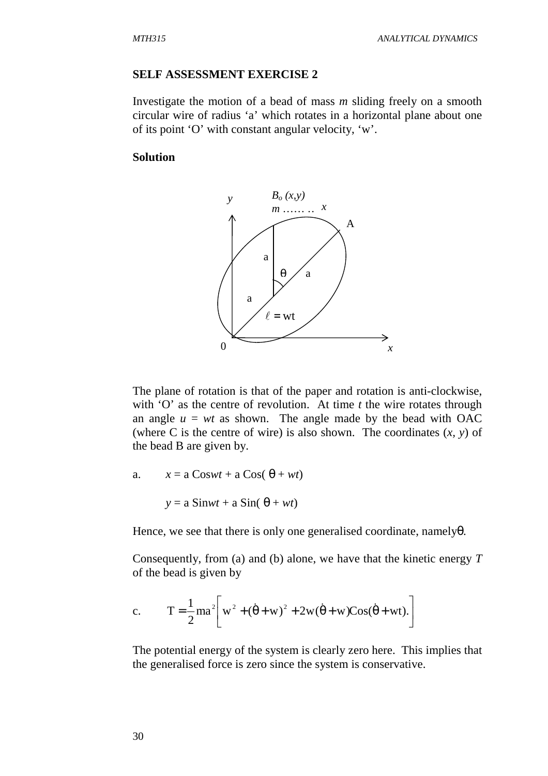#### **SELF ASSESSMENT EXERCISE 2**

Investigate the motion of a bead of mass *m* sliding freely on a smooth circular wire of radius 'a' which rotates in a horizontal plane about one of its point 'O' with constant angular velocity, 'w'.

#### **Solution**



The plane of rotation is that of the paper and rotation is anti-clockwise, with 'O' as the centre of revolution. At time *t* the wire rotates through an angle  $u = wt$  as shown. The angle made by the bead with OAC (where C is the centre of wire) is also shown. The coordinates (*x, y*) of the bead B are given by.

a.  $x = a \text{Cos}wt + a \text{Cos}(\theta + wt)$ 

$$
y = a Simwt + a Sin(\theta + wt)
$$

Hence, we see that there is only one generalised coordinate, namely $\theta$ .

Consequently, from (a) and (b) alone, we have that the kinetic energy *T* of the bead is given by

c. 
$$
T = \frac{1}{2}ma^2 \left[ w^2 + (\dot{\theta} + w)^2 + 2w(\dot{\theta} + w)Cos(\dot{\theta} + wt). \right]
$$

The potential energy of the system is clearly zero here. This implies that the generalised force is zero since the system is conservative.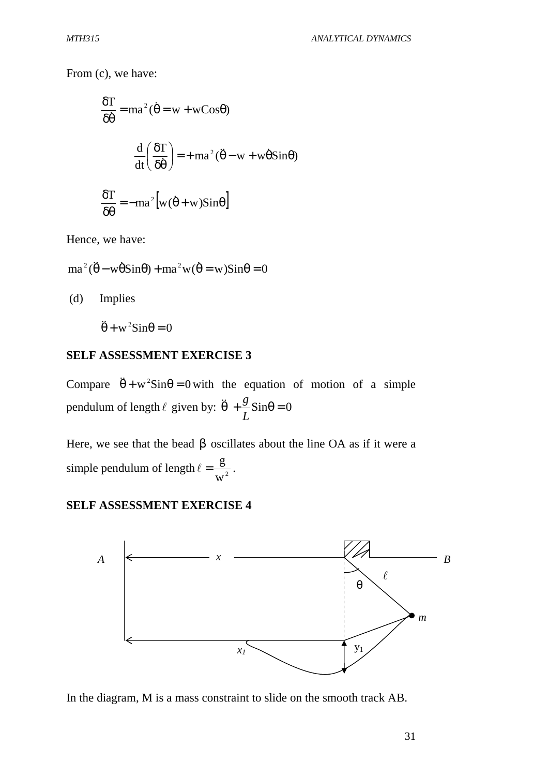From (c), we have:

$$
\frac{\delta T}{\delta \dot{\theta}} = ma^{2}(\dot{\theta} = w + wCos\theta)
$$

$$
\frac{d}{dt} \left(\frac{\delta T}{\delta \dot{\theta}}\right) = + ma^{2}(\ddot{\theta} - w + w\dot{\theta}Sin\theta)
$$

$$
\frac{\delta T}{\delta T} = -ma^{2}[w(\dot{\theta} + w)Sin\theta]
$$

$$
\frac{\partial \mathbf{r}}{\partial \theta} = -ma^2 \left[ w(\theta + w) \sin \theta \right]
$$

Hence, we have:

$$
ma^{2}(\ddot{\theta} - w\dot{\theta}Sin\theta) + ma^{2}w(\dot{\theta} = w)Sin\theta = 0
$$

(d) Implies

 $\ddot{\theta} + w^2 \text{Sin}\theta = 0$ 

#### **SELF ASSESSMENT EXERCISE 3**

Compare  $\ddot{\theta} + w^2 \sin \theta = 0$  with the equation of motion of a simple pendulum of length  $\ell$  given by:  $\ddot{\theta} + \frac{g}{\epsilon} \text{Sin}\theta = 0$ *L g*  $\ddot{\theta}$ 

Here, we see that the bead  $\beta$  oscillates about the line OA as if it were a simple pendulum of length  $\ell = \frac{S}{w^2}$  $\ell = \frac{g}{2}$ .

#### **SELF ASSESSMENT EXERCISE 4**



In the diagram, M is a mass constraint to slide on the smooth track AB.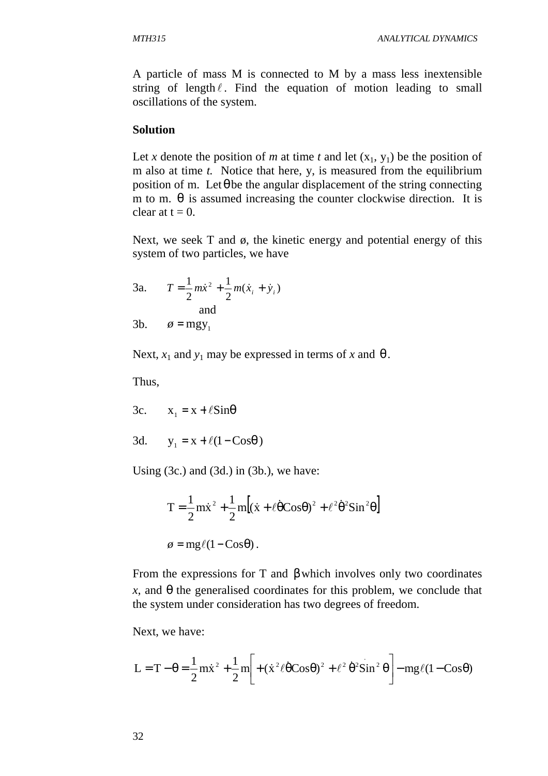A particle of mass M is connected to M by a mass less inextensible string of length  $\ell$ . Find the equation of motion leading to small oscillations of the system.

#### **Solution**

Let *x* denote the position of *m* at time *t* and let  $(x_1, y_1)$  be the position of m also at time *t.* Notice that here, y, is measured from the equilibrium position of m. Let  $\theta$  be the angular displacement of the string connecting m to m.  $\theta$  is assumed increasing the counter clockwise direction. It is clear at  $t = 0$ .

Next, we seek  $T$  and  $\phi$ , the kinetic energy and potential energy of this system of two particles, we have

3a. 
$$
T = \frac{1}{2}m\dot{x}^2 + \frac{1}{2}m(\dot{x}_i + \dot{y}_i)
$$
  
and

3b.  $\phi = mgy_1$ 

Next,  $x_1$  and  $y_1$  may be expressed in terms of *x* and  $\theta$ .

Thus,

3c.  $x_1 = x + \ell \sin\theta$ 

$$
3d. \qquad y_1 = x + \ell(1 - \cos\theta)
$$

Using  $(3c)$  and  $(3d)$  in  $(3b)$ , we have:

$$
T = \frac{1}{2}m\dot{x}^{2} + \frac{1}{2}m[(\dot{x} + \ell\dot{\theta}cos\theta)^{2} + \ell^{2}\dot{\theta}^{2}sin^{2}\theta]
$$

$$
\phi = mg\ell(1 - Cos\theta).
$$

From the expressions for T and  $\beta$  which involves only two coordinates  $x$ , and  $\theta$  the generalised coordinates for this problem, we conclude that the system under consideration has two degrees of freedom.

Next, we have:

$$
L = T - \theta = \frac{1}{2} m \dot{x}^{2} + \frac{1}{2} m \left[ + (\dot{x}^{2} \ell \dot{\theta} \cos \theta)^{2} + \ell^{2} \dot{\theta}^{2} \sin^{2} \theta \right] - mg \ell (1 - \cos \theta)
$$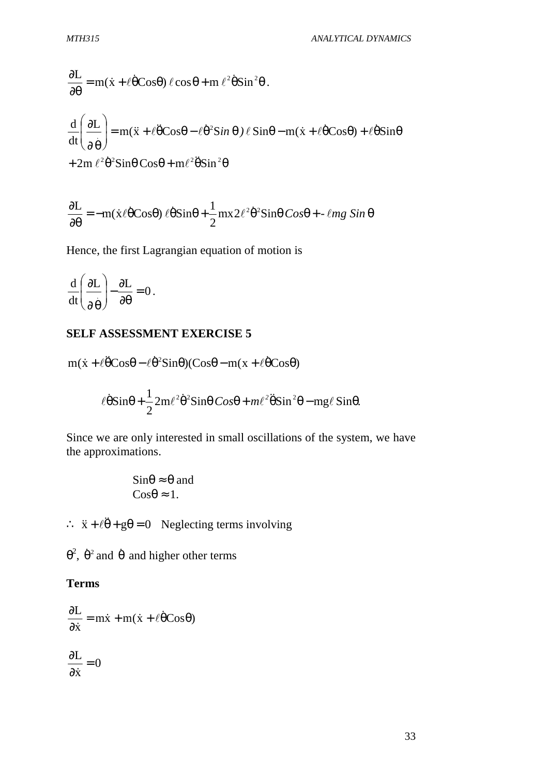$$
\frac{\partial L}{\partial \theta} = m(\dot{x} + \ell \dot{\theta} \cos \theta) \ell \cos \theta + m \ell^2 \dot{\theta} \sin^2 \theta.
$$
  

$$
\frac{d}{dt} \left( \frac{\partial L}{\partial \dot{\theta}} \right) = m(\ddot{x} + \ell \ddot{\theta} \cos \theta - \ell \dot{\theta}^2 \sin \theta) \ell \sin \theta - m(\dot{x} + \ell \dot{\theta} \cos \theta) + \ell \dot{\theta} \sin \theta
$$

$$
+ 2m \ell^2 \dot{\theta}^2 \sin \theta \cos \theta + m \ell^2 \ddot{\theta} \sin^2 \theta
$$

$$
\frac{\partial L}{\partial \theta} = -m(\dot{x}\ell\dot{\theta} \cos\theta)\ell\dot{\theta}\sin\theta + \frac{1}{2}mx2\ell^2\dot{\theta}^2\sin\theta\cos\theta + \ell mg\sin\theta
$$

Hence, the first Lagrangian equation of motion is

$$
\frac{\mathrm{d}}{\mathrm{d}t} \left( \frac{\partial L}{\partial \theta} \right) - \frac{\partial L}{\partial \theta} = 0 \, .
$$

## **SELF ASSESSMENT EXERCISE 5**

$$
m(\dot{x} + \ell \ddot{\theta} \cos\theta - \ell \dot{\theta}^2 \sin\theta)(\cos\theta - m(x + \ell \dot{\theta} \cos\theta)
$$

$$
\ell\dot{\theta}\sin\theta + \frac{1}{2}2m\ell^{2}\dot{\theta}^{2}\sin\theta\cos\theta + m\ell^{2}\ddot{\theta}\sin^{2}\theta - mg\ell\sin\theta.
$$

Since we are only interested in small oscillations of the system, we have the approximations.

$$
\sin\theta \approx \theta \text{ and } \cos\theta \approx 1.
$$

∴  $\ddot{x} + \ell \ddot{\theta} + g\theta = 0$  Neglecting terms involving

 $\theta^2$ ,  $\dot{\theta}^2$  and  $\dot{\theta}$  and higher other terms

## **Terms**

$$
\frac{\partial L}{\partial \dot{x}} = m\dot{x} + m(\dot{x} + \ell \dot{\theta} \cos \theta)
$$

$$
\frac{\partial L}{\partial \dot{x}} = 0
$$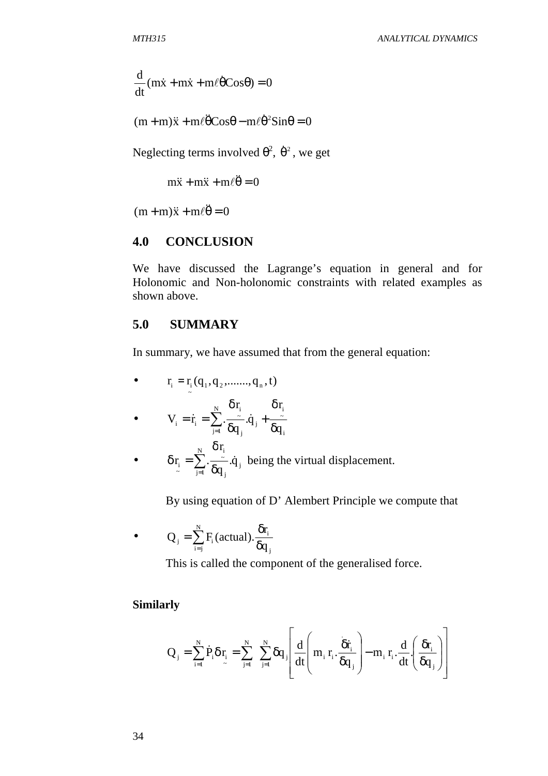$$
\frac{d}{dt}(m\dot{x} + m\dot{x} + m\ell)\dot{\theta} \cos\theta) = 0
$$

$$
(m+m)\ddot{x} + m\ell \ddot{\theta} \cos\theta - m\ell \dot{\theta}^2 \sin\theta = 0
$$

Neglecting terms involved  $\theta^2$ ,  $\dot{\theta}^2$ , we get

 $m\ddot{x} + m\ddot{x} + m\ell\ddot{\theta} = 0$ 

 $(m + m)\ddot{x} + m\ell \ddot{\theta} = 0$ 

## **4.0 CONCLUSION**

We have discussed the Lagrange's equation in general and for Holonomic and Non-holonomic constraints with related examples as shown above.

### **5.0 SUMMARY**

In summary, we have assumed that from the general equation:

\n- $$
r_i = r_i(q_1, q_2, \ldots, q_n, t)
$$
\n- $V_i = \dot{r}_i = \sum_{j=1}^{N} \frac{\delta r_i}{\delta q_j} \dot{q}_j + \frac{\delta r_i}{\delta q_i}$
\n- $\delta r_i = \sum_{j=1}^{N} \frac{\delta r_i}{\delta q_j} \dot{q}_j$  being the virtual displacement.
\n

By using equation of D' Alembert Principle we compute that

• 
$$
Q_i = \sum_{i=1}^{N} F_i(\text{actual}) \cdot \frac{\delta r_i}{\delta q_i}
$$

This is called the component of the generalised force.

### **Similarly**

$$
Q_j = \sum_{i=1}^N \dot{P}_i \delta r_i = \sum_{j=1}^N \sum_{j=1}^N \delta q_j \left[ \frac{d}{dt} \left( m_i \, r_i \cdot \frac{\delta \dot{r}_i}{\delta q_j} \right) - m_i \, r_i \cdot \frac{d}{dt} \left( \frac{\delta r_i}{\delta q_j} \right) \right]
$$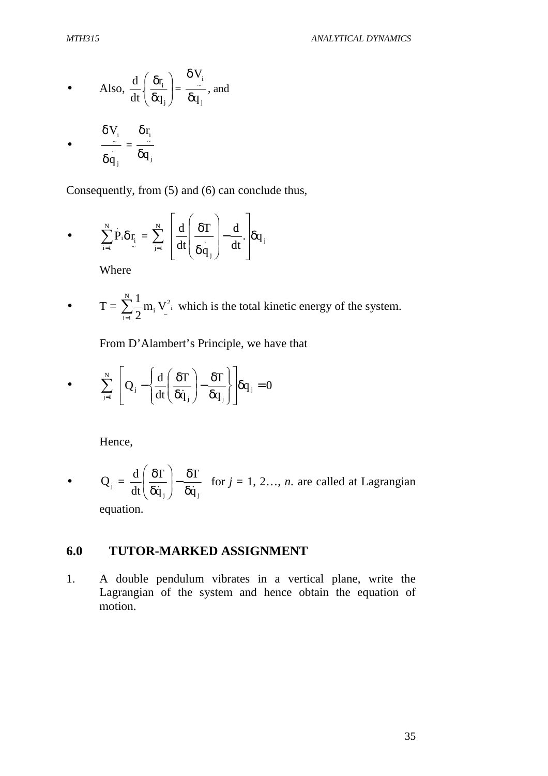• Also, 
$$
\frac{d}{dt} \left( \frac{\delta r_i}{\delta q_j} \right) = \frac{\delta V_i}{\delta q_j}
$$
, and

$$
\bullet \qquad \frac{\delta V_i}{\delta \dot{q}_j} = \frac{\delta r_i}{\delta q_j}
$$

Consequently, from (5) and (6) can conclude thus,

• 
$$
\sum_{i=1}^{N} P_{i} \delta r_{i} = \sum_{j=1}^{N} \left[ \frac{d}{dt} \left( \frac{\delta T}{\delta q_{j}} \right) - \frac{d}{dt} \right] \delta q_{j}
$$

Where

• 
$$
T = \sum_{i=1}^{N} \frac{1}{2} m_i V_{i}^{2}
$$
 which is the total kinetic energy of the system.

From D'Alambert's Principle, we have that

• 
$$
\sum_{j=1}^{N} \left[ Q_j - \left\{ \frac{d}{dt} \left( \frac{\delta T}{\delta \dot{q}_j} \right) - \frac{\delta T}{\delta q_j} \right\} \right] \delta q_j = 0
$$

Hence,

•  $Q_j =$  $_{\rm j}$  )  $\delta \dot {\rm q}_{\rm \, j}$ T q T dt d  $\overline{\dot{\mathsf{q}}_{\text{i}}}\,\big)^{-}\,\overline{\delta\dot{\mathsf{q}}}$ δ −  $\overline{\phantom{a}}$ J  $\backslash$  $\mathsf{I}$  $\mathsf{I}$  $\setminus$ ſ δ  $\frac{\delta T}{\delta T}$   $\Big| -\frac{\delta T}{\delta T}$  for  $j = 1, 2..., n$  are called at Lagrangian equation.

## **6.0 TUTOR-MARKED ASSIGNMENT**

1. A double pendulum vibrates in a vertical plane, write the Lagrangian of the system and hence obtain the equation of motion.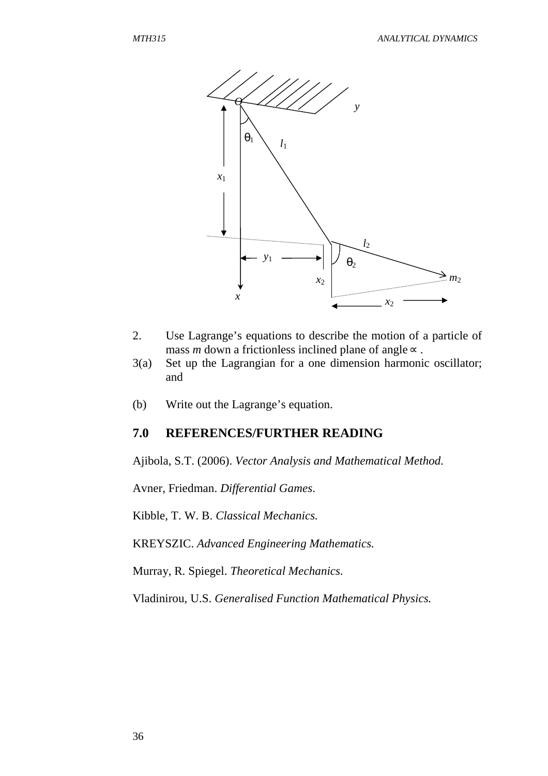

- 2. Use Lagrange's equations to describe the motion of a particle of mass *m* down a frictionless inclined plane of angle∝ .
- 3(a) Set up the Lagrangian for a one dimension harmonic oscillator; and
- (b) Write out the Lagrange's equation.

### **7.0 REFERENCES/FURTHER READING**

Ajibola, S.T. (2006). *Vector Analysis and Mathematical Method.*

Avner, Friedman. *Differential Games*.

Kibble, T. W. B. *Classical Mechanics.*

KREYSZIC. *Advanced Engineering Mathematics.*

Murray, R. Spiegel. *Theoretical Mechanics.*

Vladinirou, U.S. *Generalised Function Mathematical Physics.*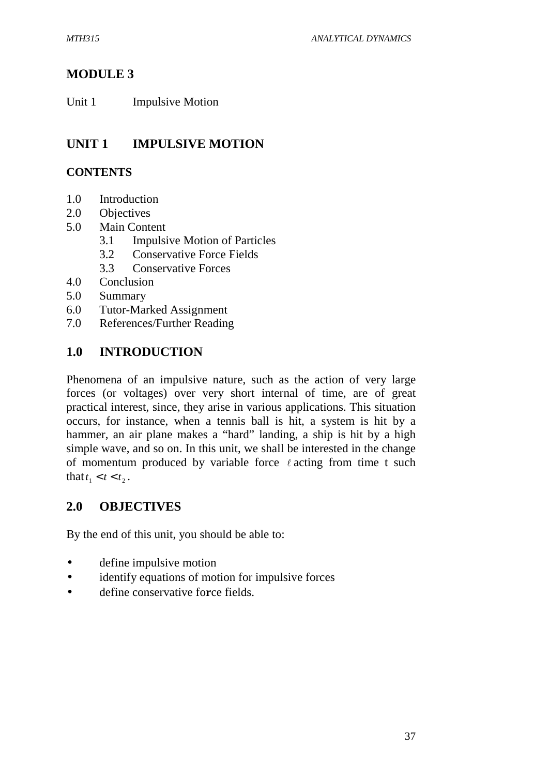# **MODULE 3**

Unit 1 Impulsive Motion

# **UNIT 1 IMPULSIVE MOTION**

## **CONTENTS**

- 1.0 Introduction
- 2.0 Objectives
- 5.0 Main Content
	- 3.1 Impulsive Motion of Particles
	- 3.2 Conservative Force Fields
	- 3.3 Conservative Forces
- 4.0 Conclusion
- 5.0 Summary
- 6.0 Tutor-Marked Assignment
- 7.0 References/Further Reading

# **1.0 INTRODUCTION**

Phenomena of an impulsive nature, such as the action of very large forces (or voltages) over very short internal of time, are of great practical interest, since, they arise in various applications. This situation occurs, for instance, when a tennis ball is hit, a system is hit by a hammer, an air plane makes a "hard" landing, a ship is hit by a high simple wave, and so on. In this unit, we shall be interested in the change of momentum produced by variable force  $\ell$  acting from time t such that  $t_1 < t < t_2$ .

# **2.0 OBJECTIVES**

By the end of this unit, you should be able to:

- define impulsive motion
- identify equations of motion for impulsive forces
- define conservative fo**r**ce fields.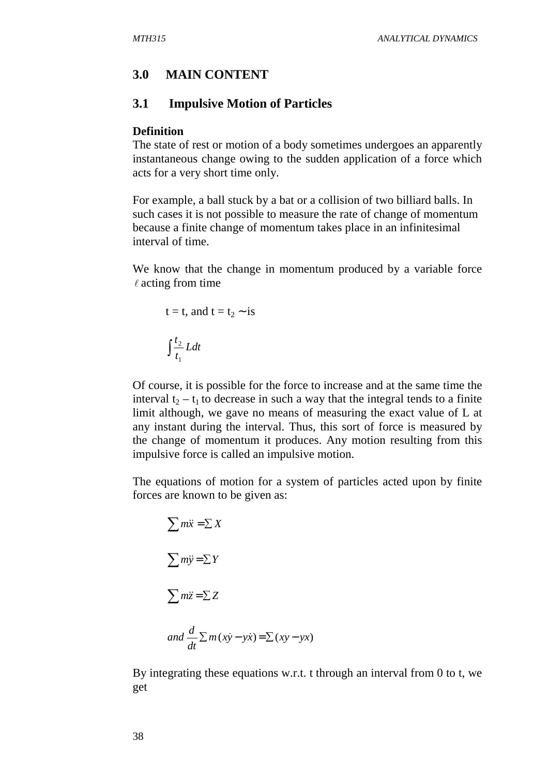### **3.0 MAIN CONTENT**

## **3.1 Impulsive Motion of Particles**

#### **Definition**

The state of rest or motion of a body sometimes undergoes an apparently instantaneous change owing to the sudden application of a force which acts for a very short time only.

For example, a ball stuck by a bat or a collision of two billiard balls. In such cases it is not possible to measure the rate of change of momentum because a finite change of momentum takes place in an infinitesimal interval of time.

We know that the change in momentum produced by a variable force  $\ell$  acting from time

$$
t = t, \text{ and } t = t_2 \sim \text{ is}
$$

$$
\int \frac{t_2}{t_1} L dt
$$

Of course, it is possible for the force to increase and at the same time the interval  $t_2 - t_1$  to decrease in such a way that the integral tends to a finite limit although, we gave no means of measuring the exact value of L at any instant during the interval. Thus, this sort of force is measured by the change of momentum it produces. Any motion resulting from this impulsive force is called an impulsive motion.

The equations of motion for a system of particles acted upon by finite forces are known to be given as:

$$
\sum m\ddot{x} = \sum X
$$
  

$$
\sum m\ddot{y} = \sum Y
$$
  

$$
\sum m\ddot{z} = \sum Z
$$
  
and 
$$
\frac{d}{dt} \sum m(x\dot{y} - y\dot{x}) = \sum (xy - yx)
$$

By integrating these equations w.r.t. t through an interval from 0 to t, we get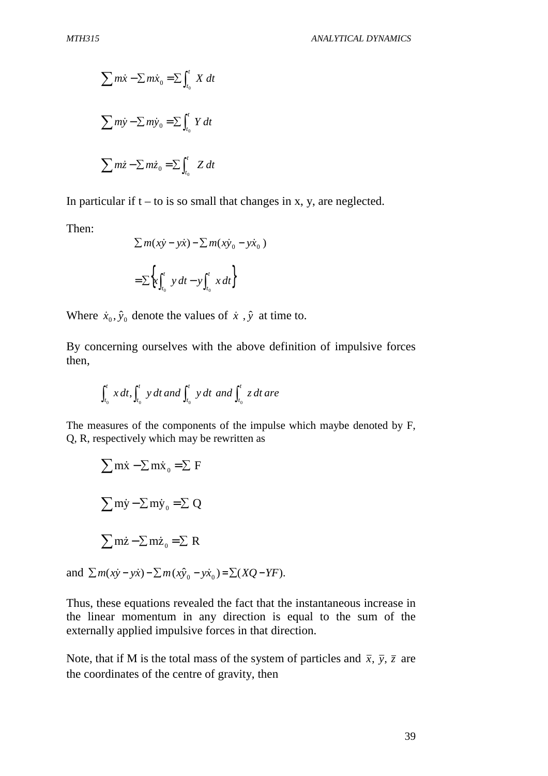$$
\sum m\dot{x} - \sum m\dot{x}_0 = \sum \int_{t_0}^{t} X dt
$$
  

$$
\sum m\dot{y} - \sum m\dot{y}_0 = \sum \int_{t_0}^{t} Y dt
$$
  

$$
\sum m\dot{z} - \sum m\dot{z}_0 = \sum \int_{t_0}^{t} Z dt
$$

In particular if  $t - t$  is so small that changes in x, y, are neglected.

Then:

$$
\Sigma m(x\dot{y} - y\dot{x}) - \Sigma m(x\dot{y}_0 - y\dot{x}_0)
$$

$$
= \Sigma \left\{ x \int_{t_0}^t y dt - y \int_{t_0}^t x dt \right\}
$$

Where  $\dot{x}_0$ ,  $\hat{y}_0$  denote the values of  $\dot{x}$ ,  $\hat{y}$  at time to.

By concerning ourselves with the above definition of impulsive forces then,

$$
\int_{t_0}^t x\,dt, \int_{t_0}^t y\,dt\,and \int_{t_0}^t y\,dt\,and \int_{t_0}^t z\,dt\,are
$$

The measures of the components of the impulse which maybe denoted by F, Q, R, respectively which may be rewritten as

$$
\sum \vec{m} \cdot \vec{v} - \sum \vec{m} \cdot \vec{v} = \sum F
$$
  

$$
\sum \vec{m} \cdot \vec{v} - \sum \vec{m} \cdot \vec{v} = \sum Q
$$
  

$$
\sum \vec{m} \cdot \vec{v} - \sum \vec{m} \cdot \vec{z} = \sum R
$$

and  $\sum m(x\dot{y} - y\dot{x}) - \sum m(x\hat{y}_0 - y\dot{x}_0) = \sum (XQ - YF)$ .

Thus, these equations revealed the fact that the instantaneous increase in the linear momentum in any direction is equal to the sum of the externally applied impulsive forces in that direction.

Note, that if M is the total mass of the system of particles and  $\bar{x}$ ,  $\bar{y}$ ,  $\bar{z}$  are the coordinates of the centre of gravity, then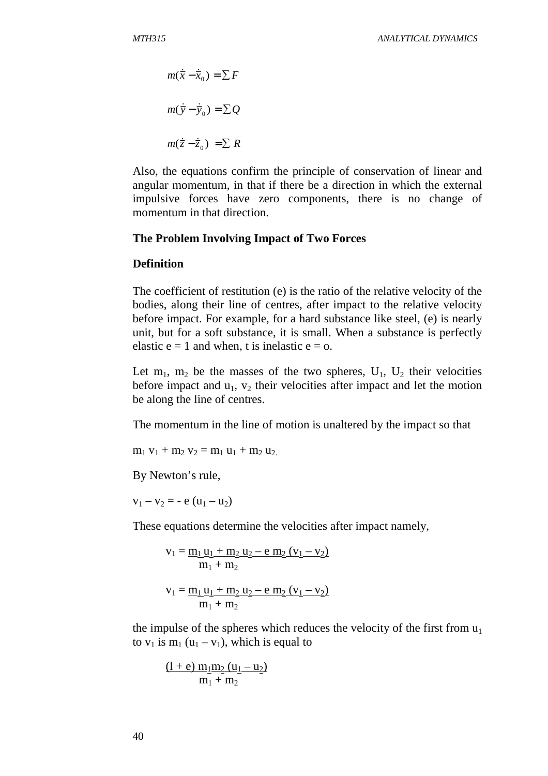$$
m(\dot{\overline{x}} - \dot{\overline{x}}_0) = \sum F
$$
  

$$
m(\dot{\overline{y}} - \dot{\overline{y}}_0) = \sum Q
$$
  

$$
m(\dot{\overline{z}} - \dot{\overline{z}}_0) = \sum R
$$

Also, the equations confirm the principle of conservation of linear and angular momentum, in that if there be a direction in which the external impulsive forces have zero components, there is no change of momentum in that direction.

#### **The Problem Involving Impact of Two Forces**

#### **Definition**

The coefficient of restitution (e) is the ratio of the relative velocity of the bodies, along their line of centres, after impact to the relative velocity before impact. For example, for a hard substance like steel, (e) is nearly unit, but for a soft substance, it is small. When a substance is perfectly elastic  $e = 1$  and when, t is inelastic  $e = 0$ .

Let  $m_1$ ,  $m_2$  be the masses of the two spheres,  $U_1$ ,  $U_2$  their velocities before impact and  $u_1$ ,  $v_2$  their velocities after impact and let the motion be along the line of centres.

The momentum in the line of motion is unaltered by the impact so that

 $m_1 v_1 + m_2 v_2 = m_1 u_1 + m_2 u_2$ .

By Newton's rule,

 $v_1 - v_2 = -e (u_1 - u_2)$ 

These equations determine the velocities after impact namely,

$$
v_1 = \frac{m_1 u_1 + m_2 u_2 - e m_2 (v_1 - v_2)}{m_1 + m_2}
$$

$$
v_1 = \frac{m_1 u_1 + m_2 u_2 - e m_2 (v_1 - v_2)}{m_1 + m_2}
$$

the impulse of the spheres which reduces the velocity of the first from  $u_1$ to  $v_1$  is  $m_1$  (u<sub>1</sub> – v<sub>1</sub>), which is equal to

$$
\frac{(l+e) \, m_1 m_2 (u_1 - u_2)}{m_1 + m_2}
$$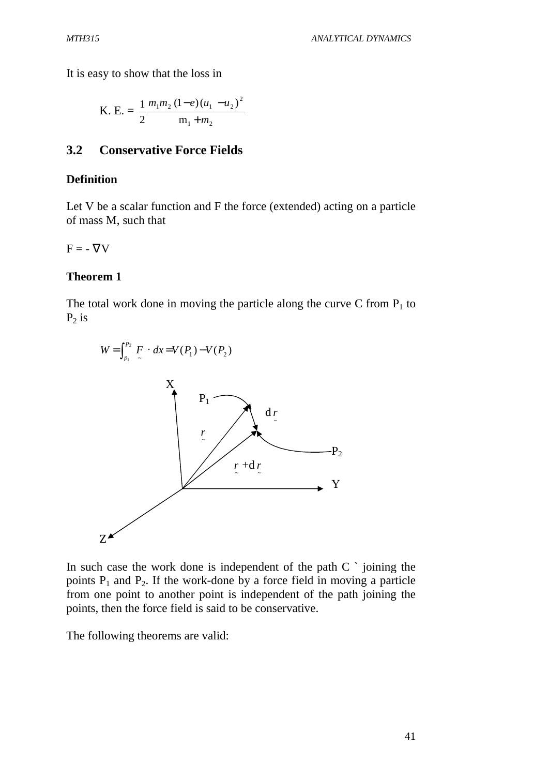It is easy to show that the loss in

K. E. = 
$$
\frac{1}{2} \frac{m_1 m_2 (1-e) (u_1 - u_2)^2}{m_1 + m_2}
$$

## **3.2 Conservative Force Fields**

### **Definition**

Let V be a scalar function and F the force (extended) acting on a particle of mass M, such that

 $F = -\nabla V$ 

### **Theorem 1**

The total work done in moving the particle along the curve C from  $P_1$  to  $P_2$  is



In such case the work done is independent of the path  $C^{\dagger}$  joining the points  $P_1$  and  $P_2$ . If the work-done by a force field in moving a particle from one point to another point is independent of the path joining the points, then the force field is said to be conservative.

The following theorems are valid: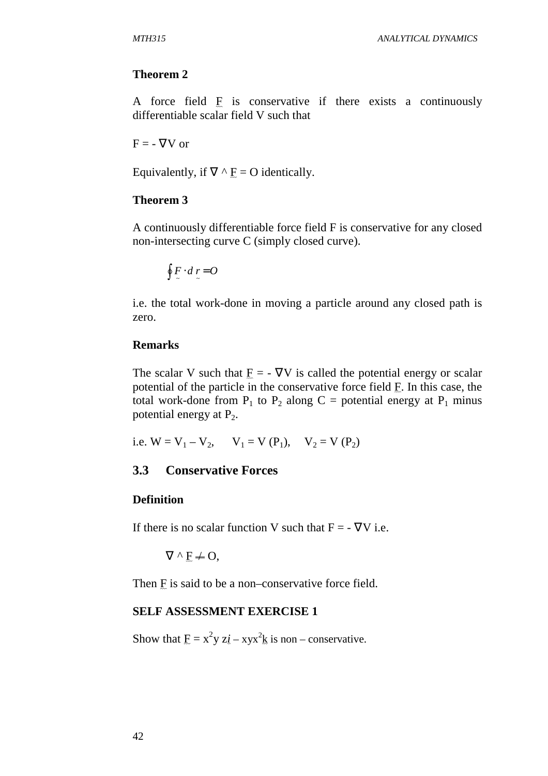#### **Theorem 2**

A force field  $E$  is conservative if there exists a continuously differentiable scalar field V such that

 $F = -\nabla V$  or

Equivalently, if  $\nabla \wedge \mathbf{F} = \mathbf{O}$  identically.

#### **Theorem 3**

A continuously differentiable force field F is conservative for any closed non-intersecting curve C (simply closed curve).

$$
\oint\limits_{0}^{1} F \cdot d\,r = O
$$

i.e. the total work-done in moving a particle around any closed path is zero.

#### **Remarks**

The scalar V such that  $E = -\nabla V$  is called the potential energy or scalar potential of the particle in the conservative force field  $E$ . In this case, the total work-done from  $P_1$  to  $P_2$  along  $C =$  potential energy at  $P_1$  minus potential energy at  $P_2$ .

i.e.  $W = V_1 - V_2$ ,  $V_1 = V (P_1)$ ,  $V_2 = V (P_2)$ 

## **3.3 Conservative Forces**

#### **Definition**

If there is no scalar function V such that  $F = -\nabla V$  i.e.

 $\nabla^{\wedge} F \neq O$ .

Then  $E$  is said to be a non–conservative force field.

#### **SELF ASSESSMENT EXERCISE 1**

Show that  $\underline{F} = x^2y z\underline{i} - xyx^2\underline{k}$  is non – conservative.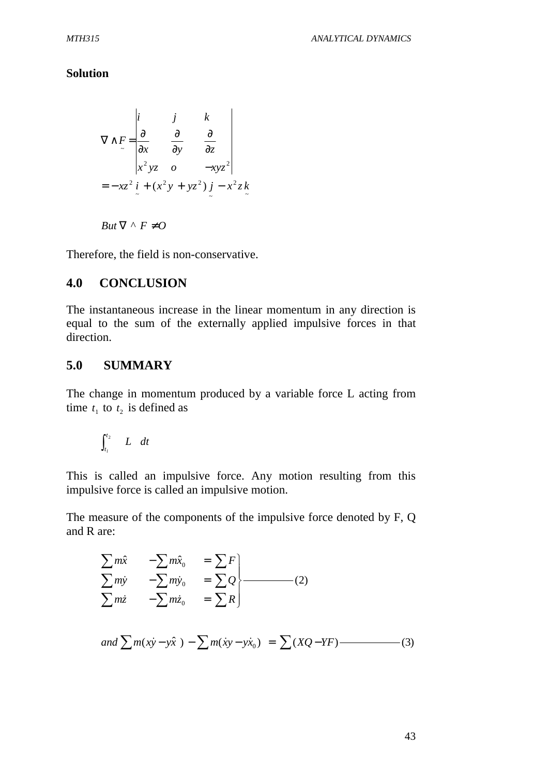#### **Solution**

$$
\nabla \wedge F = \begin{vmatrix} i & j & k \\ \frac{\partial}{\partial x} & \frac{\partial}{\partial y} & \frac{\partial}{\partial z} \\ x^2 yz & o & -xyz^2 \end{vmatrix}
$$
  
=  $-xz^2 \vec{i} + (x^2y + yz^2) \vec{j} - x^2z\vec{k}$ 

$$
But \nabla \wedge F \neq O
$$

Therefore, the field is non-conservative.

### **4.0 CONCLUSION**

The instantaneous increase in the linear momentum in any direction is equal to the sum of the externally applied impulsive forces in that direction.

#### **5.0 SUMMARY**

The change in momentum produced by a variable force L acting from time  $t_1$  to  $t_2$  is defined as

$$
\int_{t_l}^{t_2} L dt
$$

This is called an impulsive force. Any motion resulting from this impulsive force is called an impulsive motion.

The measure of the components of the impulsive force denoted by F, Q and R are:

$$
\sum m\hat{x} - \sum m\hat{x}_0 = \sum F
$$
\n
$$
\sum m\hat{y} - \sum m\hat{y}_0 = \sum Q
$$
\n
$$
\sum m\hat{z} - \sum m\hat{z}_0 = \sum R
$$
\nand\n
$$
\sum m(x\hat{y} - y\hat{x}) - \sum m(\hat{x}y - y\hat{x}_0) = \sum (XQ - YF)
$$
\n(3)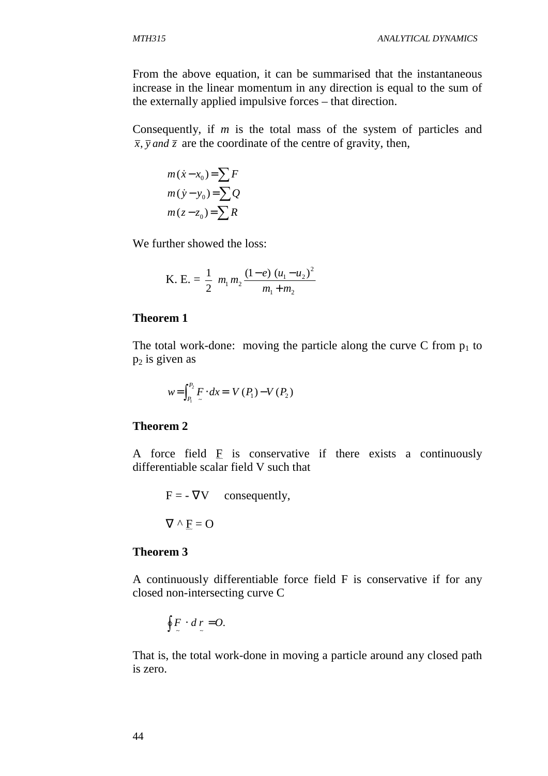From the above equation, it can be summarised that the instantaneous increase in the linear momentum in any direction is equal to the sum of the externally applied impulsive forces – that direction.

Consequently, if *m* is the total mass of the system of particles and  $\overline{x}$ ,  $\overline{y}$  *and*  $\overline{z}$  are the coordinate of the centre of gravity, then,

$$
m(\dot{x} - x_0) = \sum F
$$
  

$$
m(\dot{y} - y_0) = \sum Q
$$
  

$$
m(z - z_0) = \sum R
$$

We further showed the loss:

K. E. = 
$$
\frac{1}{2}
$$
  $m_1 m_2 \frac{(1-e) (u_1 - u_2)^2}{m_1 + m_2}$ 

#### **Theorem 1**

The total work-done: moving the particle along the curve C from  $p_1$  to  $p_2$  is given as

$$
w = \int_{P_1}^{P_2} F \cdot dx = V(P_1) - V(P_2)
$$

#### **Theorem 2**

A force field  $E$  is conservative if there exists a continuously differentiable scalar field V such that

 $F = -\nabla V$  consequently,  $\nabla \wedge F = \Omega$ 

$$
V'' \times F = O
$$

#### **Theorem 3**

A continuously differentiable force field F is conservative if for any closed non-intersecting curve C

$$
\oint\limits_{-\infty}^{\infty} \cdot d\,r = O.
$$

That is, the total work-done in moving a particle around any closed path is zero.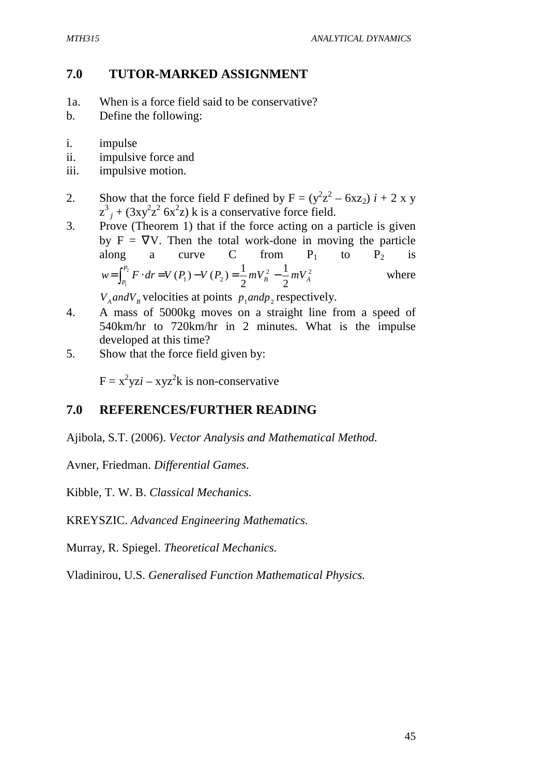## **7.0 TUTOR-MARKED ASSIGNMENT**

- 1a. When is a force field said to be conservative?
- b. Define the following:
- i. impulse
- ii. impulsive force and
- iii. impulsive motion.
- 2. Show that the force field F defined by  $F = (y^2z^2 6xz_2) i + 2x y$  $z^3$ <sub>*j*</sub> + (3xy<sup>2</sup>z<sup>2</sup> 6x<sup>2</sup>z) k is a conservative force field.
- 3. Prove (Theorem 1) that if the force acting on a particle is given by  $F = \nabla V$ . Then the total work-done in moving the particle along a curve C from  $P_1$  to  $P_2$  is 2  $\frac{1}{2}$   $\frac{1}{2}$  $1^{\prime}$   $(1^2)^{-}$   $2^{m \nu_B}$  2 1 2  $\int_{0}^{2} F \cdot dr = V(P_1) - V(P_2) = \frac{1}{2}$  $\sum_{1}^{B} P^{(H)}(A_1)$   $V^{(1)}(A_2) = \sum_{1}^{B} P^{(H)}(A_1)$ *P*  $W = \int_{P_1}^{P_2} F \cdot dr = V(P_1) - V(P_2) = \frac{1}{2} mV_B^2 - \frac{1}{2} mV$ where

 $V_A$  *and* $V_B$  velocities at points  $p_1$  *and* $p_2$  respectively.

- 4. A mass of 5000kg moves on a straight line from a speed of 540km/hr to 720km/hr in 2 minutes. What is the impulse developed at this time?
- 5. Show that the force field given by:

 $F = x^2yzi - xyz^2k$  is non-conservative

# **7.0 REFERENCES/FURTHER READING**

Ajibola, S.T. (2006). *Vector Analysis and Mathematical Method.* 

Avner, Friedman. *Differential Games*.

Kibble, T. W. B. *Classical Mechanics.* 

KREYSZIC. *Advanced Engineering Mathematics.* 

Murray, R. Spiegel. *Theoretical Mechanics.*

Vladinirou, U.S. *Generalised Function Mathematical Physics.*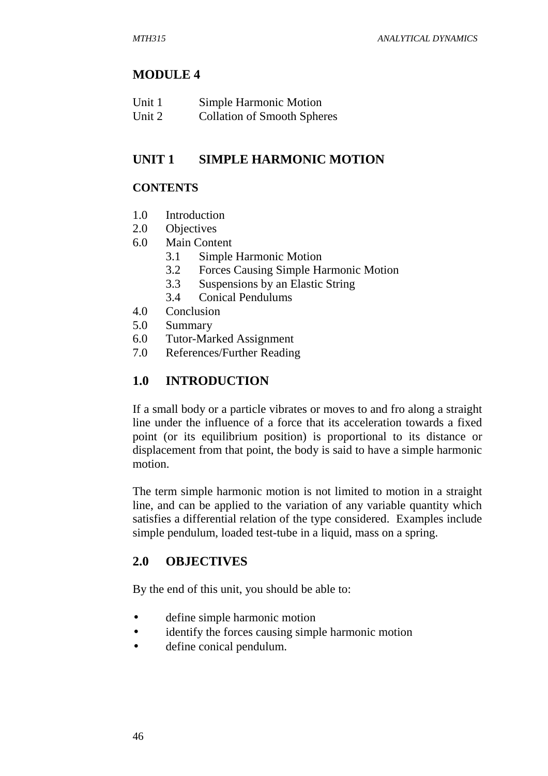# **MODULE 4**

| Unit 1 | Simple Harmonic Motion             |
|--------|------------------------------------|
| Unit 2 | <b>Collation of Smooth Spheres</b> |

# **UNIT 1 SIMPLE HARMONIC MOTION**

## **CONTENTS**

- 1.0 Introduction
- 2.0 Objectives
- 6.0 Main Content
	- 3.1 Simple Harmonic Motion
		- 3.2 Forces Causing Simple Harmonic Motion
		- 3.3 Suspensions by an Elastic String
	- 3.4 Conical Pendulums
- 4.0 Conclusion
- 5.0 Summary
- 6.0 Tutor-Marked Assignment
- 7.0 References/Further Reading

# **1.0 INTRODUCTION**

If a small body or a particle vibrates or moves to and fro along a straight line under the influence of a force that its acceleration towards a fixed point (or its equilibrium position) is proportional to its distance or displacement from that point, the body is said to have a simple harmonic motion.

The term simple harmonic motion is not limited to motion in a straight line, and can be applied to the variation of any variable quantity which satisfies a differential relation of the type considered. Examples include simple pendulum, loaded test-tube in a liquid, mass on a spring.

# **2.0 OBJECTIVES**

By the end of this unit, you should be able to:

- define simple harmonic motion
- identify the forces causing simple harmonic motion
- define conical pendulum.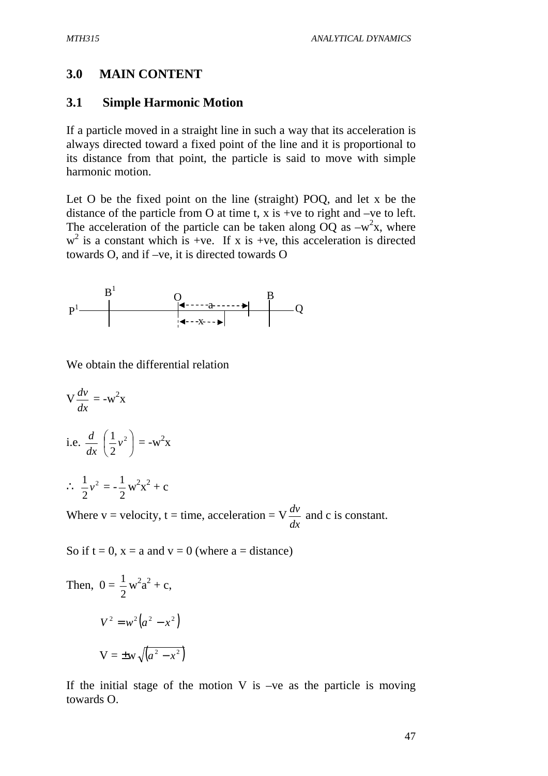## **3.0 MAIN CONTENT**

#### **3.1 Simple Harmonic Motion**

If a particle moved in a straight line in such a way that its acceleration is always directed toward a fixed point of the line and it is proportional to its distance from that point, the particle is said to move with simple harmonic motion.

Let O be the fixed point on the line (straight) POQ, and let x be the distance of the particle from O at time t,  $x$  is +ve to right and –ve to left. The acceleration of the particle can be taken along  $\overrightarrow{OQ}$  as  $-w^2x$ , where  $w<sup>2</sup>$  is a constant which is +ve. If x is +ve, this acceleration is directed towards O, and if –ve, it is directed towards O



We obtain the differential relation

$$
\mathbf{V} \frac{dv}{dx} = -\mathbf{w}^2 \mathbf{x}
$$
  
i.e. 
$$
\frac{d}{dx} \left(\frac{1}{2} v^2\right) = -\mathbf{w}^2 \mathbf{x}
$$

$$
\therefore \frac{1}{2} v^2 = -\frac{1}{2} \mathbf{w}^2 \mathbf{x}^2 + \mathbf{c}
$$

Where  $v =$  velocity,  $t =$  time, acceleration  $= V$ *dx*  $\frac{dv}{dt}$  and c is constant.

So if  $t = 0$ ,  $x = a$  and  $y = 0$  (where  $a = distance$ )

Then, 
$$
0 = \frac{1}{2} w^2 a^2 + c
$$
,  
\n $V^2 = w^2 (a^2 - x^2)$   
\n $V = \pm w \sqrt{(a^2 - x^2)}$ 

If the initial stage of the motion  $V$  is  $-ve$  as the particle is moving towards O.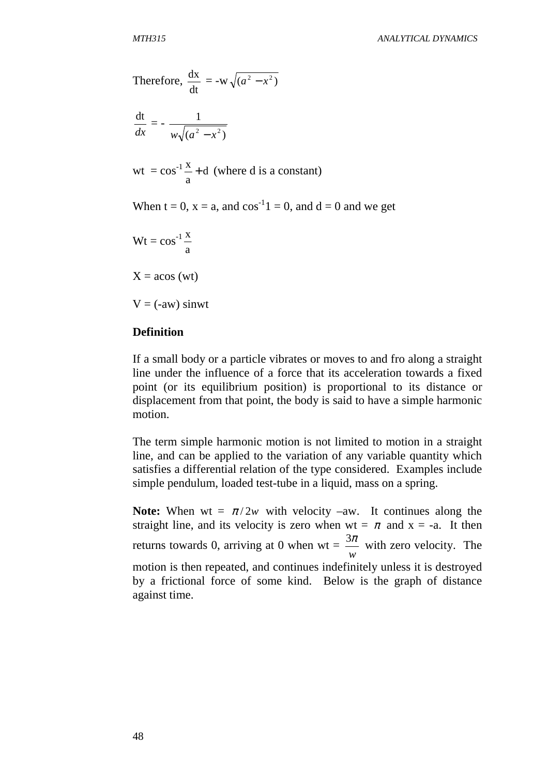Therefore, 
$$
\frac{dx}{dt} = -w\sqrt{(a^2 - x^2)}
$$

$$
\frac{\mathrm{dt}}{dx} = -\frac{1}{w\sqrt{(a^2 - x^2)}}
$$

wt = 
$$
\cos^{-1} \frac{x}{a}
$$
 + d (where d is a constant)

When  $t = 0$ ,  $x = a$ , and  $cos^{-1}1 = 0$ , and  $d = 0$  and we get

$$
Wt=\cos^{-1}\frac{x}{a}
$$

 $X = a\cos{(wt)}$ 

 $V = (-aw)$  sinwt

#### **Definition**

If a small body or a particle vibrates or moves to and fro along a straight line under the influence of a force that its acceleration towards a fixed point (or its equilibrium position) is proportional to its distance or displacement from that point, the body is said to have a simple harmonic motion.

The term simple harmonic motion is not limited to motion in a straight line, and can be applied to the variation of any variable quantity which satisfies a differential relation of the type considered. Examples include simple pendulum, loaded test-tube in a liquid, mass on a spring.

**Note:** When wt =  $\pi/2w$  with velocity –aw. It continues along the straight line, and its velocity is zero when  $wt = \pi$  and  $x = -a$ . It then returns towards 0, arriving at 0 when  $wt =$ *w*  $\frac{3\pi}{2}$  with zero velocity. The motion is then repeated, and continues indefinitely unless it is destroyed by a frictional force of some kind. Below is the graph of distance against time.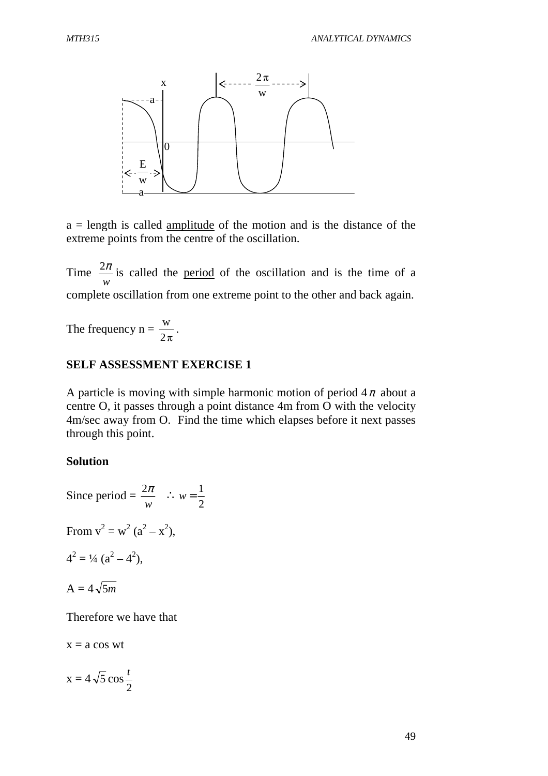

 $a =$  length is called amplitude of the motion and is the distance of the extreme points from the centre of the oscillation.

Time *w*  $\frac{2\pi}{1}$  is called the period of the oscillation and is the time of a complete oscillation from one extreme point to the other and back again.

The frequency  $n =$  $2\pi$  $\frac{w}{\cdot}$ .

#### **SELF ASSESSMENT EXERCISE 1**

A particle is moving with simple harmonic motion of period  $4\pi$  about a centre O, it passes through a point distance 4m from O with the velocity 4m/sec away from O. Find the time which elapses before it next passes through this point.

#### **Solution**

Since period  $=$ *w*  $\frac{2\pi}{\cdot}$  : 2  $w = \frac{1}{2}$ From  $v^2 = w^2 (a^2 - x^2)$ ,  $4^2 = \frac{1}{4} (a^2 - 4^2),$  $A = 4\sqrt{5m}$ 

Therefore we have that

 $x = a \cos wt$ 

$$
x = 4\sqrt{5}\cos\frac{t}{2}
$$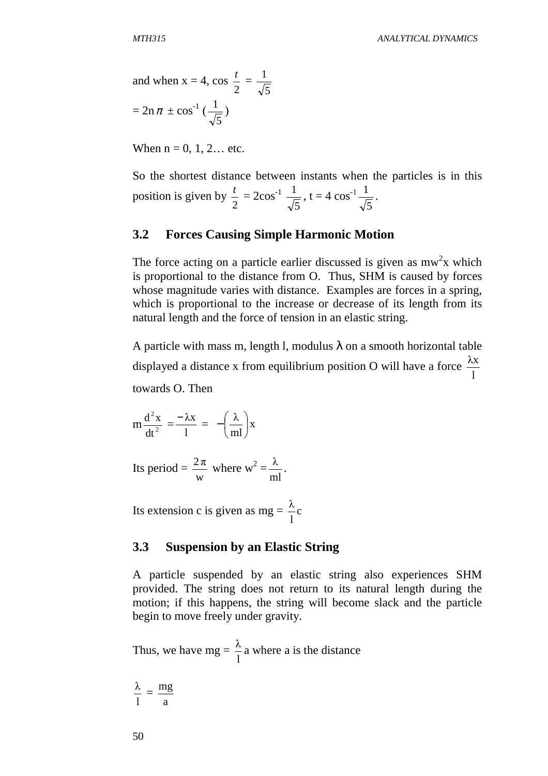and when x = 4, cos 
$$
\frac{t}{2}
$$
 =  $\frac{1}{\sqrt{5}}$   
=  $2n \pi \pm \cos^{-1}(\frac{1}{\sqrt{5}})$ 

When  $n = 0, 1, 2...$  etc.

So the shortest distance between instants when the particles is in this position is given by 2  $\frac{t}{2} = 2\cos^{-1}$ 5  $\frac{1}{\sqrt{2}}$ , t = 4 cos<sup>-1</sup> 5  $\frac{1}{\sqrt{2}}$ .

### **3.2 Forces Causing Simple Harmonic Motion**

The force acting on a particle earlier discussed is given as  $mw^2x$  which is proportional to the distance from O. Thus, SHM is caused by forces whose magnitude varies with distance. Examples are forces in a spring, which is proportional to the increase or decrease of its length from its natural length and the force of tension in an elastic string.

A particle with mass m, length l, modulus  $\lambda$  on a smooth horizontal table displayed a distance x from equilibrium position O will have a force l λx towards O. Then

$$
m\frac{d^2x}{dt^2} = \frac{-\lambda x}{l} = -\left(\frac{\lambda}{ml}\right)x
$$

Its period = w  $\frac{2\pi}{\pi}$  where w<sup>2</sup> = ml  $\frac{\lambda}{\cdot}$ .

Its extension c is given as mg =  $\frac{\pi}{2}c$ l λ

#### **3.3 Suspension by an Elastic String**

A particle suspended by an elastic string also experiences SHM provided. The string does not return to its natural length during the motion; if this happens, the string will become slack and the particle begin to move freely under gravity.

Thus, we have  $mg =$ l  $\frac{\lambda}{\lambda}$  a where a is the distance

l  $\frac{\lambda}{\cdot}$  = a mg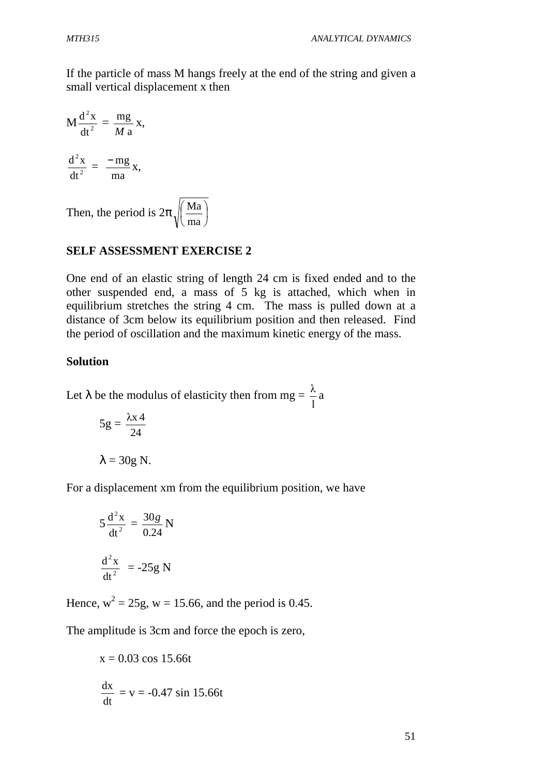If the particle of mass M hangs freely at the end of the string and given a small vertical displacement x then

$$
M\frac{d^2x}{dt^2} = \frac{mg}{M a}x,
$$
  

$$
\frac{d^2x}{dt^2} = \frac{-mg}{ma}x,
$$

Then, the period is  $2\pi$ ,  $\frac{|\text{ma}|}{|\text{ma}|}$ J  $\left(\frac{Ma}{A}\right)$ l ſ ma Ma

## **SELF ASSESSMENT EXERCISE 2**

One end of an elastic string of length 24 cm is fixed ended and to the other suspended end, a mass of 5 kg is attached, which when in equilibrium stretches the string 4 cm. The mass is pulled down at a distance of 3cm below its equilibrium position and then released. Find the period of oscillation and the maximum kinetic energy of the mass.

### **Solution**

Let  $\lambda$  be the modulus of elasticity then from mg = l  $\frac{\lambda}{a}$  a

$$
5g = \frac{\lambda x 4}{24}
$$

$$
\lambda = 30g \text{ N}.
$$

For a displacement xm from the equilibrium position, we have

$$
5\frac{d^2x}{dt^2} = \frac{30g}{0.24} N
$$

$$
\frac{d^2x}{dt^2} = -25g N
$$

Hence,  $w^2 = 25g$ ,  $w = 15.66$ , and the period is 0.45.

The amplitude is 3cm and force the epoch is zero,

$$
x = 0.03 \cos 15.66t
$$
  

$$
\frac{dx}{dt} = v = -0.47 \sin 15.66t
$$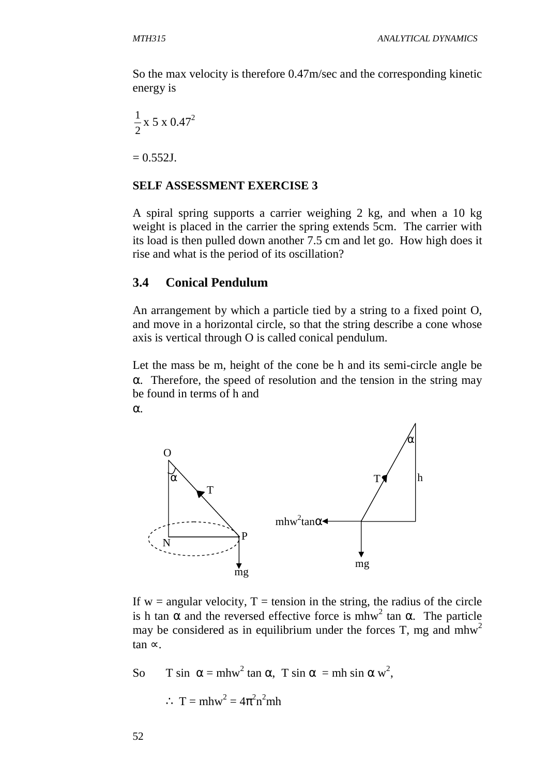So the max velocity is therefore 0.47m/sec and the corresponding kinetic energy is

$$
\frac{1}{2} \times 5 \times 0.47^2
$$

 $= 0.552$ J.

#### **SELF ASSESSMENT EXERCISE 3**

A spiral spring supports a carrier weighing 2 kg, and when a 10 kg weight is placed in the carrier the spring extends 5cm. The carrier with its load is then pulled down another 7.5 cm and let go. How high does it rise and what is the period of its oscillation?

## **3.4 Conical Pendulum**

An arrangement by which a particle tied by a string to a fixed point O, and move in a horizontal circle, so that the string describe a cone whose axis is vertical through O is called conical pendulum.

Let the mass be m, height of the cone be h and its semi-circle angle be α. Therefore, the speed of resolution and the tension in the string may be found in terms of h and α.



If  $w =$  angular velocity,  $T =$  tension in the string, the radius of the circle is h tan  $\alpha$  and the reversed effective force is mhw<sup>2</sup> tan  $\alpha$ . The particle may be considered as in equilibrium under the forces T, mg and  $m h w<sup>2</sup>$ tan ∝.

So T sin  $\alpha = mhw^2 \tan \alpha$ , T sin  $\alpha = mh \sin \alpha w^2$ ,  $\therefore$  T = mhw<sup>2</sup> =  $4\pi^2 n^2 m$ h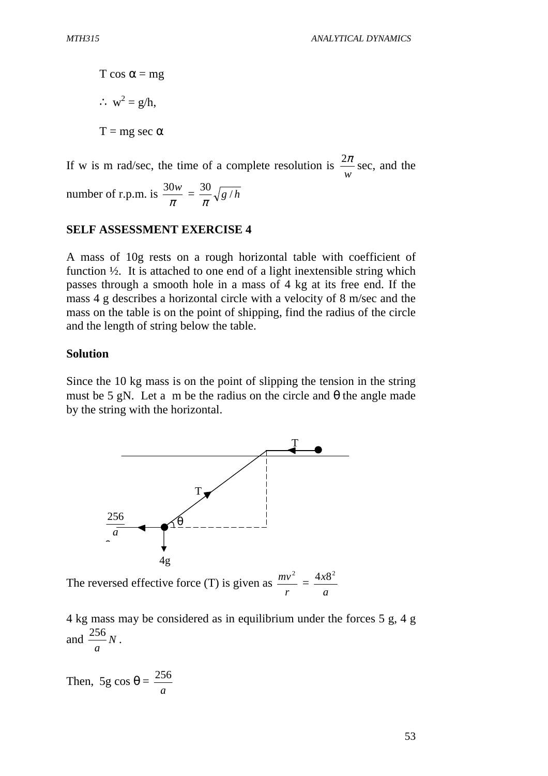T cos  $\alpha$  = mg ∴  $w^2 = g/h$ ,  $T = mg \sec \alpha$ 

If w is m rad/sec, the time of a complete resolution is *w*  $\frac{2\pi}{\pi}$  sec, and the

number of r.p.m. is  $\frac{30}{\pi}$  $\frac{30w}{\hbar} = \frac{30}{\sqrt{g/h}}$ π

## **SELF ASSESSMENT EXERCISE 4**

A mass of 10g rests on a rough horizontal table with coefficient of function  $\frac{1}{2}$ . It is attached to one end of a light inextensible string which passes through a smooth hole in a mass of 4 kg at its free end. If the mass 4 g describes a horizontal circle with a velocity of 8 m/sec and the mass on the table is on the point of shipping, find the radius of the circle and the length of string below the table.

#### **Solution**

Since the 10 kg mass is on the point of slipping the tension in the string must be 5 gN. Let a m be the radius on the circle and  $\theta$  the angle made by the string with the horizontal.



The reversed effective force (T) is given as *r*  $mv<sup>2</sup>$  = *a*  $4x8^2$ 

4 kg mass may be considered as in equilibrium under the forces 5 g, 4 g and  $\frac{256}{N}$ *a*  $\frac{256}{N}$ .

Then, 5g cos  $\theta$  = *a* 256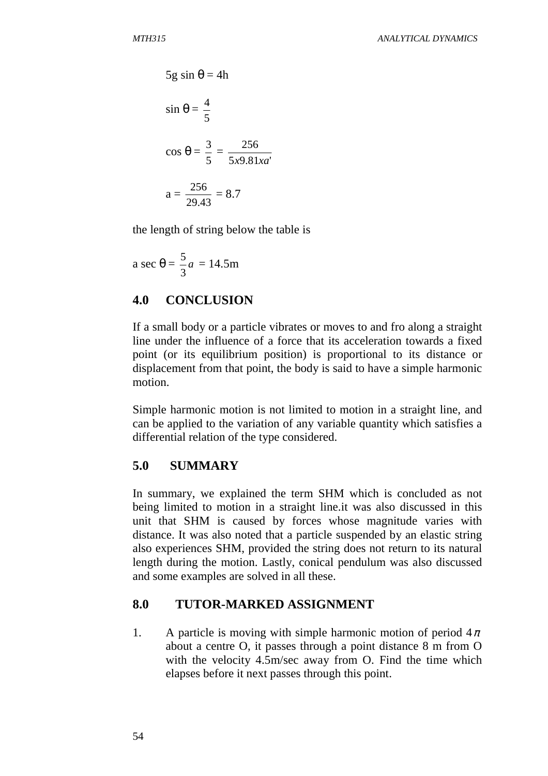$$
5g \sin \theta = 4h
$$
  

$$
\sin \theta = \frac{4}{5}
$$
  

$$
\cos \theta = \frac{3}{5} = \frac{256}{5x9.81xa'}
$$
  

$$
a = \frac{256}{29.43} = 8.7
$$

the length of string below the table is

a sec 
$$
\theta = \frac{5}{3}a = 14.5
$$
m

## **4.0 CONCLUSION**

If a small body or a particle vibrates or moves to and fro along a straight line under the influence of a force that its acceleration towards a fixed point (or its equilibrium position) is proportional to its distance or displacement from that point, the body is said to have a simple harmonic motion.

Simple harmonic motion is not limited to motion in a straight line, and can be applied to the variation of any variable quantity which satisfies a differential relation of the type considered.

## **5.0 SUMMARY**

In summary, we explained the term SHM which is concluded as not being limited to motion in a straight line.it was also discussed in this unit that SHM is caused by forces whose magnitude varies with distance. It was also noted that a particle suspended by an elastic string also experiences SHM, provided the string does not return to its natural length during the motion. Lastly, conical pendulum was also discussed and some examples are solved in all these.

## **8.0 TUTOR-MARKED ASSIGNMENT**

1. A particle is moving with simple harmonic motion of period  $4\pi$ about a centre O, it passes through a point distance 8 m from O with the velocity 4.5m/sec away from O. Find the time which elapses before it next passes through this point.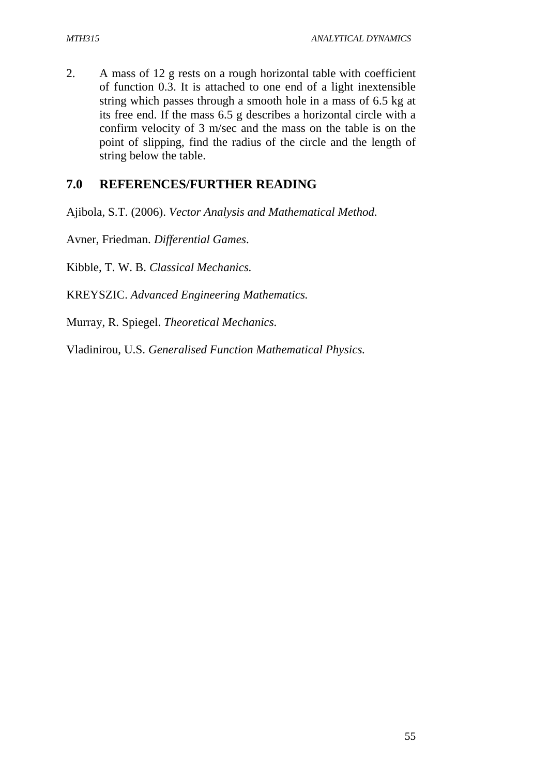2. A mass of 12 g rests on a rough horizontal table with coefficient of function 0.3. It is attached to one end of a light inextensible string which passes through a smooth hole in a mass of 6.5 kg at its free end. If the mass 6.5 g describes a horizontal circle with a confirm velocity of 3 m/sec and the mass on the table is on the point of slipping, find the radius of the circle and the length of string below the table.

## **7.0 REFERENCES/FURTHER READING**

Ajibola, S.T. (2006). *Vector Analysis and Mathematical Method.*

Avner, Friedman. *Differential Games*.

Kibble, T. W. B. *Classical Mechanics.*

KREYSZIC. *Advanced Engineering Mathematics.*

Murray, R. Spiegel. *Theoretical Mechanics.*

Vladinirou, U.S. *Generalised Function Mathematical Physics.*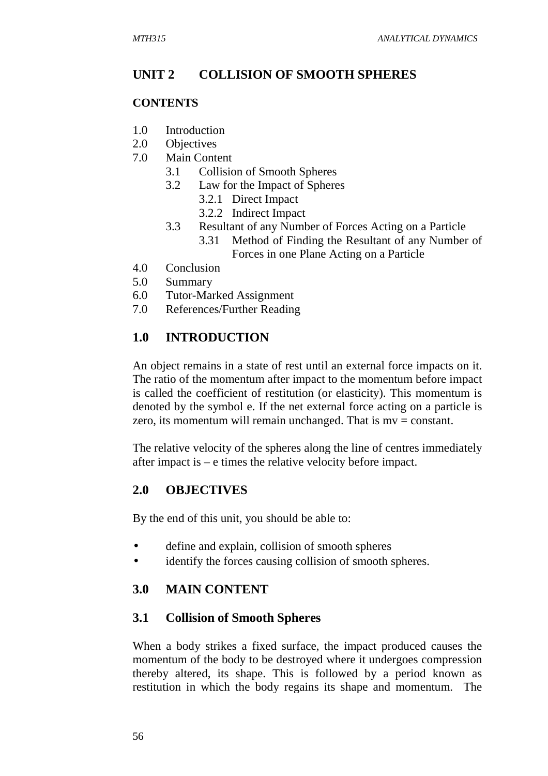## **UNIT 2 COLLISION OF SMOOTH SPHERES**

#### **CONTENTS**

- 1.0 Introduction
- 2.0 Objectives
- 7.0 Main Content
	- 3.1 Collision of Smooth Spheres
	- 3.2 Law for the Impact of Spheres
		- 3.2.1 Direct Impact
		- 3.2.2 Indirect Impact
	- 3.3 Resultant of any Number of Forces Acting on a Particle 3.31 Method of Finding the Resultant of any Number of
		- Forces in one Plane Acting on a Particle
- 4.0 Conclusion
- 5.0 Summary
- 6.0 Tutor-Marked Assignment
- 7.0 References/Further Reading

## **1.0 INTRODUCTION**

An object remains in a state of rest until an external force impacts on it. The ratio of the momentum after impact to the momentum before impact is called the coefficient of restitution (or elasticity). This momentum is denoted by the symbol e. If the net external force acting on a particle is zero, its momentum will remain unchanged. That is  $mv = constant$ .

The relative velocity of the spheres along the line of centres immediately after impact is – e times the relative velocity before impact.

## **2.0 OBJECTIVES**

By the end of this unit, you should be able to:

- define and explain, collision of smooth spheres
- identify the forces causing collision of smooth spheres.

## **3.0 MAIN CONTENT**

## **3.1 Collision of Smooth Spheres**

When a body strikes a fixed surface, the impact produced causes the momentum of the body to be destroyed where it undergoes compression thereby altered, its shape. This is followed by a period known as restitution in which the body regains its shape and momentum. The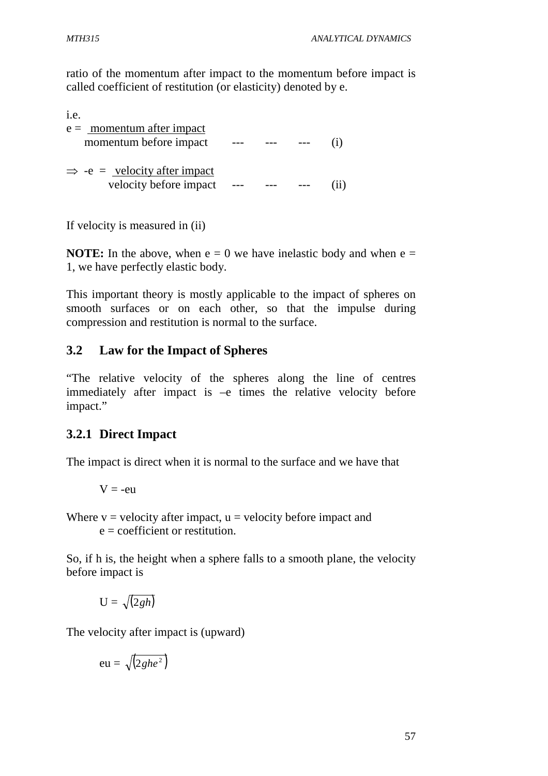ratio of the momentum after impact to the momentum before impact is called coefficient of restitution (or elasticity) denoted by e.

| i.e.                                                                     |  |  |
|--------------------------------------------------------------------------|--|--|
| $e = \underline{\text{momentum after impact}}$<br>momentum before impact |  |  |
| $\Rightarrow$ -e = velocity after impact<br>velocity before impact       |  |  |

If velocity is measured in (ii)

**NOTE:** In the above, when  $e = 0$  we have inelastic body and when  $e =$ 1, we have perfectly elastic body.

This important theory is mostly applicable to the impact of spheres on smooth surfaces or on each other, so that the impulse during compression and restitution is normal to the surface.

# **3.2 Law for the Impact of Spheres**

"The relative velocity of the spheres along the line of centres immediately after impact is –e times the relative velocity before impact."

# **3.2.1 Direct Impact**

The impact is direct when it is normal to the surface and we have that

$$
V = -eu
$$

Where  $v =$  velocity after impact,  $u =$  velocity before impact and  $e =$  coefficient or restitution.

So, if h is, the height when a sphere falls to a smooth plane, the velocity before impact is

$$
\mathrm{U}=\sqrt{(2\mathit{gh})}
$$

The velocity after impact is (upward)

$$
eu = \sqrt{(2ghe^2)}
$$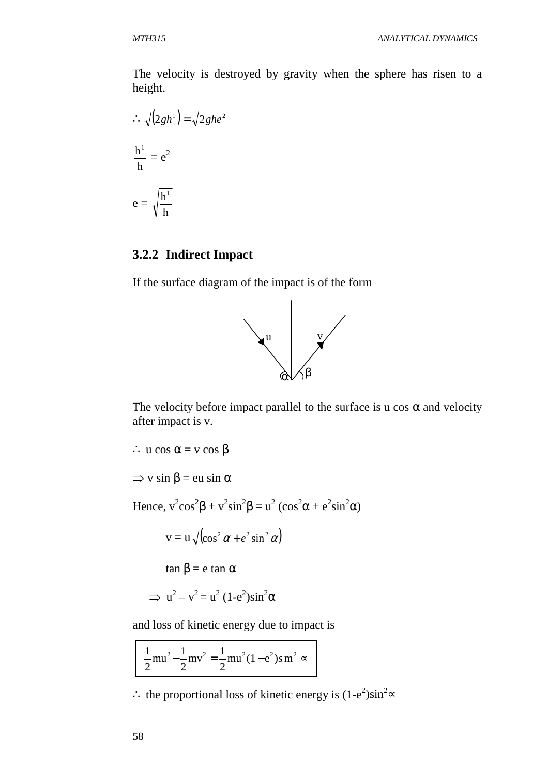The velocity is destroyed by gravity when the sphere has risen to a height.

$$
\therefore \sqrt{(2gh^{1})} = \sqrt{2ghe^{2}}
$$

$$
\frac{h^{1}}{h} = e^{2}
$$

$$
e = \sqrt{\frac{h^{1}}{h}}
$$

## **3.2.2 Indirect Impact**

If the surface diagram of the impact is of the form



The velocity before impact parallel to the surface is u cos  $\alpha$  and velocity after impact is v.

∴ u cos  $\alpha$  = v cos  $\beta$  $\Rightarrow$  v sin  $\beta$  = eu sin  $\alpha$ Hence,  $v^2 \cos^2 \beta + v^2 \sin^2 \beta = u^2 (\cos^2 \alpha + e^2 \sin^2 \alpha)$  $v = u \sqrt{\cos^2 \alpha + e^2 \sin^2 \alpha}$ tan β = e tan  $α$  $\Rightarrow$  u<sup>2</sup> – v<sup>2</sup> = u<sup>2</sup> (1-e<sup>2</sup>)sin<sup>2</sup>α

and loss of kinetic energy due to impact is

$$
\frac{1}{2}m u^2 - \frac{1}{2}m v^2 = \frac{1}{2}m u^2 (1 - e^2) s m^2 \approx
$$

∴ the proportional loss of kinetic energy is  $(1-e^2)\sin^2 \infty$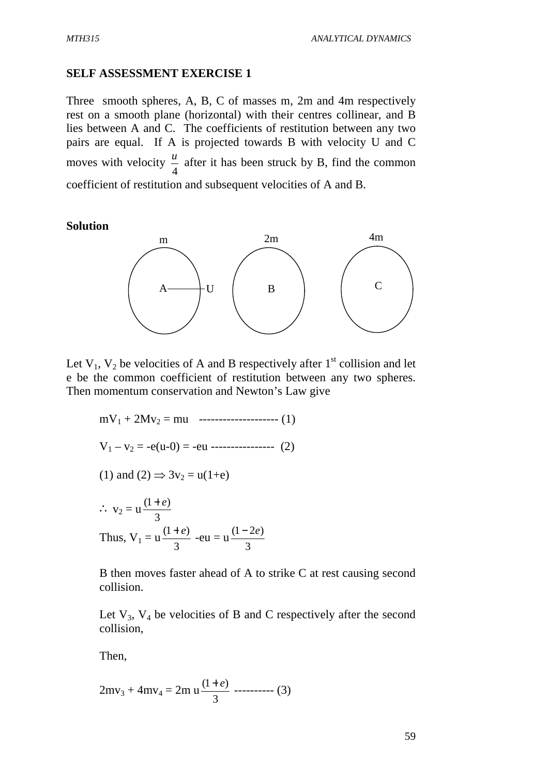### **SELF ASSESSMENT EXERCISE 1**

Three smooth spheres, A, B, C of masses m, 2m and 4m respectively rest on a smooth plane (horizontal) with their centres collinear, and B lies between A and C. The coefficients of restitution between any two pairs are equal. If A is projected towards B with velocity U and C moves with velocity 4  $\frac{u}{f}$  after it has been struck by B, find the common coefficient of restitution and subsequent velocities of A and B.

#### **Solution**



Let  $V_1$ ,  $V_2$  be velocities of A and B respectively after  $1<sup>st</sup>$  collision and let e be the common coefficient of restitution between any two spheres. Then momentum conservation and Newton's Law give

 $mV_1 + 2Mv_2 = mu$  --------------------- (1)  $V_1 - v_2 = -e(u-0) = -eu$  ----------------- (2) (1) and (2)  $\Rightarrow$  3 $v_2 = u(1+e)$ ∴  $v_2 = u$ 3  $(1 + e)$ Thus,  $V_1 = u$ 3  $\frac{(1+e)}{2}$  -eu = u 3  $(1 - 2e)$ 

B then moves faster ahead of A to strike C at rest causing second collision.

Let  $V_3$ ,  $V_4$  be velocities of B and C respectively after the second collision,

Then,

$$
2mv_3 + 4mv_4 = 2m \cdot u \frac{(1+e)}{3} \text{ \dots } (3)
$$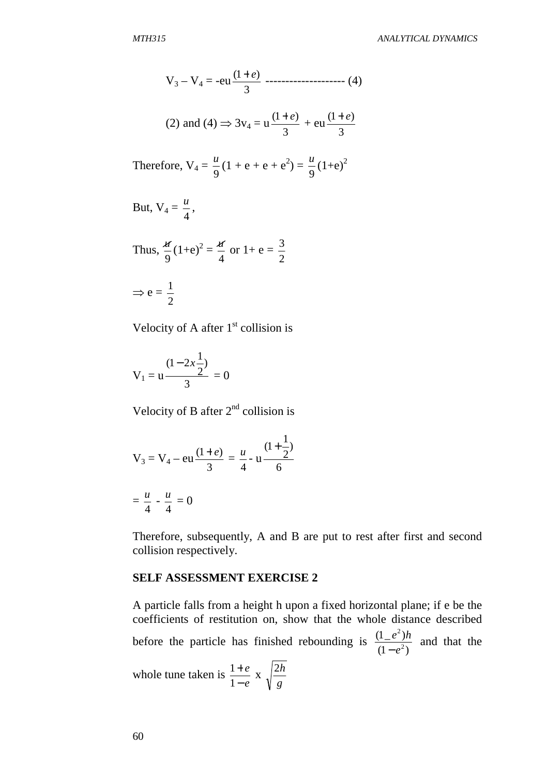$$
V_3 - V_4 = -eu \frac{(1+e)}{3} \dots \dots \dots \dots \dots \dots \dots \dots \tag{4}
$$

(2) and (4) 
$$
\Rightarrow
$$
 3v<sub>4</sub> = u  $\frac{(1+e)}{3}$  + eu  $\frac{(1+e)}{3}$ 

Therefore, 
$$
V_4 = \frac{u}{9}(1 + e + e + e^2) = \frac{u}{9}(1 + e)^2
$$

But, 
$$
V_4 = \frac{u}{4}
$$
,

Thus, 
$$
\frac{d}{9}(1+e)^2 = \frac{d}{4}
$$
 or  $1+e = \frac{3}{2}$ 

 $\Rightarrow$  e = 2 1

Velocity of A after  $1<sup>st</sup>$  collision is

$$
V_1 = u \frac{(1 - 2x\frac{1}{2})}{3} = 0
$$

Velocity of B after  $2<sup>nd</sup>$  collision is

$$
V_3 = V_4 - \text{eu}\frac{(1+e)}{3} = \frac{u}{4} - u\frac{(1+\frac{1}{2})}{6}
$$

$$
= \frac{u}{4} - \frac{u}{4} = 0
$$

Therefore, subsequently, A and B are put to rest after first and second collision respectively.

#### **SELF ASSESSMENT EXERCISE 2**

A particle falls from a height h upon a fixed horizontal plane; if e be the coefficients of restitution on, show that the whole distance described before the particle has finished rebounding is  $(1-e^2)$  $(1 \_ e^2)$ 2 2 *e*  $e^2$ ) $h$ − and that the whole tune taken is *e e* − + 1  $\frac{1+e}{1}$  x *g* 2*h*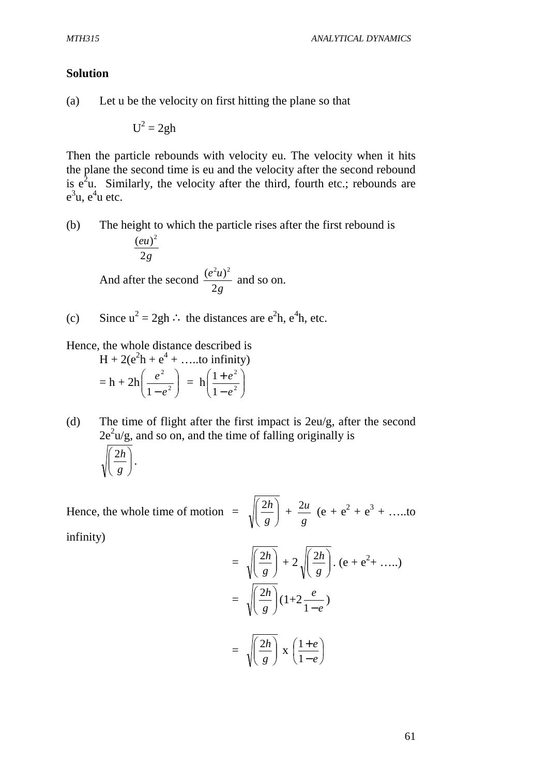#### **Solution**

(a) Let u be the velocity on first hitting the plane so that

 $U^2 = 2gh$ 

Then the particle rebounds with velocity eu. The velocity when it hits the plane the second time is eu and the velocity after the second rebound is  $e^2u$ . Similarly, the velocity after the third, fourth etc.; rebounds are  $e^3$ u,  $e^4$ u etc.

(b) The height to which the particle rises after the first rebound is

$$
\frac{(eu)^2}{2g}
$$
  
And after the second  $\frac{(e^2u)^2}{2g}$  and so on.

(c) Since  $u^2 = 2gh$  : the distances are  $e^2h$ ,  $e^4h$ , etc.

Hence, the whole distance described is

 $H + 2(e^{2}h + e^{4} + \dots to infinity)$  $= h + 2h \left| \frac{e}{1 - e^2} \right|$ J  $\backslash$  $\overline{\phantom{a}}$  $\setminus$ ſ  $-e^2$ 2  $1 - e$  $\left(\frac{e^2}{a^2}\right) = h \left(\frac{1+e^2}{1-a^2}\right)$ J )  $\overline{\phantom{a}}$  $\setminus$ ſ − + 2 2 1 1 *e e*

(d) The time of flight after the first impact is 2eu/g, after the second  $2e^{2}u/g$ , and so on, and the time of falling originally is

$$
\sqrt{\left(\frac{2h}{g}\right)}.
$$

Hence, the whole time of motion  $= \sqrt{\frac{2n}{a}}$ J  $\backslash$  $\overline{\phantom{a}}$ l ſ *g*  $\left( \frac{2h}{2} \right)$  + *g*  $\frac{2u}{2}$  (e + e<sup>2</sup> + e<sup>3</sup> + …..to infinity)

$$
= \sqrt{\left(\frac{2h}{g}\right)} + 2\sqrt{\left(\frac{2h}{g}\right)} \cdot (e + e^2 + \dots)
$$

$$
= \sqrt{\left(\frac{2h}{g}\right)} (1 + 2\frac{e}{1 - e})
$$

$$
= \sqrt{\left(\frac{2h}{g}\right)} \times \left(\frac{1 + e}{1 - e}\right)
$$

61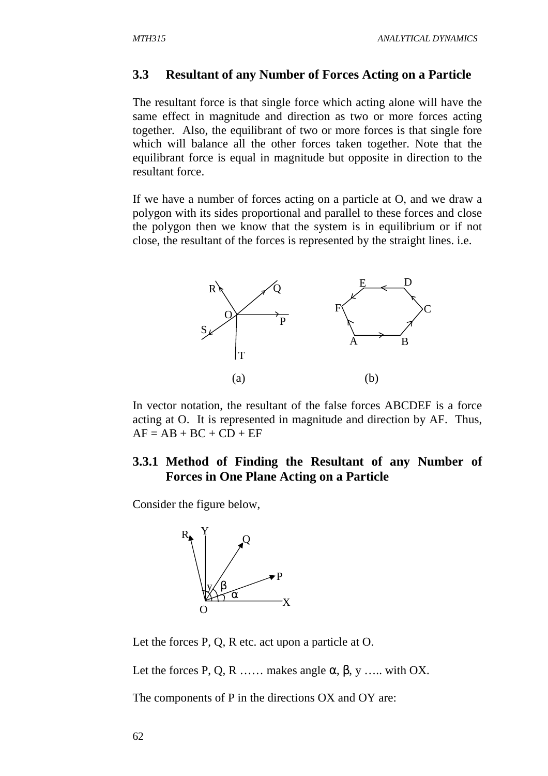### **3.3 Resultant of any Number of Forces Acting on a Particle**

The resultant force is that single force which acting alone will have the same effect in magnitude and direction as two or more forces acting together. Also, the equilibrant of two or more forces is that single fore which will balance all the other forces taken together. Note that the equilibrant force is equal in magnitude but opposite in direction to the resultant force.

If we have a number of forces acting on a particle at O, and we draw a polygon with its sides proportional and parallel to these forces and close the polygon then we know that the system is in equilibrium or if not close, the resultant of the forces is represented by the straight lines. i.e.



In vector notation, the resultant of the false forces ABCDEF is a force acting at O. It is represented in magnitude and direction by AF. Thus,  $AF = AB + BC + CD + EF$ 

# **3.3.1 Method of Finding the Resultant of any Number of Forces in One Plane Acting on a Particle**

Consider the figure below,



Let the forces P, Q, R etc. act upon a particle at O.

Let the forces P, Q, R …… makes angle  $\alpha$ ,  $\beta$ ,  $\gamma$  …… with OX.

The components of P in the directions OX and OY are: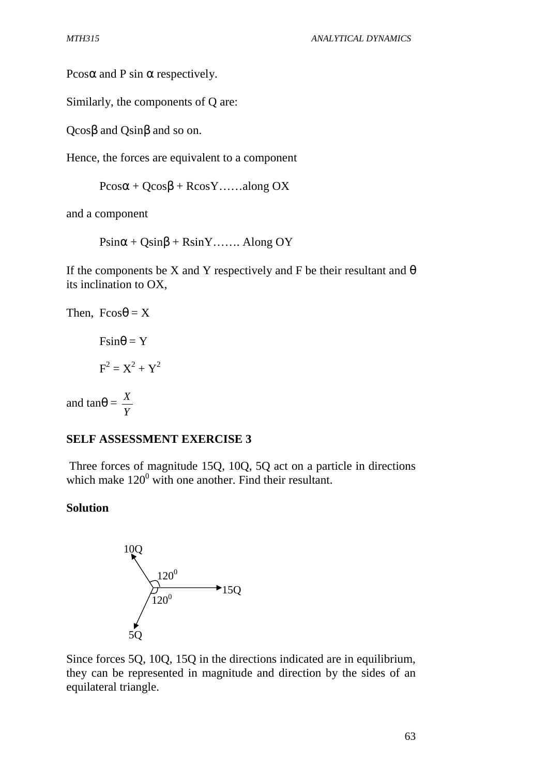Pcos $\alpha$  and P sin  $\alpha$  respectively.

Similarly, the components of Q are:

Qcosβ and Qsinβ and so on.

Hence, the forces are equivalent to a component

 $P\cos\alpha + Q\cos\beta + R\cos Y$ ……along OX

and a component

 $P\sin\alpha + Q\sin\beta + R\sin Y$ ……. Along OY

If the components be X and Y respectively and F be their resultant and  $\theta$ its inclination to OX,

```
Then, F\cos\theta = X
```
 $F\sin\theta = Y$  $F^2 = X^2 + Y^2$ 

and tan $\theta =$ *Y X*

#### **SELF ASSESSMENT EXERCISE 3**

 Three forces of magnitude 15Q, 10Q, 5Q act on a particle in directions which make  $120^0$  with one another. Find their resultant.

#### **Solution**



Since forces 5Q, 10Q, 15Q in the directions indicated are in equilibrium, they can be represented in magnitude and direction by the sides of an equilateral triangle.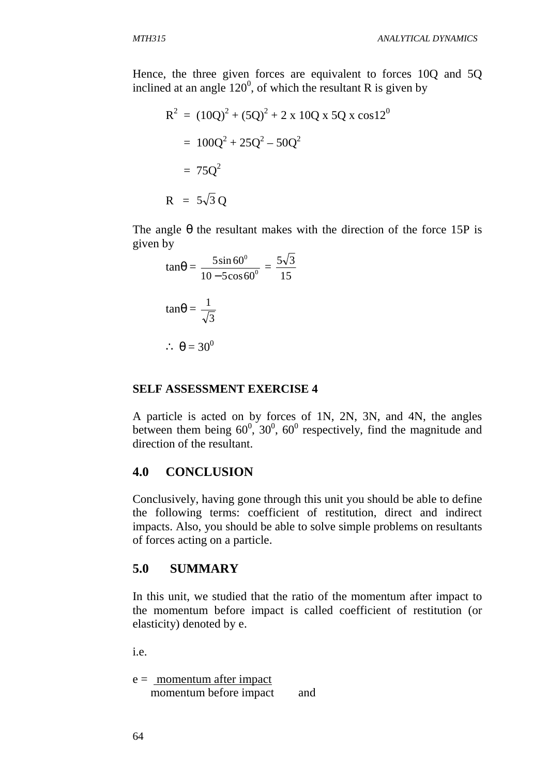Hence, the three given forces are equivalent to forces 10Q and 5Q inclined at an angle  $120^0$ , of which the resultant R is given by

$$
R2 = (10Q)2 + (5Q)2 + 2 x 10Q x 5Q x cos 120
$$
  
= 100Q<sup>2</sup> + 25Q<sup>2</sup> - 50Q<sup>2</sup>  
= 75Q<sup>2</sup>  
R = 5 $\sqrt{3}$ Q

The angle  $\theta$  the resultant makes with the direction of the force 15P is given by

$$
\tan\theta = \frac{5\sin 60^{\circ}}{10 - 5\cos 60^{\circ}} = \frac{5\sqrt{3}}{15}
$$

$$
\tan\theta = \frac{1}{\sqrt{3}}
$$

$$
\therefore \theta = 30^{\circ}
$$

### **SELF ASSESSMENT EXERCISE 4**

A particle is acted on by forces of 1N, 2N, 3N, and 4N, the angles between them being  $60^0$ ,  $30^0$ ,  $60^0$  respectively, find the magnitude and direction of the resultant.

#### **4.0 CONCLUSION**

Conclusively, having gone through this unit you should be able to define the following terms: coefficient of restitution, direct and indirect impacts. Also, you should be able to solve simple problems on resultants of forces acting on a particle.

#### **5.0 SUMMARY**

In this unit, we studied that the ratio of the momentum after impact to the momentum before impact is called coefficient of restitution (or elasticity) denoted by e.

i.e.

 $e =$  momentum after impact momentum before impact and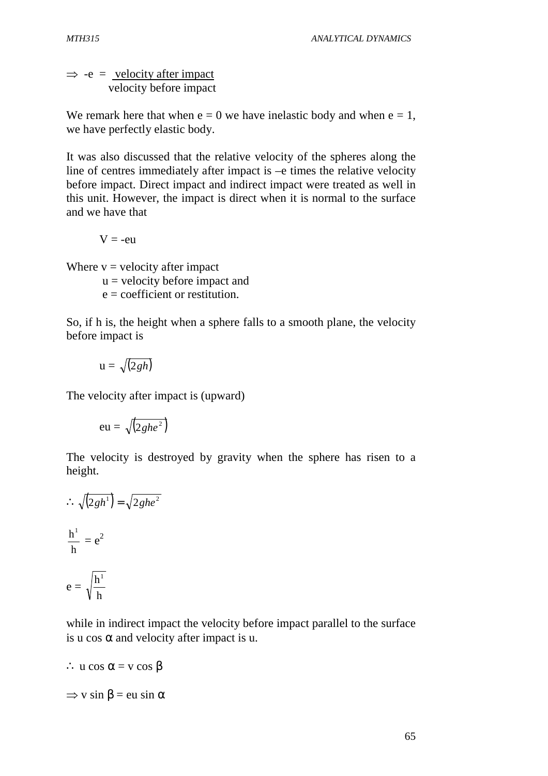$\Rightarrow$  -e = velocity after impact velocity before impact

We remark here that when  $e = 0$  we have inelastic body and when  $e = 1$ , we have perfectly elastic body.

It was also discussed that the relative velocity of the spheres along the line of centres immediately after impact is –e times the relative velocity before impact. Direct impact and indirect impact were treated as well in this unit. However, the impact is direct when it is normal to the surface and we have that

 $V = -eu$ 

Where  $v =$  velocity after impact

 $u =$  velocity before impact and

 $e =$  coefficient or restitution.

So, if h is, the height when a sphere falls to a smooth plane, the velocity before impact is

$$
\mathbf{u}=\sqrt{(2gh)}
$$

The velocity after impact is (upward)

$$
eu = \sqrt{(2ghe^2)}
$$

The velocity is destroyed by gravity when the sphere has risen to a height.

$$
\therefore \sqrt{(2gh^{1})} = \sqrt{2ghe^{2}}
$$

$$
\frac{h^{1}}{h} = e^{2}
$$

$$
e = \sqrt{\frac{h^{1}}{h}}
$$

while in indirect impact the velocity before impact parallel to the surface is u cos  $\alpha$  and velocity after impact is u.

$$
\therefore u \cos \alpha = v \cos \beta
$$

 $\Rightarrow$  v sin  $\beta$  = eu sin  $\alpha$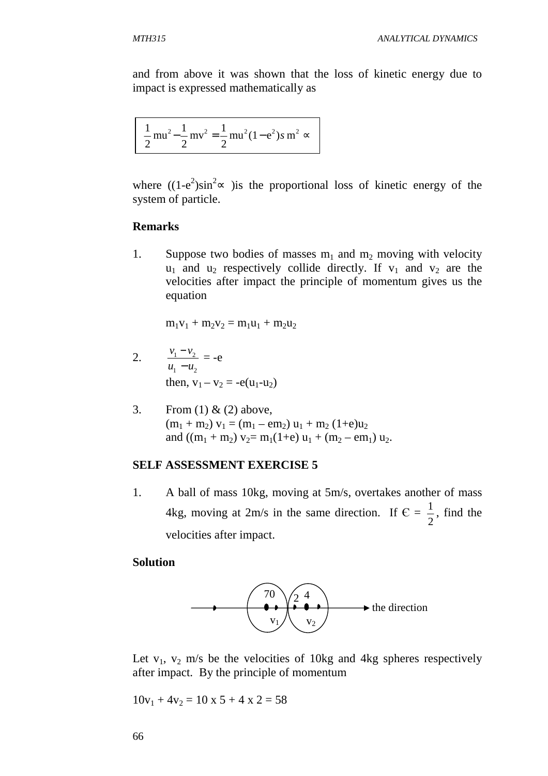and from above it was shown that the loss of kinetic energy due to impact is expressed mathematically as

$$
\frac{1}{2} \text{mu}^2 - \frac{1}{2} \text{mv}^2 = \frac{1}{2} \text{mu}^2 (1 - e^2) s \text{ m}^2 \approx
$$

where  $((1-e^2)\sin^2 \infty)$  ) is the proportional loss of kinetic energy of the system of particle.

#### **Remarks**

1. Suppose two bodies of masses  $m_1$  and  $m_2$  moving with velocity  $u_1$  and  $u_2$  respectively collide directly. If  $v_1$  and  $v_2$  are the velocities after impact the principle of momentum gives us the equation

 $m_1v_1 + m_2v_2 = m_1u_1 + m_2u_2$ 

- 2. 1  $\mathbf{u}_2$  $1 \t^2$  $u_1 - u$  $v_1 - v$ −  $\frac{-v_2}{-v_1} = -e$ then,  $v_1 - v_2 = -e(u_1 - u_2)$
- 3. From (1) & (2) above,  $(m_1 + m_2) v_1 = (m_1 - em_2) u_1 + m_2 (1+e)u_2$ and  $((m_1 + m_2) v_2 = m_1(1+\epsilon) u_1 + (m_2 - \epsilon m_1) u_2$ .

#### **SELF ASSESSMENT EXERCISE 5**

1. A ball of mass 10kg, moving at 5m/s, overtakes another of mass 4kg, moving at 2m/s in the same direction. If  $\epsilon$  = 2  $\frac{1}{2}$ , find the velocities after impact.

#### **Solution**



Let  $v_1$ ,  $v_2$  m/s be the velocities of 10kg and 4kg spheres respectively after impact. By the principle of momentum

 $10v_1 + 4v_2 = 10 \times 5 + 4 \times 2 = 58$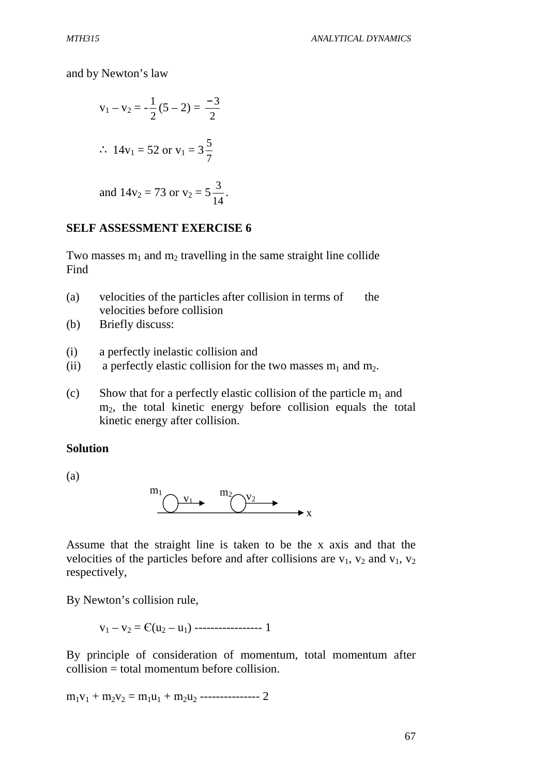and by Newton's law

$$
v_1 - v_2 = -\frac{1}{2}(5 - 2) = \frac{-3}{2}
$$
  
\n $\therefore 14v_1 = 52 \text{ or } v_1 = 3\frac{5}{7}$   
\nand  $14v_2 = 73 \text{ or } v_2 = 5\frac{3}{14}$ .

#### **SELF ASSESSMENT EXERCISE 6**

Two masses  $m_1$  and  $m_2$  travelling in the same straight line collide Find

- (a) velocities of the particles after collision in terms of the velocities before collision
- (b) Briefly discuss:
- (i) a perfectly inelastic collision and
- (ii) a perfectly elastic collision for the two masses  $m_1$  and  $m_2$ .
- (c) Show that for a perfectly elastic collision of the particle  $m_1$  and m<sub>2</sub>, the total kinetic energy before collision equals the total kinetic energy after collision.

#### **Solution**

(a)



Assume that the straight line is taken to be the x axis and that the velocities of the particles before and after collisions are  $v_1$ ,  $v_2$  and  $v_1$ ,  $v_2$ respectively,

By Newton's collision rule,

v1 – v2 = Є(u2 – u1) ----------------- 1

By principle of consideration of momentum, total momentum after collision = total momentum before collision.

 $m_1v_1 + m_2v_2 = m_1u_1 + m_2u_2$  --------------- 2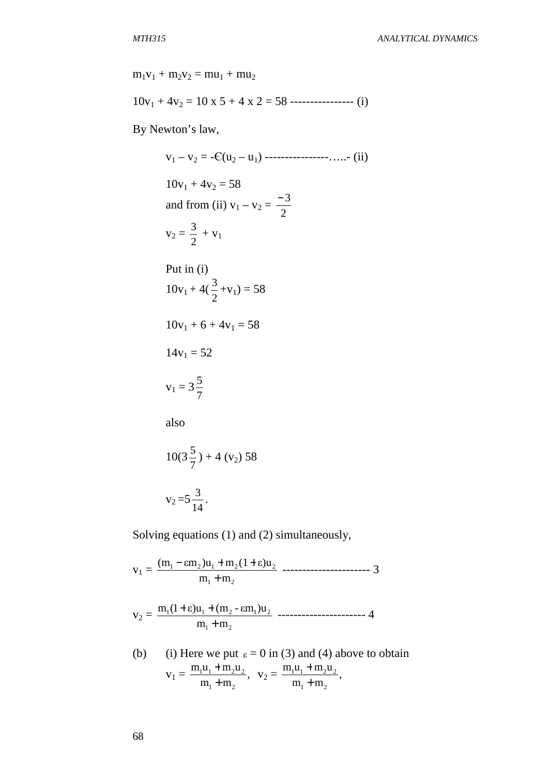$m_1v_1 + m_2v_2 = mu_1 + mu_2$  $10v_1 + 4v_2 = 10 \times 5 + 4 \times 2 = 58$  ----------------- (i) By Newton's law,  $v_1 - v_2 = -C(u_2 - u_1)$  ----------------.....- (ii)  $10v_1 + 4v_2 = 58$ and from (ii)  $v_1 - v_2 = \frac{1}{2}$ − 3  $v_2 = \frac{3}{2}$  $\frac{3}{2} + v_1$  Put in (i)  $10v_1 + 4(\frac{3}{2})$  $\frac{3}{2} +v_1 = 58$  $10v_1 + 6 + 4v_1 = 58$  $14v_1 = 52$  $v_1 = 3\frac{3}{7}$ 5 also 10(3 7  $(\frac{5}{7}) + 4$  (v<sub>2</sub>) 58

$$
v_2 = 5\frac{3}{14}
$$
.

Solving equations (1) and (2) simultaneously,

 $v_1 =$  $_1$   $\mathbf{m}_2$  $1 \quad \text{cm}_2 \text{cm}_1 \cdot \text{m}_2 \text{(1} + \text{c}) \text{u}_2$  $m_1 + m$  $(m_1 - \varepsilon m_2)u_1 + m_2(1 + \varepsilon)u$ +  $-\epsilon m_2)u_1 + m_2(1+\epsilon)u_2$  ---------------------- 3  $v_2 =$  $_1$   $\mathbf{m}_2$  $1^{1}$  1  $\epsilon$ ,  $u_1$  1  $\mu_2$  -  $\epsilon$ ,  $u_1$ ,  $u_2$  $m_1 + m$  $m_1(1+\epsilon)u_1 + (m_2 - \epsilon m_1)u$ +  $+\epsilon$ )u<sub>1</sub> + (m<sub>2</sub> -  $\epsilon$ m<sub>1</sub>)u<sub>2</sub> ----------------------- 4

(b) (i) Here we put 
$$
\varepsilon = 0
$$
 in (3) and (4) above to obtain  
\n
$$
v_1 = \frac{m_1 u_1 + m_2 u_2}{m_1 + m_2}, \quad v_2 = \frac{m_1 u_1 + m_2 u_2}{m_1 + m_2},
$$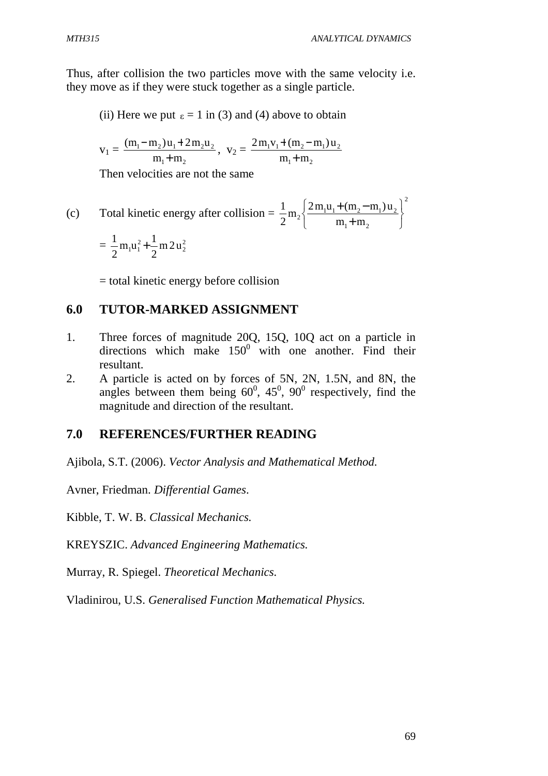Thus, after collision the two particles move with the same velocity i.e. they move as if they were stuck together as a single particle.

(ii) Here we put  $\varepsilon = 1$  in (3) and (4) above to obtain

$$
v_1 = \frac{(m_1 - m_2)u_1 + 2m_2u_2}{m_1 + m_2}, \ v_2 = \frac{2m_1v_1 + (m_2 - m_1)u_2}{m_1 + m_2}
$$

Then velocities are not the same

(c) Total kinetic energy after collision = 
$$
\frac{1}{2}m_2 \left\{ \frac{2m_1u_1 + (m_2 - m_1)u_2}{m_1 + m_2} \right\}^2
$$
  
=  $\frac{1}{2}m_1u_1^2 + \frac{1}{2}m_2u_2^2$ 

= total kinetic energy before collision

### **6.0 TUTOR-MARKED ASSIGNMENT**

- 1. Three forces of magnitude 20Q, 15Q, 10Q act on a particle in directions which make  $150^0$  with one another. Find their resultant.
- 2. A particle is acted on by forces of 5N, 2N, 1.5N, and 8N, the angles between them being  $60^0$ ,  $45^0$ ,  $90^0$  respectively, find the magnitude and direction of the resultant.

### **7.0 REFERENCES/FURTHER READING**

Ajibola, S.T. (2006). *Vector Analysis and Mathematical Method.* 

Avner, Friedman. *Differential Games*.

Kibble, T. W. B. *Classical Mechanics.* 

KREYSZIC. *Advanced Engineering Mathematics.* 

Murray, R. Spiegel. *Theoretical Mechanics.*

Vladinirou, U.S. *Generalised Function Mathematical Physics.*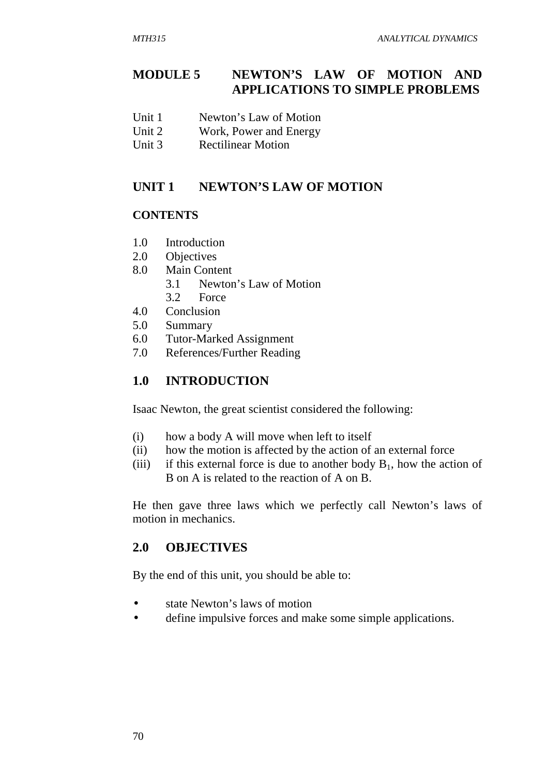# **MODULE 5 NEWTON'S LAW OF MOTION AND APPLICATIONS TO SIMPLE PROBLEMS**

- Unit 1 Newton's Law of Motion
- Unit 2 Work, Power and Energy
- Unit 3 Rectilinear Motion

### UNIT 1 NEWTON'S LAW OF MOTION

### **CONTENTS**

- 1.0 Introduction
- 2.0 Objectives
- 8.0 Main Content
	- 3.1 Newton's Law of Motion
	- 3.2 Force
- 4.0 Conclusion
- 5.0 Summary
- 6.0 Tutor-Marked Assignment
- 7.0 References/Further Reading

### **1.0 INTRODUCTION**

Isaac Newton, the great scientist considered the following:

- (i) how a body A will move when left to itself
- (ii) how the motion is affected by the action of an external force
- (iii) if this external force is due to another body  $B_1$ , how the action of B on A is related to the reaction of A on B.

He then gave three laws which we perfectly call Newton's laws of motion in mechanics.

### **2.0 OBJECTIVES**

By the end of this unit, you should be able to:

- state Newton's laws of motion
- define impulsive forces and make some simple applications.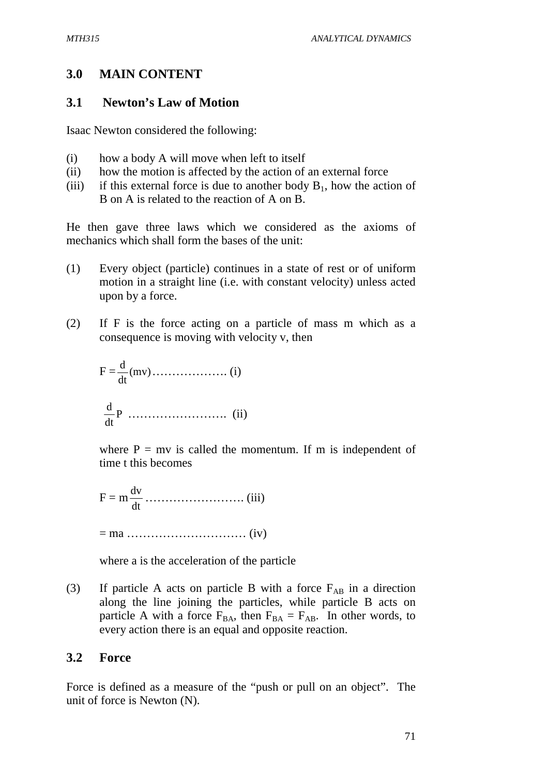# **3.0 MAIN CONTENT**

### **3.1 Newton's Law of Motion**

Isaac Newton considered the following:

- (i) how a body A will move when left to itself
- (ii) how the motion is affected by the action of an external force
- (iii) if this external force is due to another body  $B_1$ , how the action of B on A is related to the reaction of A on B.

He then gave three laws which we considered as the axioms of mechanics which shall form the bases of the unit:

- (1) Every object (particle) continues in a state of rest or of uniform motion in a straight line (i.e. with constant velocity) unless acted upon by a force.
- (2) If F is the force acting on a particle of mass m which as a consequence is moving with velocity v, then

 F = (mv) dt <sup>d</sup> ………………. (i) P dt d ……………………. (ii)

where  $P = mv$  is called the momentum. If m is independent of time t this becomes

 $F = m$ dt dv ……………………. (iii)

= ma ………………………… (iv)

where a is the acceleration of the particle

(3) If particle A acts on particle B with a force  $F_{AB}$  in a direction along the line joining the particles, while particle B acts on particle A with a force  $F_{BA}$ , then  $F_{BA} = F_{AB}$ . In other words, to every action there is an equal and opposite reaction.

### **3.2 Force**

Force is defined as a measure of the "push or pull on an object". The unit of force is Newton (N).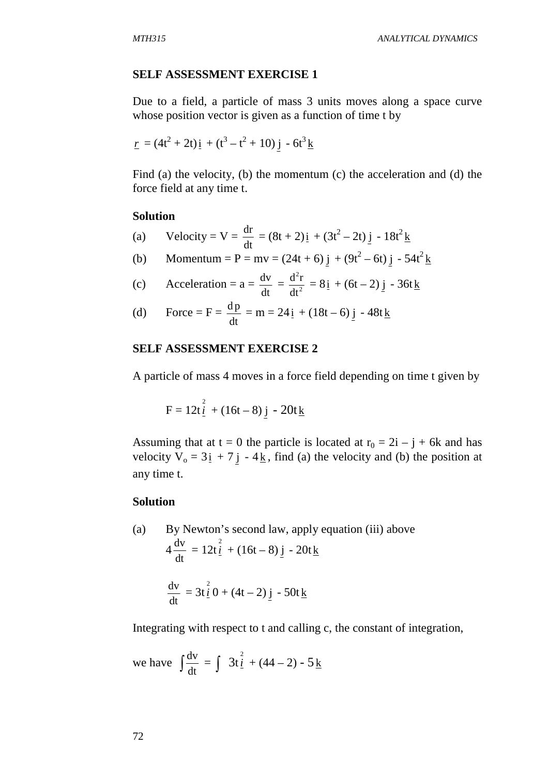#### **SELF ASSESSMENT EXERCISE 1**

Due to a field, a particle of mass 3 units moves along a space curve whose position vector is given as a function of time t by

$$
\underline{r} = (4t^2 + 2t)\underline{i} + (t^3 - t^2 + 10)\underline{j} - 6t^3\underline{k}
$$

Find (a) the velocity, (b) the momentum (c) the acceleration and (d) the force field at any time t.

#### **Solution**

- (a) Velocity =  $V =$ dt  $\frac{dr}{dt} = (8t + 2)\dot{i} + (3t^2 - 2t)\dot{j} - 18t^2 \dot{k}$
- (b) Momentum = P = mv =  $(24t + 6) j + (9t^2 6t) j 54t^2 k$
- (c) Acceleration =  $a =$ dt  $\frac{dv}{dt} = \frac{d^2r}{dt^2}$ dt  $\frac{d^2r}{dt^2} = 8i + (6t - 2)j - 36t$
- (d) Force =  $F =$ dt  $\frac{dp}{dt} = m = 24i + (18t - 6)j - 48t$

### **SELF ASSESSMENT EXERCISE 2**

A particle of mass 4 moves in a force field depending on time t given by

$$
F = 12t \frac{2}{1} + (16t - 8) \frac{1}{1} - 20t \frac{1}{16}
$$

Assuming that at  $t = 0$  the particle is located at  $r_0 = 2i - j + 6k$  and has velocity  $V_0 = 3i + 7j - 4k$ , find (a) the velocity and (b) the position at any time t.

#### **Solution**

(a) By Newton's second law, apply equation (iii) above 4 dt  $\frac{dv}{dt} = 12t\frac{2}{1} + (16t - 8)j - 20t\frac{1}{12}$ dt  $\frac{dv}{dt} = 3t \frac{2}{l} 0 + (4t - 2) j - 50t k$ 

Integrating with respect to t and calling c, the constant of integration,

we have  $\int \frac{dv}{dt}$  $\frac{dv}{dt} = \int 3t \frac{2}{i} + (44 - 2) - 5k$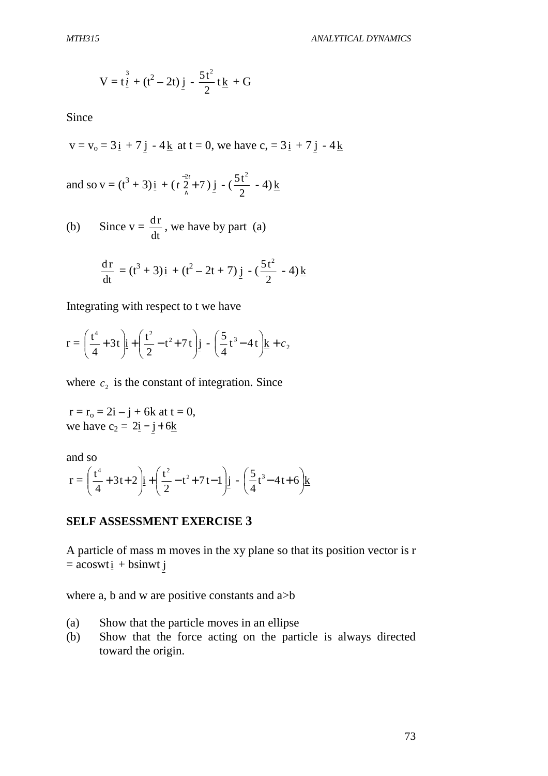$$
V = t \frac{3}{2} + (t^2 - 2t) \frac{1}{2} - \frac{5t^2}{2} t \frac{1}{2} + G
$$

Since

$$
v = v_0 = 3i + 7j - 4k
$$
 at  $t = 0$ , we have  $c_0 = 3i + 7j - 4k$ 

and so 
$$
v = (t^3 + 3)i + (t \frac{2t}{\lambda} + 7)j - (\frac{5t^2}{2} - 4)k
$$

(b) Since  $v =$ dt  $\frac{dr}{dt}$ , we have by part (a)

$$
\frac{dr}{dt} = (t^3 + 3)\underline{i} + (t^2 - 2t + 7)\underline{j} - (\frac{5t^2}{2} - 4)\underline{k}
$$

Integrating with respect to t we have

$$
r = \left(\frac{t^4}{4} + 3t\right)\underline{i} + \left(\frac{t^2}{2} - t^2 + 7t\right)\underline{j} - \left(\frac{5}{4}t^3 - 4t\right)\underline{k} + c_2
$$

where  $c_2$  is the constant of integration. Since

 $r = r_0 = 2i - j + 6k$  at  $t = 0$ , we have  $c_2 = 2i - j + 6k$ 

and so

$$
r = \left(\frac{t^4}{4} + 3t + 2\right)\underline{i} + \left(\frac{t^2}{2} - t^2 + 7t - 1\right)\underline{j} - \left(\frac{5}{4}t^3 - 4t + 6\right)\underline{k}
$$

#### **SELF ASSESSMENT EXERCISE 3**

A particle of mass m moves in the xy plane so that its position vector is r  $=$  acoswt $i + b$ sinwt j

where a, b and w are positive constants and a>b

- (a) Show that the particle moves in an ellipse
- (b) Show that the force acting on the particle is always directed toward the origin.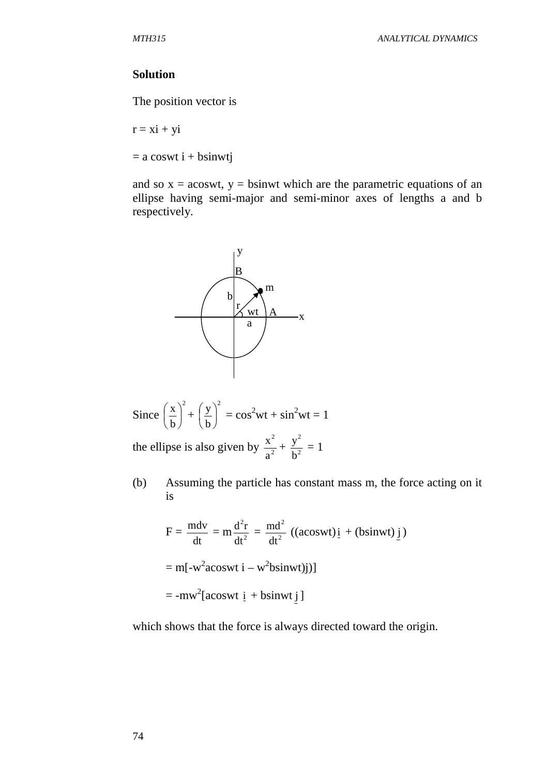#### **Solution**

The position vector is

 $r = xi + yi$ 

 $= a$  coswt  $i + b$ sinwtj

and so  $x = a$ coswt,  $y = b$ sinwt which are the parametric equations of an ellipse having semi-major and semi-minor axes of lengths a and b respectively.



Since 
$$
\left(\frac{x}{b}\right)^2 + \left(\frac{y}{b}\right)^2 = \cos^2wt + \sin^2wt = 1
$$

the ellipse is also given by  $\frac{x^2}{2}$ a  $\frac{x^2}{a^2} + \frac{y^2}{b^2}$ b  $\frac{y^2}{2} = 1$ 

(b) Assuming the particle has constant mass m, the force acting on it is

$$
F = \frac{m dv}{dt} = m \frac{d^2 r}{dt^2} = \frac{md^2}{dt^2} ((acoswt)i + (bsinwt)j)
$$
  
= m[-w<sup>2</sup>acoswt i - w<sup>2</sup>bsinwt)j]  
= -mw<sup>2</sup>[acoswt i + bsinwt j]

which shows that the force is always directed toward the origin.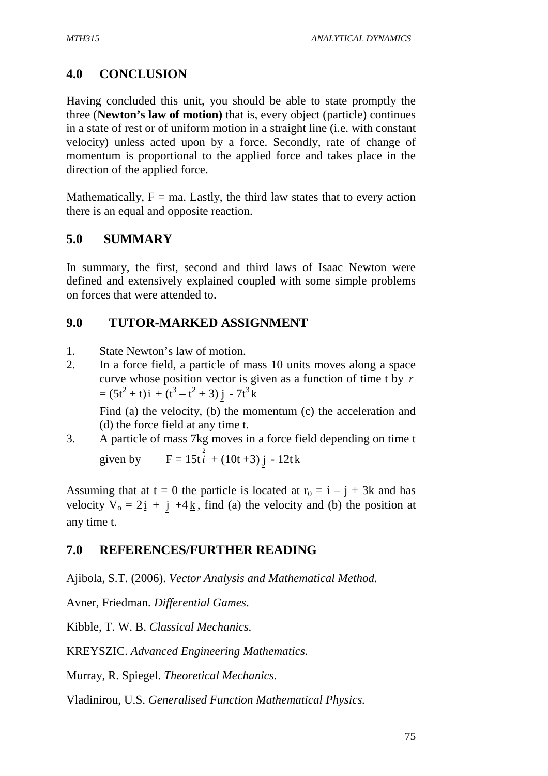# **4.0 CONCLUSION**

Having concluded this unit, you should be able to state promptly the three (**Newton's law of motion)** that is, every object (particle) continues in a state of rest or of uniform motion in a straight line (i.e. with constant velocity) unless acted upon by a force. Secondly, rate of change of momentum is proportional to the applied force and takes place in the direction of the applied force.

Mathematically,  $F = ma$ . Lastly, the third law states that to every action there is an equal and opposite reaction.

# **5.0 SUMMARY**

In summary, the first, second and third laws of Isaac Newton were defined and extensively explained coupled with some simple problems on forces that were attended to.

# **9.0 TUTOR-MARKED ASSIGNMENT**

- 1. State Newton's law of motion.
- 2. In a force field, a particle of mass 10 units moves along a space curve whose position vector is given as a function of time t by *r*  $= (5t^2 + t)\mathbf{i} + (t^3 - t^2 + 3)\mathbf{j} - 7t^3\mathbf{k}$

Find (a) the velocity, (b) the momentum (c) the acceleration and (d) the force field at any time t.

3. A particle of mass 7kg moves in a force field depending on time t given by  $F = 15t \frac{2}{1} + (10t + 3) j - 12t \frac{1}{1}$ 

Assuming that at  $t = 0$  the particle is located at  $r_0 = i - j + 3k$  and has velocity  $V_0 = 2i + j + 4k$ , find (a) the velocity and (b) the position at any time t.

# **7.0 REFERENCES/FURTHER READING**

Ajibola, S.T. (2006). *Vector Analysis and Mathematical Method.*

Avner, Friedman. *Differential Games*.

Kibble, T. W. B. *Classical Mechanics.*

KREYSZIC. *Advanced Engineering Mathematics.*

Murray, R. Spiegel. *Theoretical Mechanics.*

Vladinirou, U.S. *Generalised Function Mathematical Physics.*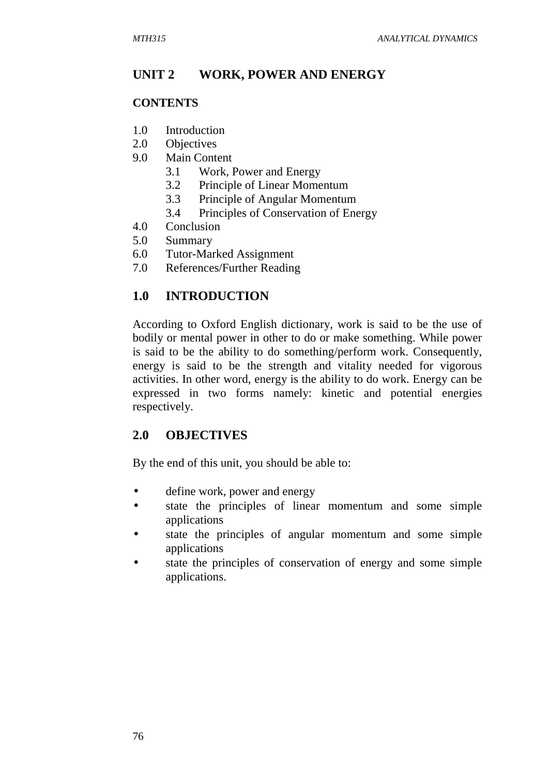### **UNIT 2 WORK, POWER AND ENERGY**

#### **CONTENTS**

- 1.0 Introduction
- 2.0 Objectives
- 9.0 Main Content
	- 3.1 Work, Power and Energy
	- 3.2 Principle of Linear Momentum
	- 3.3 Principle of Angular Momentum
	- 3.4 Principles of Conservation of Energy
- 4.0 Conclusion
- 5.0 Summary
- 6.0 Tutor-Marked Assignment
- 7.0 References/Further Reading

### **1.0 INTRODUCTION**

According to Oxford English dictionary, work is said to be the use of bodily or mental power in other to do or make something. While power is said to be the ability to do something/perform work. Consequently, energy is said to be the strength and vitality needed for vigorous activities. In other word, energy is the ability to do work. Energy can be expressed in two forms namely: kinetic and potential energies respectively.

### **2.0 OBJECTIVES**

By the end of this unit, you should be able to:

- define work, power and energy
- state the principles of linear momentum and some simple applications
- state the principles of angular momentum and some simple applications
- state the principles of conservation of energy and some simple applications.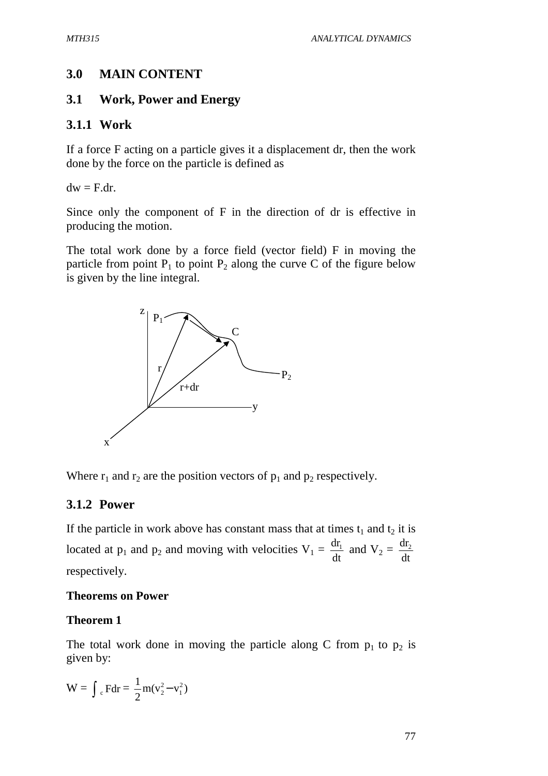# **3.0 MAIN CONTENT**

# **3.1 Work, Power and Energy**

# **3.1.1 Work**

If a force F acting on a particle gives it a displacement dr, then the work done by the force on the particle is defined as

 $dw = F/dr$ .

Since only the component of F in the direction of dr is effective in producing the motion.

The total work done by a force field (vector field) F in moving the particle from point  $P_1$  to point  $P_2$  along the curve C of the figure below is given by the line integral.



Where  $r_1$  and  $r_2$  are the position vectors of  $p_1$  and  $p_2$  respectively.

# **3.1.2 Power**

If the particle in work above has constant mass that at times  $t_1$  and  $t_2$  it is located at  $p_1$  and  $p_2$  and moving with velocities  $V_1 = \frac{du_1}{dt}$  $rac{dr_1}{dt}$  and  $V_2 = \frac{dr_2}{dt}$  $dr<sub>2</sub>$ respectively.

# **Theorems on Power**

# **Theorem 1**

The total work done in moving the particle along C from  $p_1$  to  $p_2$  is given by:

$$
W=\int {_{\text{c}}\,F} dr=\frac{1}{2}m(v_2^2\!-\!v_1^2)
$$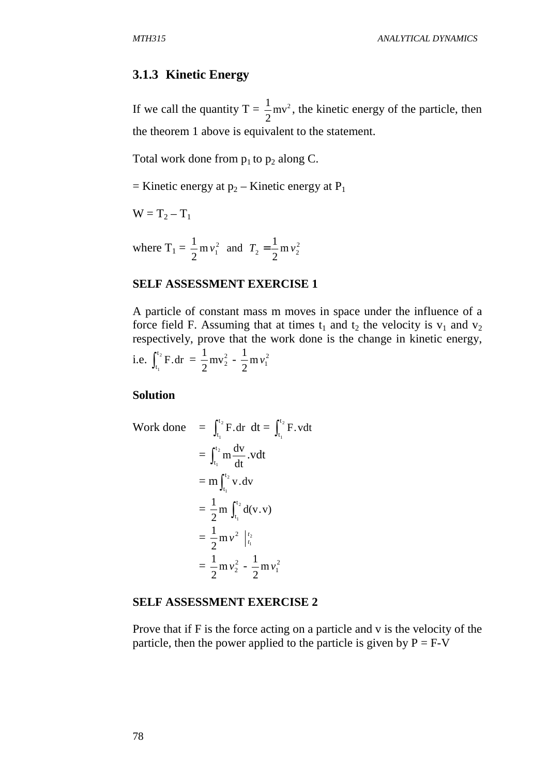#### **3.1.3 Kinetic Energy**

If we call the quantity  $T = \frac{1}{2}mv^2$ 2  $\frac{1}{6}$  mv<sup>2</sup>, the kinetic energy of the particle, then the theorem 1 above is equivalent to the statement.

Total work done from  $p_1$  to  $p_2$  along C.

 $=$  Kinetic energy at  $p_2$  – Kinetic energy at P<sub>1</sub>

 $W = T_2 - T_1$ 

where  $T_1 = \frac{1}{2} m v_1^2$  $\frac{1}{2}$  m  $v_1^2$  and  $T_2 = \frac{1}{2}$  m  $v_2^2$  $T_2 = \frac{1}{2} m v$ 

#### **SELF ASSESSMENT EXERCISE 1**

A particle of constant mass m moves in space under the influence of a force field F. Assuming that at times  $t_1$  and  $t_2$  the velocity is  $v_1$  and  $v_2$ respectively, prove that the work done is the change in kinetic energy, i.e.  $\int_{t_1}^{t_2}$ 1 t  $t_1^{t_2}$  F.dr =  $\frac{1}{2}$  mv<sub>2</sub><sup>2</sup>  $\frac{1}{2}mv_2^2 - \frac{1}{2}mv_1^2$  $\frac{1}{2}$ m v

**Solution** 

Work done 
$$
= \int_{t_1}^{t_2} F \cdot dr \, dt = \int_{t_1}^{t_2} F \cdot v dt
$$

$$
= \int_{t_1}^{t_2} m \frac{dv}{dt} \cdot v dt
$$

$$
= m \int_{t_1}^{t_2} v \cdot dv
$$

$$
= \frac{1}{2} m \int_{t_1}^{t_2} d(v \cdot v)
$$

$$
= \frac{1}{2} m v^2 \Big|_{t_1}^{t_2}
$$

$$
= \frac{1}{2} m v_2^2 - \frac{1}{2} m v_1^2
$$

#### **SELF ASSESSMENT EXERCISE 2**

Prove that if F is the force acting on a particle and v is the velocity of the particle, then the power applied to the particle is given by  $P = F-V$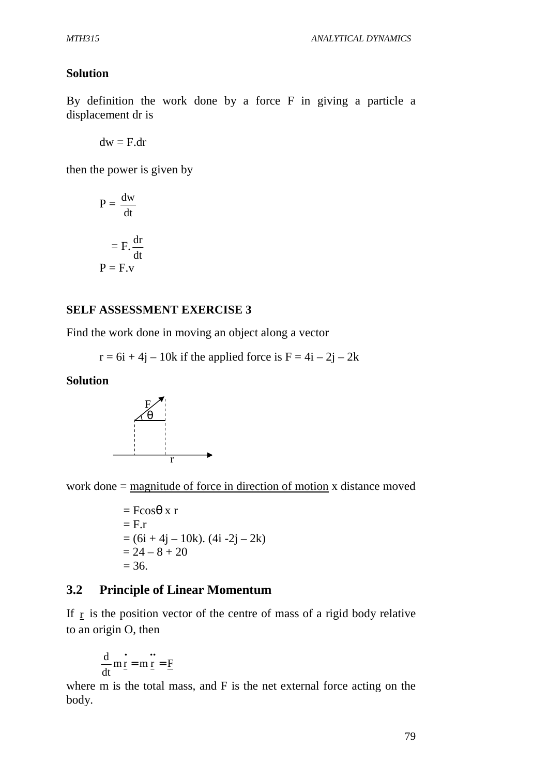### **Solution**

By definition the work done by a force F in giving a particle a displacement dr is

 $dw = F/dr$ 

then the power is given by

$$
P = \frac{dw}{dt}
$$

$$
= F \cdot \frac{dr}{dt}
$$

$$
P = F \cdot v
$$

#### **SELF ASSESSMENT EXERCISE 3**

Find the work done in moving an object along a vector

 $r = 6i + 4j - 10k$  if the applied force is  $F = 4i - 2j - 2k$ 

#### **Solution**



work done = magnitude of force in direction of motion x distance moved

 $=$  Fcos $\theta$  x r  $=$  F.r  $= (6i + 4j - 10k)$ .  $(4i - 2j - 2k)$  $= 24 - 8 + 20$  $= 36.$ 

### **3.2 Principle of Linear Momentum**

If r is the position vector of the centre of mass of a rigid body relative to an origin O, then

$$
\frac{d}{dt}m\frac{d}{dt} = m\frac{d}{dt} = \underline{F}
$$

where m is the total mass, and F is the net external force acting on the body.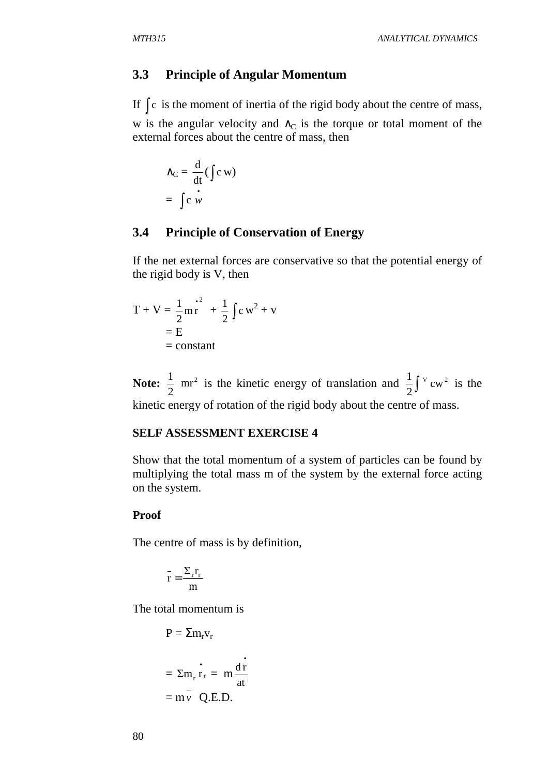#### **3.3 Principle of Angular Momentum**

If ∫ c is the moment of inertia of the rigid body about the centre of mass, w is the angular velocity and  $\wedge_C$  is the torque or total moment of the external forces about the centre of mass, then

$$
\Delta_{\mathbf{C}} = \frac{\mathrm{d}}{\mathrm{d} \mathbf{t}} (\int \mathrm{c} \,\mathbf{w})
$$

$$
= \int \mathrm{c} \,\mathbf{w}
$$

### **3.4 Principle of Conservation of Energy**

If the net external forces are conservative so that the potential energy of the rigid body is V, then

$$
T + V = \frac{1}{2} m r^2 + \frac{1}{2} \int c w^2 + v
$$
  
= E  
= constant

**Note:**  $\frac{1}{2}$  mr<sup>2</sup> 2  $\frac{1}{2}$  mr<sup>2</sup> is the kinetic energy of translation and  $\frac{1}{2}$   $\int v^2$  cw<sup>2</sup> 2  $\frac{1}{2}\int$ <sup>v</sup> cw<sup>2</sup> is the kinetic energy of rotation of the rigid body about the centre of mass.

#### **SELF ASSESSMENT EXERCISE 4**

Show that the total momentum of a system of particles can be found by multiplying the total mass m of the system by the external force acting on the system.

#### **Proof**

The centre of mass is by definition,

$$
\overset{-}{r}=\frac{\Sigma_{\mathrm{r}}r_{\mathrm{r}}}{m}
$$

The total momentum is

$$
P = \Sigma m_r v_r
$$
  
=  $\Sigma m_r \dot{r}_r = m \frac{d \dot{r}}{dt}$   
=  $m \dot{v}$  Q.E.D.

•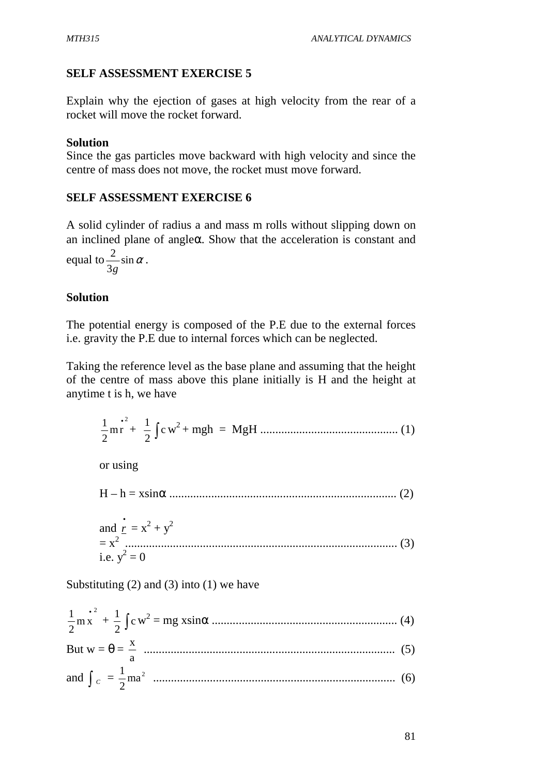## **SELF ASSESSMENT EXERCISE 5**

Explain why the ejection of gases at high velocity from the rear of a rocket will move the rocket forward.

### **Solution**

Since the gas particles move backward with high velocity and since the centre of mass does not move, the rocket must move forward.

### **SELF ASSESSMENT EXERCISE 6**

A solid cylinder of radius a and mass m rolls without slipping down on an inclined plane of angleα. Show that the acceleration is constant and equal to  $\frac{2}{2}$  sin  $\alpha$ 3 2 *g* .

### **Solution**

The potential energy is composed of the P.E due to the external forces i.e. gravity the P.E due to internal forces which can be neglected.

Taking the reference level as the base plane and assuming that the height of the centre of mass above this plane initially is H and the height at anytime t is h, we have

$$
\frac{1}{2}mr^{2} + \frac{1}{2}\int cw^{2} + mgh = MgH
$$
................. (1)

or using

H – h = xsinα ............................................................................ (2)

and 
$$
\mathbf{r} = \mathbf{x}^2 + \mathbf{y}^2
$$
  
=  $\mathbf{x}^2$  ....... (3)  
i.e.  $\mathbf{y}^2 = 0$ 

Substituting  $(2)$  and  $(3)$  into  $(1)$  we have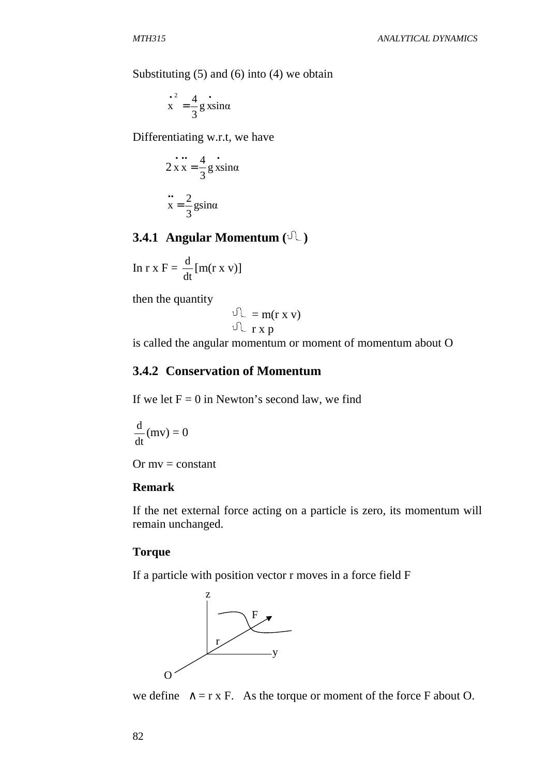Substituting (5) and (6) into (4) we obtain

$$
\int_{0}^{2} \frac{4}{3} \sin \alpha
$$

Differentiating w.r.t, we have

$$
2 \mathbf{x} \mathbf{x} = \frac{4}{3} \mathbf{g} \mathbf{x} \sin \alpha
$$

$$
\mathbf{x} = \frac{2}{3} \mathbf{g} \sin \alpha
$$

# **3.4.1 Angular Momentum**  $(\sqrt[n]{\cdot})$

$$
\ln r \times F = \frac{d}{dt} [m(r \times v)]
$$

then the quantity

$$
\begin{array}{c}\n\mathbb{U} = m(r \times v) \\
\mathbb{U} = r \times p\n\end{array}
$$

is called the angular momentum or moment of momentum about O

### **3.4.2 Conservation of Momentum**

If we let  $F = 0$  in Newton's second law, we find

$$
\frac{\mathrm{d}}{\mathrm{d}t}(mv) = 0
$$

Or  $mv = constant$ 

#### **Remark**

If the net external force acting on a particle is zero, its momentum will remain unchanged.

#### **Torque**

If a particle with position vector r moves in a force field F



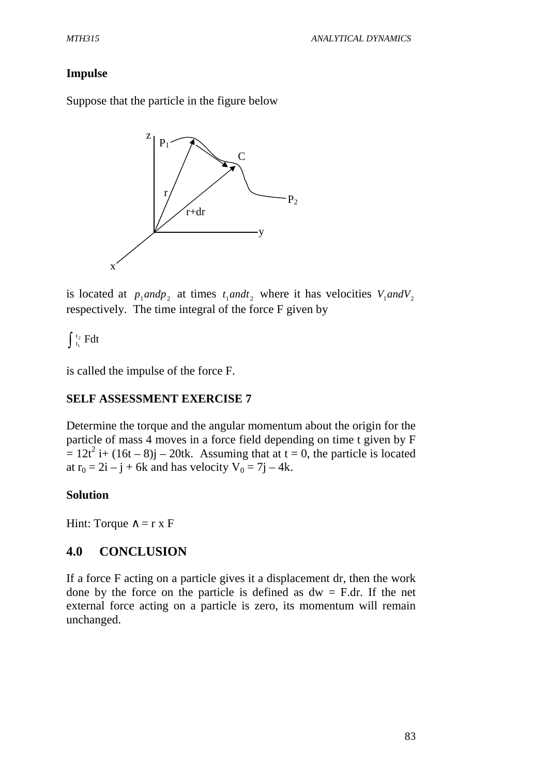### **Impulse**

Suppose that the particle in the figure below



is located at  $p_1$  *and* $p_2$  at times  $t_1$  *and* $t_2$  where it has velocities  $V_1$  *and* $V_2$ respectively. The time integral of the force F given by

 $\int_{1}^{2} \mathbf{F} dt$  $\int_0^t$ 

is called the impulse of the force F.

### **SELF ASSESSMENT EXERCISE 7**

Determine the torque and the angular momentum about the origin for the particle of mass 4 moves in a force field depending on time t given by F  $= 12t^2$  i+ (16t – 8)j – 20tk. Assuming that at t = 0, the particle is located at  $r_0 = 2i - j + 6k$  and has velocity  $V_0 = 7j - 4k$ .

#### **Solution**

Hint: Torque  $\wedge$  = r x F

### **4.0 CONCLUSION**

If a force F acting on a particle gives it a displacement dr, then the work done by the force on the particle is defined as  $dw = F/dr$ . If the net external force acting on a particle is zero, its momentum will remain unchanged.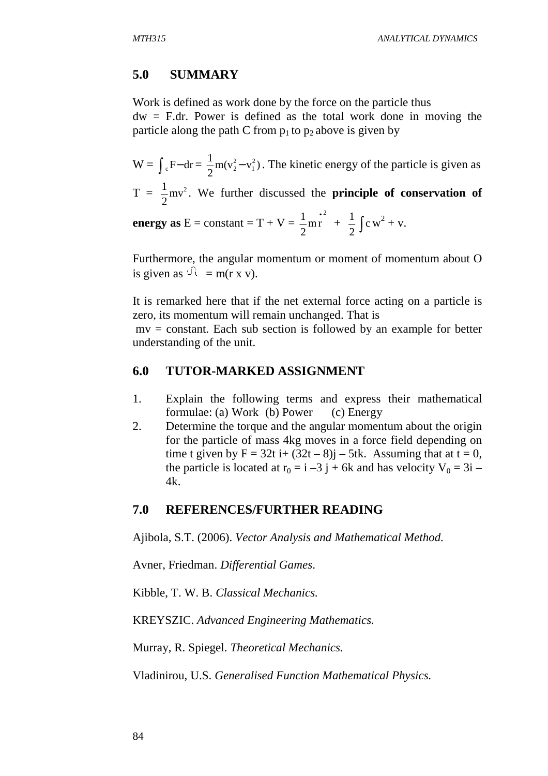### **5.0 SUMMARY**

Work is defined as work done by the force on the particle thus

 $dw = F/dr$ . Power is defined as the total work done in moving the particle along the path C from  $p_1$  to  $p_2$  above is given by

 $W = \int_{c} F - dr = \frac{1}{2} m(v_2^2 - v_1^2)$  $1 - x^2$ 1  $2^2 - v_1^2$ ). The kinetic energy of the particle is given as

 $T = \frac{1}{2}mv^2$ 2  $\frac{1}{6}$  mv<sup>2</sup>. We further discussed the **principle of conservation of** 2

**energy as**  $E = constant = T + V =$ mr 2  $\frac{1}{2}$ mr<sup>2</sup> + 2  $\frac{1}{2} \int c w^2 + v.$ 

Furthermore, the angular momentum or moment of momentum about O is given as  $\sqrt{L} = m(r x v)$ .

It is remarked here that if the net external force acting on a particle is zero, its momentum will remain unchanged. That is

 mv = constant. Each sub section is followed by an example for better understanding of the unit.

### **6.0 TUTOR-MARKED ASSIGNMENT**

- 1. Explain the following terms and express their mathematical formulae: (a) Work (b) Power (c) Energy
- 2. Determine the torque and the angular momentum about the origin for the particle of mass 4kg moves in a force field depending on time t given by  $F = 32t$  i+  $(32t – 8)$ j – 5tk. Assuming that at t = 0, the particle is located at  $r_0 = i -3j + 6k$  and has velocity  $V_0 = 3i 4k$ .

#### **7.0 REFERENCES/FURTHER READING**

Ajibola, S.T. (2006). *Vector Analysis and Mathematical Method.* 

Avner, Friedman. *Differential Games*.

Kibble, T. W. B. *Classical Mechanics.* 

KREYSZIC. *Advanced Engineering Mathematics.* 

Murray, R. Spiegel. *Theoretical Mechanics.*

Vladinirou, U.S. *Generalised Function Mathematical Physics.*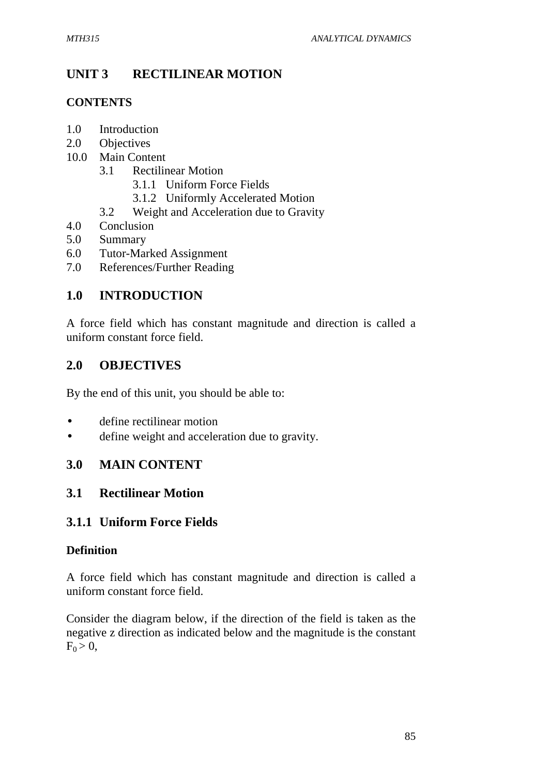# **UNIT 3 RECTILINEAR MOTION**

# **CONTENTS**

- 1.0 Introduction
- 2.0 Objectives
- 10.0 Main Content
	- 3.1 Rectilinear Motion
		- 3.1.1 Uniform Force Fields
		- 3.1.2 Uniformly Accelerated Motion
	- 3.2 Weight and Acceleration due to Gravity
- 4.0 Conclusion
- 5.0 Summary
- 6.0 Tutor-Marked Assignment
- 7.0 References/Further Reading

# **1.0 INTRODUCTION**

A force field which has constant magnitude and direction is called a uniform constant force field.

# **2.0 OBJECTIVES**

By the end of this unit, you should be able to:

- define rectilinear motion
- define weight and acceleration due to gravity.

# **3.0 MAIN CONTENT**

# **3.1 Rectilinear Motion**

# **3.1.1 Uniform Force Fields**

# **Definition**

A force field which has constant magnitude and direction is called a uniform constant force field.

Consider the diagram below, if the direction of the field is taken as the negative z direction as indicated below and the magnitude is the constant  $F_0 > 0$ ,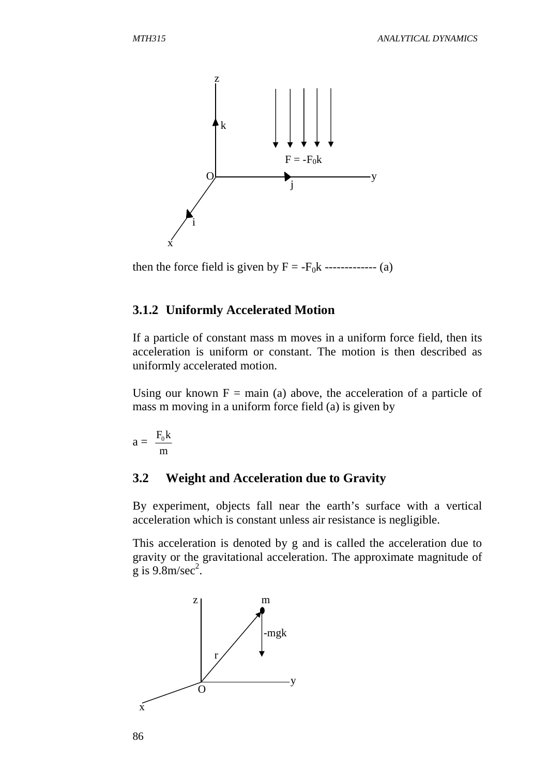

then the force field is given by  $F = -F_0k$  ------------- (a)

#### **3.1.2 Uniformly Accelerated Motion**

If a particle of constant mass m moves in a uniform force field, then its acceleration is uniform or constant. The motion is then described as uniformly accelerated motion.

Using our known  $F = \text{main}$  (a) above, the acceleration of a particle of mass m moving in a uniform force field (a) is given by

$$
a=\ \frac{F_0 k}{m}
$$

#### **3.2 Weight and Acceleration due to Gravity**

By experiment, objects fall near the earth's surface with a vertical acceleration which is constant unless air resistance is negligible.

This acceleration is denoted by g and is called the acceleration due to gravity or the gravitational acceleration. The approximate magnitude of  $\mathrm{g}$  is 9.8m/sec<sup>2</sup>.

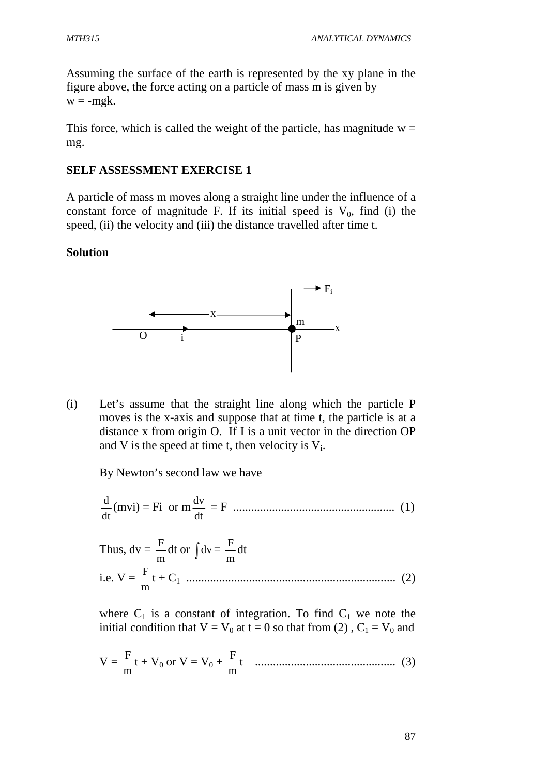Assuming the surface of the earth is represented by the xy plane in the figure above, the force acting on a particle of mass m is given by  $w = -m g k$ .

This force, which is called the weight of the particle, has magnitude  $w =$ mg.

# **SELF ASSESSMENT EXERCISE 1**

A particle of mass m moves along a straight line under the influence of a constant force of magnitude F. If its initial speed is  $V_0$ , find (i) the speed, (ii) the velocity and (iii) the distance travelled after time t.

# **Solution**



(i) Let's assume that the straight line along which the particle P moves is the x-axis and suppose that at time t, the particle is at a distance x from origin O. If I is a unit vector in the direction OP and V is the speed at time t, then velocity is  $V_i$ .

By Newton's second law we have

dt  $\frac{d}{dx}$ (mvi) = Fi or m dt dv = F ...................................................... (1)

Thus,  $dv =$ m  $\frac{F}{m}$ dt or  $\int dv =$ m F dt i.e.  $V =$ m F t + C1 ...................................................................... (2)

where  $C_1$  is a constant of integration. To find  $C_1$  we note the initial condition that  $V = V_0$  at  $t = 0$  so that from (2),  $C_1 = V_0$  and

$$
V = \frac{F}{m}t + V_0 \text{ or } V = V_0 + \frac{F}{m}t \quad \dots \dots \dots \dots \dots \dots \dots \dots \dots \dots \dots \dots \dots \tag{3}
$$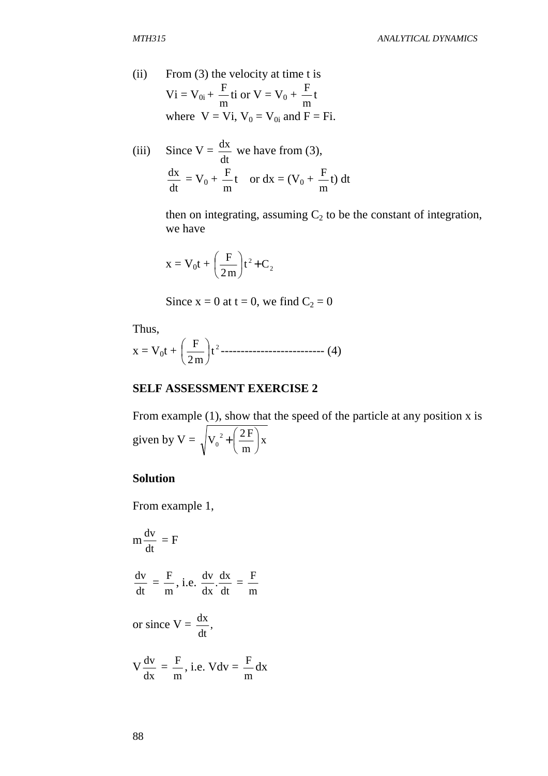(ii) From (3) the velocity at time t is  
\n
$$
Vi = V_{0i} + \frac{F}{m}ti \text{ or } V = V_0 + \frac{F}{m}t
$$
\nwhere  $V = Vi$ ,  $V_0 = V_{0i}$  and  $F = Fi$ .

(iii) Since V = 
$$
\frac{dx}{dt}
$$
 we have from (3),  

$$
\frac{dx}{dt} = V_0 + \frac{F}{m}t \text{ or } dx = (V_0 + \frac{F}{m}t) dt
$$

then on integrating, assuming  $C_2$  to be the constant of integration, we have

$$
x = V_0 t + \left(\frac{F}{2m}\right) t^2 + C_2
$$

Since 
$$
x = 0
$$
 at  $t = 0$ , we find  $C_2 = 0$ 

Thus,

$$
x = V_0 t + \left(\frac{F}{2m}\right) t^2 \dots \dots \dots \dots \dots \dots \dots \dots \dots \dots \dots \tag{4}
$$

### **SELF ASSESSMENT EXERCISE 2**

From example (1), show that the speed of the particle at any position x is given by  $V = \sqrt{V_0^2 + \frac{\Delta I}{I}}$  | x m  $V_0^2 + \left(\frac{2F}{m}\right)^2$  $\left(2F\right)$  $\setminus$ ſ +

# **Solution**

From example 1,

$$
m \frac{dv}{dt} = F
$$
  

$$
\frac{dv}{dt} = \frac{F}{m}, i.e. \frac{dv}{dx} \cdot \frac{dx}{dt} = \frac{F}{m}
$$
  
or since  $V = \frac{dx}{dt}$ ,  

$$
V \frac{dv}{dx} = \frac{F}{m}, i.e. Vdv = \frac{F}{m} dx
$$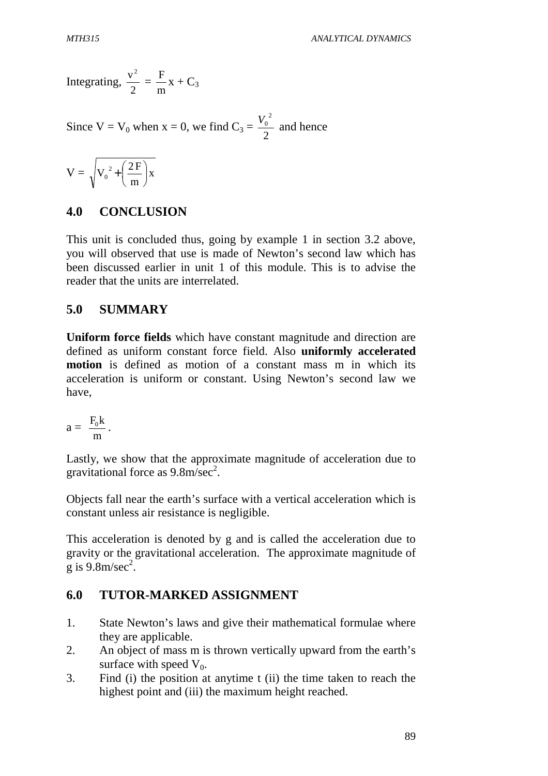Integrating, 2  $v^2$  = m  $\frac{F}{-x}$  + C<sub>3</sub>

Since  $V = V_0$  when  $x = 0$ , we find  $C_3 =$ 2  $\frac{V_0^2}{2}$  and hence

$$
V=\sqrt{{V_{{\scriptscriptstyle 0}}}^2+\left(\frac{2\,F}{m}\right)}x
$$

### **4.0 CONCLUSION**

This unit is concluded thus, going by example 1 in section 3.2 above, you will observed that use is made of Newton's second law which has been discussed earlier in unit 1 of this module. This is to advise the reader that the units are interrelated.

### **5.0 SUMMARY**

**Uniform force fields** which have constant magnitude and direction are defined as uniform constant force field. Also **uniformly accelerated motion** is defined as motion of a constant mass m in which its acceleration is uniform or constant. Using Newton's second law we have,

$$
a=\ \frac{F_0 k}{m}\,.
$$

Lastly, we show that the approximate magnitude of acceleration due to gravitational force as  $9.8 \text{m/sec}^2$ .

Objects fall near the earth's surface with a vertical acceleration which is constant unless air resistance is negligible.

This acceleration is denoted by g and is called the acceleration due to gravity or the gravitational acceleration. The approximate magnitude of  $\frac{1}{\text{g}}$  is 9.8m/sec<sup>2</sup>.

### **6.0 TUTOR-MARKED ASSIGNMENT**

- 1. State Newton's laws and give their mathematical formulae where they are applicable.
- 2. An object of mass m is thrown vertically upward from the earth's surface with speed  $V_0$ .
- 3. Find (i) the position at anytime t (ii) the time taken to reach the highest point and (iii) the maximum height reached.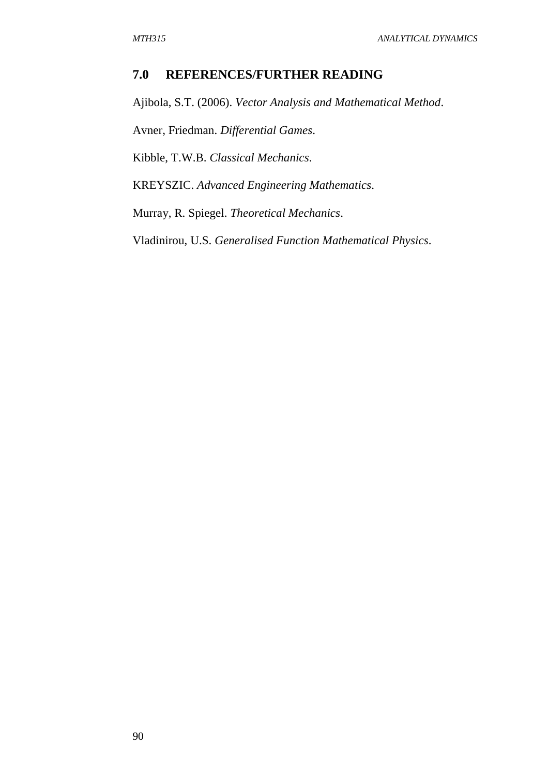### **7.0 REFERENCES/FURTHER READING**

Ajibola, S.T. (2006). *Vector Analysis and Mathematical Method*.

Avner, Friedman. *Differential Games*.

Kibble, T.W.B. *Classical Mechanics*.

KREYSZIC. *Advanced Engineering Mathematics*.

Murray, R. Spiegel. *Theoretical Mechanics*.

Vladinirou, U.S. *Generalised Function Mathematical Physics*.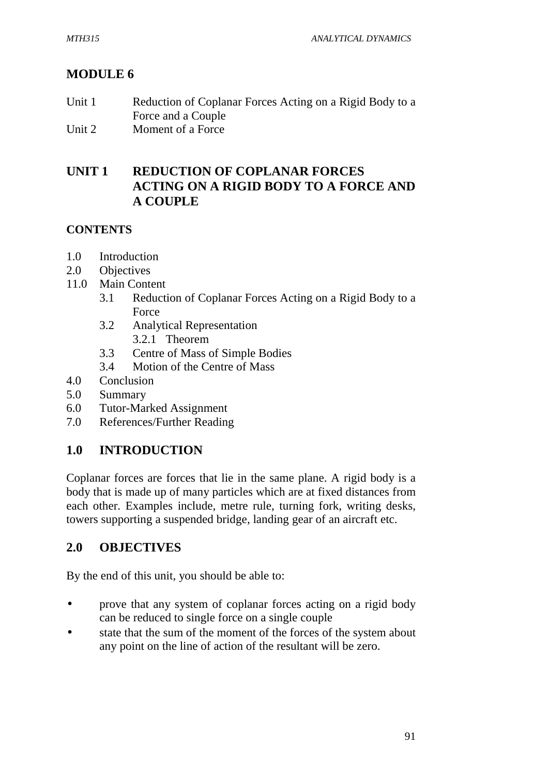# **MODULE 6**

| Unit 1 | Reduction of Coplanar Forces Acting on a Rigid Body to a |
|--------|----------------------------------------------------------|
|        | Force and a Couple                                       |
| Unit 2 | Moment of a Force                                        |

# **UNIT 1 REDUCTION OF COPLANAR FORCES ACTING ON A RIGID BODY TO A FORCE AND A COUPLE**

### **CONTENTS**

- 1.0 Introduction
- 2.0 Objectives
- 11.0 Main Content
	- 3.1 Reduction of Coplanar Forces Acting on a Rigid Body to a Force
	- 3.2 Analytical Representation 3.2.1 Theorem
	- 3.3 Centre of Mass of Simple Bodies
	- 3.4 Motion of the Centre of Mass
- 4.0 Conclusion
- 5.0 Summary
- 6.0 Tutor-Marked Assignment
- 7.0 References/Further Reading

# **1.0 INTRODUCTION**

Coplanar forces are forces that lie in the same plane. A rigid body is a body that is made up of many particles which are at fixed distances from each other. Examples include, metre rule, turning fork, writing desks, towers supporting a suspended bridge, landing gear of an aircraft etc.

# **2.0 OBJECTIVES**

By the end of this unit, you should be able to:

- prove that any system of coplanar forces acting on a rigid body can be reduced to single force on a single couple
- state that the sum of the moment of the forces of the system about any point on the line of action of the resultant will be zero.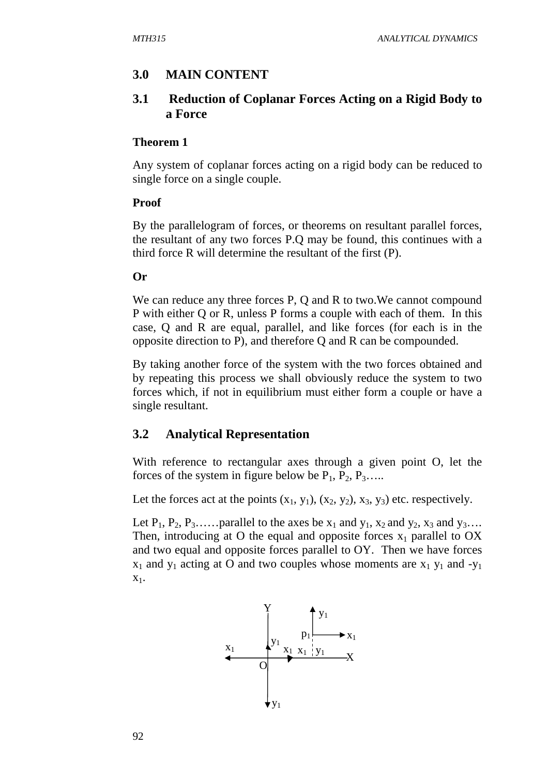# **3.0 MAIN CONTENT**

## **3.1 Reduction of Coplanar Forces Acting on a Rigid Body to a Force**

#### **Theorem 1**

Any system of coplanar forces acting on a rigid body can be reduced to single force on a single couple.

### **Proof**

By the parallelogram of forces, or theorems on resultant parallel forces, the resultant of any two forces P.Q may be found, this continues with a third force R will determine the resultant of the first (P).

### **Or**

We can reduce any three forces P, Q and R to two. We cannot compound P with either Q or R, unless P forms a couple with each of them. In this case, Q and R are equal, parallel, and like forces (for each is in the opposite direction to P), and therefore Q and R can be compounded.

By taking another force of the system with the two forces obtained and by repeating this process we shall obviously reduce the system to two forces which, if not in equilibrium must either form a couple or have a single resultant.

# **3.2 Analytical Representation**

With reference to rectangular axes through a given point O, let the forces of the system in figure below be  $P_1$ ,  $P_2$ ,  $P_3$ …..

Let the forces act at the points  $(x_1, y_1)$ ,  $(x_2, y_2)$ ,  $x_3$ ,  $y_3$ ) etc. respectively.

Let  $P_1$ ,  $P_2$ ,  $P_3$ …... parallel to the axes be  $x_1$  and  $y_1$ ,  $x_2$  and  $y_2$ ,  $x_3$  and  $y_3$ …. Then, introducing at O the equal and opposite forces  $x_1$  parallel to OX and two equal and opposite forces parallel to OY. Then we have forces  $x_1$  and  $y_1$  acting at O and two couples whose moments are  $x_1$   $y_1$  and  $-y_1$  $X_1$ .

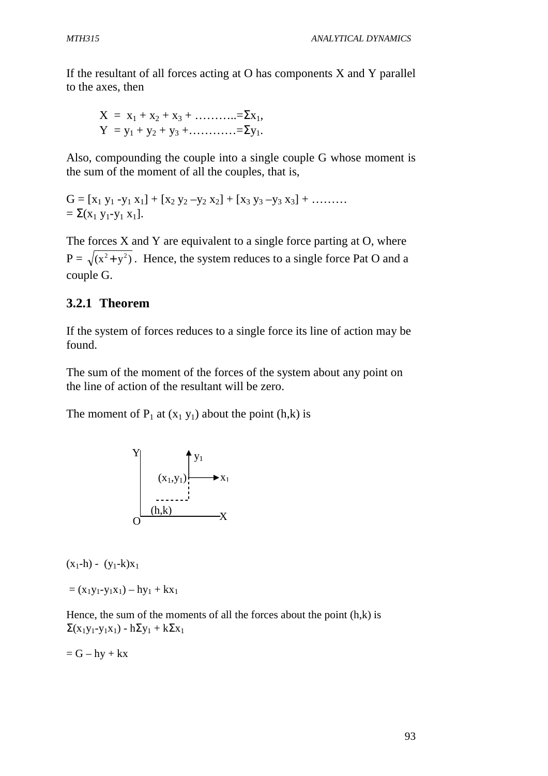If the resultant of all forces acting at O has components X and Y parallel to the axes, then

$$
X = x_1 + x_2 + x_3 + \dots + \dots = \sum x_1,
$$
  
\n
$$
Y = y_1 + y_2 + y_3 + \dots + \dots = \sum y_1.
$$

Also, compounding the couple into a single couple G whose moment is the sum of the moment of all the couples, that is,

 $G = [x_1 y_1 - y_1 x_1] + [x_2 y_2 - y_2 x_2] + [x_3 y_3 - y_3 x_3] + \dots$  $= \sum (x_1 y_1 - y_1 x_1).$ 

The forces X and Y are equivalent to a single force parting at O, where  $P = \sqrt{(x^2 + y^2)}$ . Hence, the system reduces to a single force Pat O and a couple G.

# **3.2.1 Theorem**

If the system of forces reduces to a single force its line of action may be found.

The sum of the moment of the forces of the system about any point on the line of action of the resultant will be zero.

The moment of  $P_1$  at  $(x_1 y_1)$  about the point  $(h,k)$  is



 $(x_1-h) - (y_1-k)x_1$ 

 $= (x_1y_1-y_1x_1) - hy_1 + kx_1$ 

Hence, the sum of the moments of all the forces about the point  $(h,k)$  is  $\Sigma(x_1y_1-y_1x_1) - h\Sigma y_1 + k\Sigma x_1$ 

 $= G - hv + kx$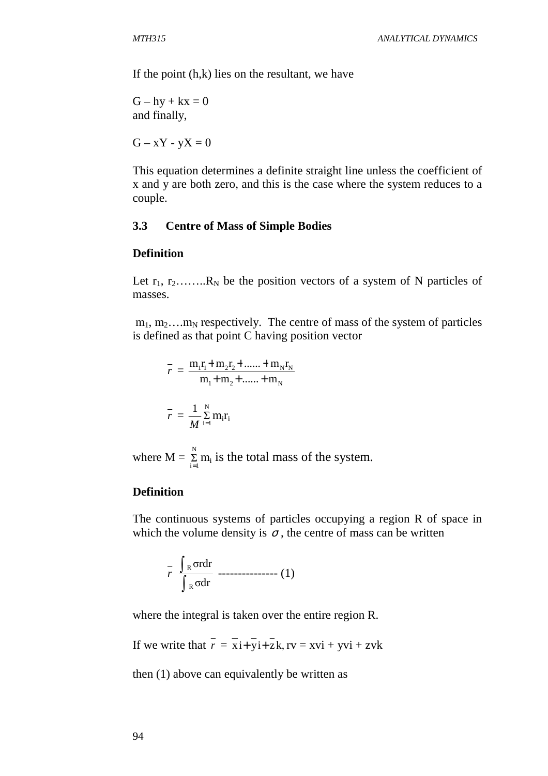If the point  $(h,k)$  lies on the resultant, we have

 $G - hy + kx = 0$ and finally,

 $G - xY - yX = 0$ 

This equation determines a definite straight line unless the coefficient of x and y are both zero, and this is the case where the system reduces to a couple.

#### **3.3 Centre of Mass of Simple Bodies**

#### **Definition**

Let  $r_1, r_2, \ldots, R_N$  be the position vectors of a system of N particles of masses.

 $m_1, m_2, \ldots, m_N$  respectively. The centre of mass of the system of particles is defined as that point C having position vector

$$
\bar{r} = \frac{m_1 r_1 + m_2 r_2 + \dots + m_N r_N}{m_1 + m_2 + \dots + m_N}
$$

$$
\bar{r} = \frac{1}{M} \sum_{i=1}^{N} m_i r_i
$$

where  $M = \sum_{i=1}^{N}$  $\sum_{i=1}^{n} m_i$  is the total mass of the system.

### **Definition**

The continuous systems of particles occupying a region R of space in which the volume density is  $\sigma$ , the centre of mass can be written

$$
\int_{R} \frac{\int_{R} \sigma r dr}{\int_{R} \sigma dr}
$$

where the integral is taken over the entire region R.

If we write that  $\overline{r} = \overline{x} + \overline{y} + \overline{z}$ ,  $\overline{r} = x\overline{y} + \overline{y}$ 

then (1) above can equivalently be written as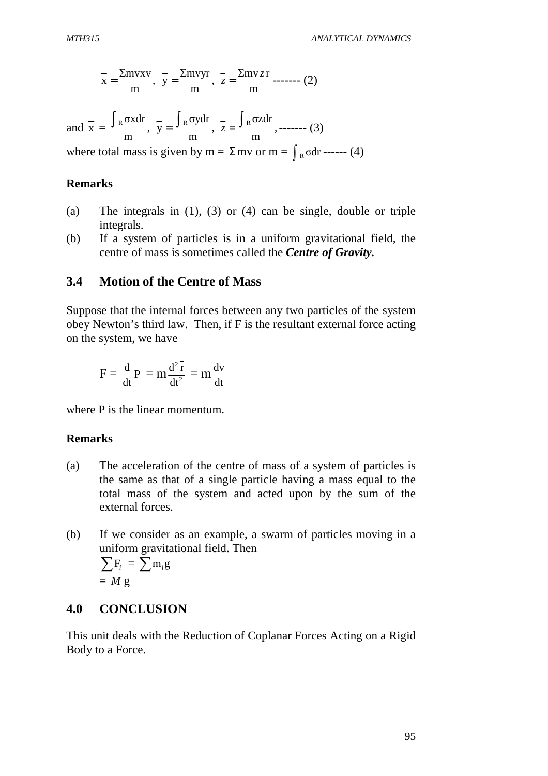$$
\overline{x} = \frac{\Sigma \text{mvxv}}{\text{m}}, \ \overline{y} = \frac{\Sigma \text{mvyr}}{\text{m}}, \ \overline{z} = \frac{\Sigma \text{mv} z \text{r}}{\text{m}} \text{---}(2)
$$

and  $x = \frac{\int R^{2} dx}{\int R^{2}}$ , m  $\int_R \sigma x dr$ ,  $y = \int_R \sigma y dr$ , m  $\int_R \sigma y dr$ ,  $z = \int_R \sigma z dr$ , m  $\int_R \sigma z dr$ , ------- (3) where total mass is given by m =  $\Sigma$  mv or m =  $\int_{R}$  odr ------ (4)

#### **Remarks**

- (a) The integrals in (1), (3) or (4) can be single, double or triple integrals.
- (b) If a system of particles is in a uniform gravitational field, the centre of mass is sometimes called the *Centre of Gravity.*

## **3.4 Motion of the Centre of Mass**

Suppose that the internal forces between any two particles of the system obey Newton's third law. Then, if F is the resultant external force acting on the system, we have

$$
F = \frac{d}{dt}P = m\frac{d^2\overline{r}}{dt^2} = m\frac{dv}{dt}
$$

where P is the linear momentum.

#### **Remarks**

- (a) The acceleration of the centre of mass of a system of particles is the same as that of a single particle having a mass equal to the total mass of the system and acted upon by the sum of the external forces.
- (b) If we consider as an example, a swarm of particles moving in a uniform gravitational field. Then

$$
\sum F_i = \sum m_i g
$$
  
= M g

## **4.0 CONCLUSION**

This unit deals with the Reduction of Coplanar Forces Acting on a Rigid Body to a Force.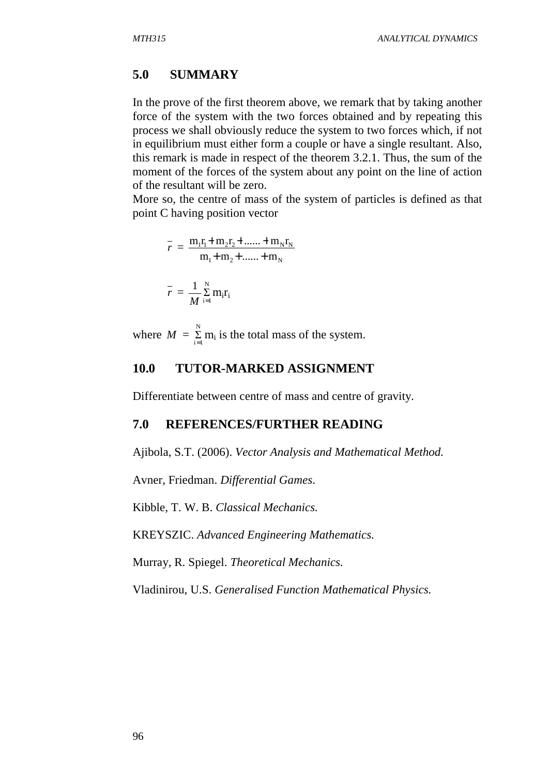## **5.0 SUMMARY**

In the prove of the first theorem above, we remark that by taking another force of the system with the two forces obtained and by repeating this process we shall obviously reduce the system to two forces which, if not in equilibrium must either form a couple or have a single resultant. Also, this remark is made in respect of the theorem 3.2.1. Thus, the sum of the moment of the forces of the system about any point on the line of action of the resultant will be zero.

More so, the centre of mass of the system of particles is defined as that point C having position vector

$$
\bar{r} = \frac{m_1 r_1 + m_2 r_2 + \dots + m_N r_N}{m_1 + m_2 + \dots + m_N}
$$

$$
\bar{r} = \frac{1}{M} \sum_{i=1}^{N} m_i r_i
$$

 $M$  i=

where  $M = \sum_{n=1}^{N}$  $\sum_{i=1}^{n} m_i$  is the total mass of the system.

## **10.0 TUTOR-MARKED ASSIGNMENT**

Differentiate between centre of mass and centre of gravity.

## **7.0 REFERENCES/FURTHER READING**

Ajibola, S.T. (2006). *Vector Analysis and Mathematical Method.*

Avner, Friedman. *Differential Games*.

Kibble, T. W. B. *Classical Mechanics.*

KREYSZIC. *Advanced Engineering Mathematics.*

Murray, R. Spiegel. *Theoretical Mechanics.*

Vladinirou, U.S. *Generalised Function Mathematical Physics.*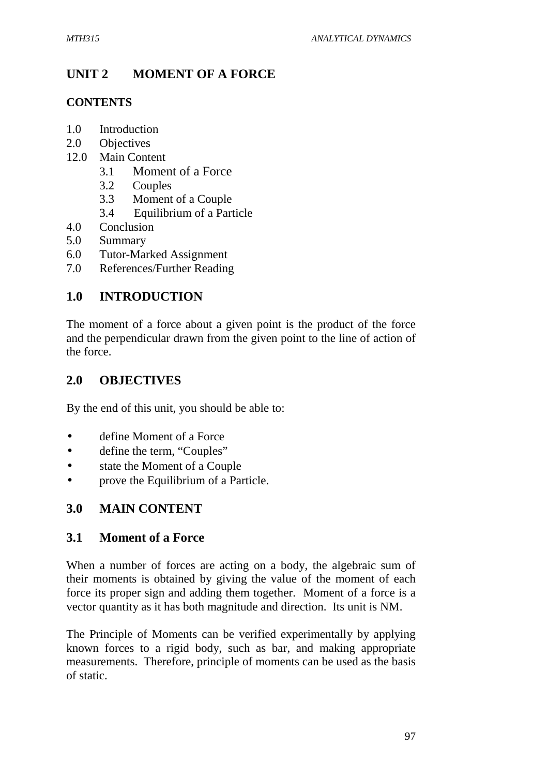# **UNIT 2 MOMENT OF A FORCE**

# **CONTENTS**

- 1.0 Introduction
- 2.0 Objectives
- 12.0 Main Content
	- 3.1 Moment of a Force
	- 3.2 Couples
	- 3.3 Moment of a Couple
	- 3.4 Equilibrium of a Particle
- 4.0 Conclusion
- 5.0 Summary
- 6.0 Tutor-Marked Assignment
- 7.0 References/Further Reading

# **1.0 INTRODUCTION**

The moment of a force about a given point is the product of the force and the perpendicular drawn from the given point to the line of action of the force.

# **2.0 OBJECTIVES**

By the end of this unit, you should be able to:

- define Moment of a Force
- define the term, "Couples"
- state the Moment of a Couple
- prove the Equilibrium of a Particle.

# **3.0 MAIN CONTENT**

# **3.1 Moment of a Force**

When a number of forces are acting on a body, the algebraic sum of their moments is obtained by giving the value of the moment of each force its proper sign and adding them together. Moment of a force is a vector quantity as it has both magnitude and direction. Its unit is NM.

The Principle of Moments can be verified experimentally by applying known forces to a rigid body, such as bar, and making appropriate measurements. Therefore, principle of moments can be used as the basis of static.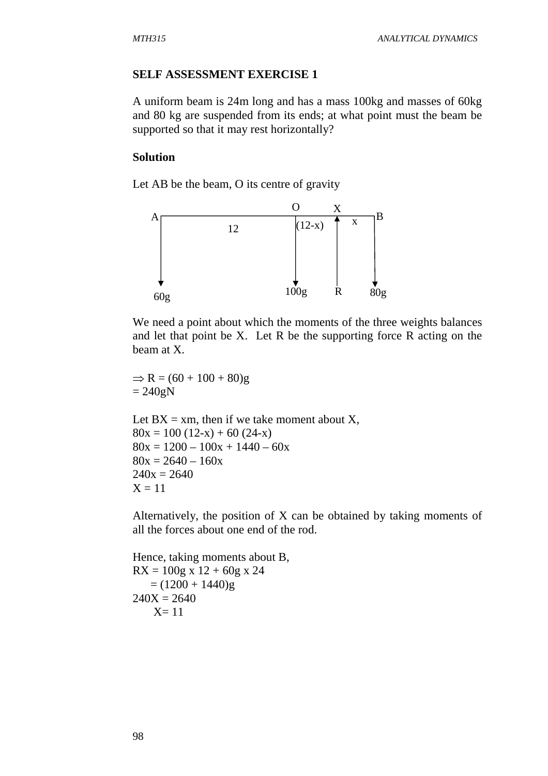#### **SELF ASSESSMENT EXERCISE 1**

A uniform beam is 24m long and has a mass 100kg and masses of 60kg and 80 kg are suspended from its ends; at what point must the beam be supported so that it may rest horizontally?

## **Solution**

Let AB be the beam, O its centre of gravity



We need a point about which the moments of the three weights balances and let that point be X. Let R be the supporting force R acting on the beam at X.

 $\Rightarrow R = (60 + 100 + 80)g$  $= 240$ gN

Let  $BX = xm$ , then if we take moment about X,  $80x = 100 (12-x) + 60 (24-x)$  $80x = 1200 - 100x + 1440 - 60x$  $80x = 2640 - 160x$  $240x = 2640$  $X = 11$ 

Alternatively, the position of X can be obtained by taking moments of all the forces about one end of the rod.

Hence, taking moments about B,  $RX = 100g \times 12 + 60g \times 24$  $= (1200 + 1440)$ g  $240X = 2640$  $X=11$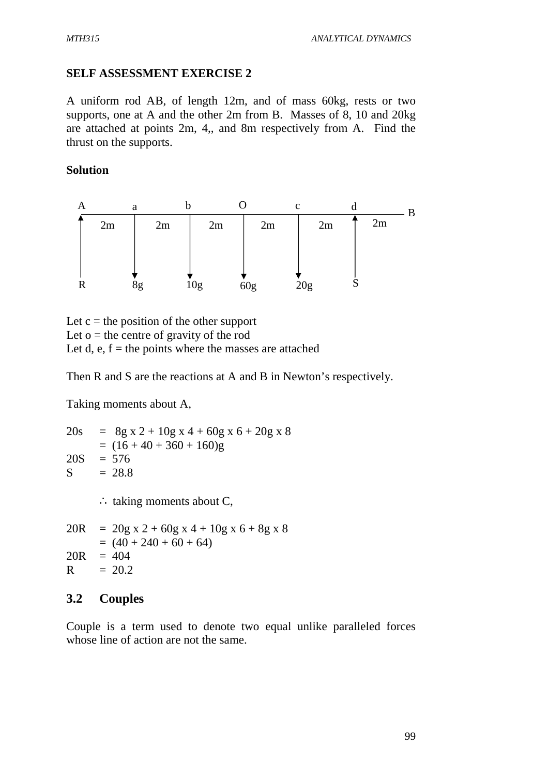# **SELF ASSESSMENT EXERCISE 2**

A uniform rod AB, of length 12m, and of mass 60kg, rests or two supports, one at A and the other 2m from B. Masses of 8, 10 and 20kg are attached at points 2m, 4,, and 8m respectively from A. Find the thrust on the supports.

## **Solution**



Let  $c =$  the position of the other support Let  $o$  = the centre of gravity of the rod Let d, e,  $f =$  the points where the masses are attached

Then R and S are the reactions at A and B in Newton's respectively.

Taking moments about A,

 $20s = 8g x 2 + 10g x 4 + 60g x 6 + 20g x 8$  $= (16 + 40 + 360 + 160)g$  $20S = 576$  $S = 28.8$ ∴ taking moments about C,  $20R = 20g \times 2 + 60g \times 4 + 10g \times 6 + 8g \times 8$  $= (40 + 240 + 60 + 64)$  $20R = 404$  $R = 20.2$ 

# **3.2 Couples**

Couple is a term used to denote two equal unlike paralleled forces whose line of action are not the same.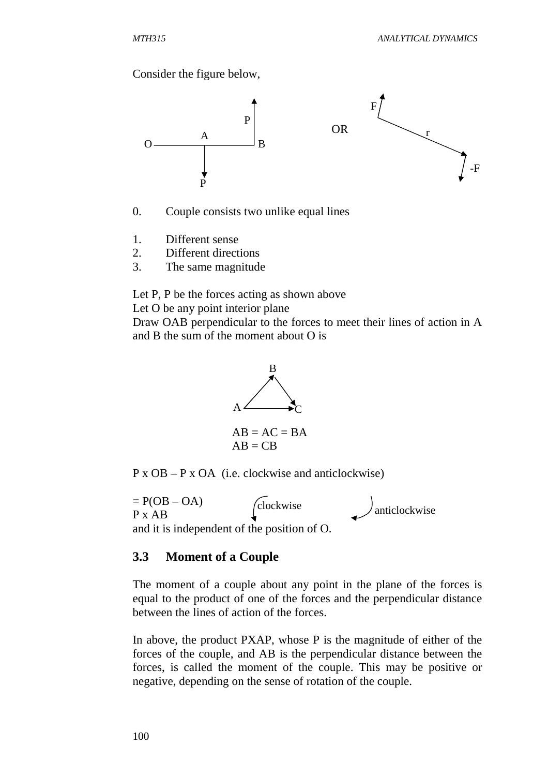Consider the figure below,



- 0. Couple consists two unlike equal lines
- 1. Different sense
- 2. Different directions
- 3. The same magnitude

Let P, P be the forces acting as shown above

Let O be any point interior plane

Draw OAB perpendicular to the forces to meet their lines of action in A and B the sum of the moment about O is



P x OB – P x OA (i.e. clockwise and anticlockwise)

 $= P(OB - OA)$ P x AB and it is independent of the position of O.  $\left(\begin{matrix} \text{clockwise} \\ \text{anticlockwise} \end{matrix}\right)$  anticlockwise

#### **3.3 Moment of a Couple**

The moment of a couple about any point in the plane of the forces is equal to the product of one of the forces and the perpendicular distance between the lines of action of the forces.

In above, the product PXAP, whose P is the magnitude of either of the forces of the couple, and AB is the perpendicular distance between the forces, is called the moment of the couple. This may be positive or negative, depending on the sense of rotation of the couple.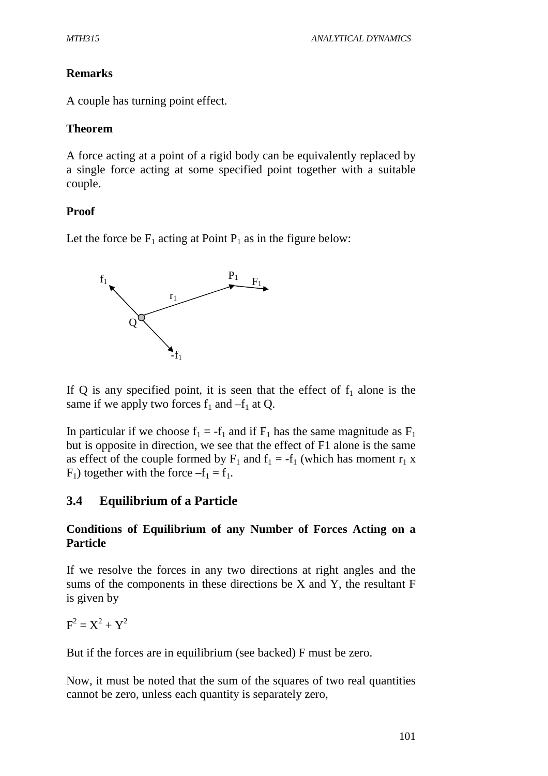# **Remarks**

A couple has turning point effect.

## **Theorem**

A force acting at a point of a rigid body can be equivalently replaced by a single force acting at some specified point together with a suitable couple.

# **Proof**

Let the force be  $F_1$  acting at Point  $P_1$  as in the figure below:



If Q is any specified point, it is seen that the effect of  $f_1$  alone is the same if we apply two forces  $f_1$  and  $-f_1$  at Q.

In particular if we choose  $f_1 = -f_1$  and if  $F_1$  has the same magnitude as  $F_1$ but is opposite in direction, we see that the effect of F1 alone is the same as effect of the couple formed by  $F_1$  and  $f_1 = -f_1$  (which has moment  $r_1$  x  $F_1$ ) together with the force  $-f_1 = f_1$ .

# **3.4 Equilibrium of a Particle**

# **Conditions of Equilibrium of any Number of Forces Acting on a Particle**

If we resolve the forces in any two directions at right angles and the sums of the components in these directions be X and Y, the resultant F is given by

 $F^2 = X^2 + Y^2$ 

But if the forces are in equilibrium (see backed) F must be zero.

Now, it must be noted that the sum of the squares of two real quantities cannot be zero, unless each quantity is separately zero,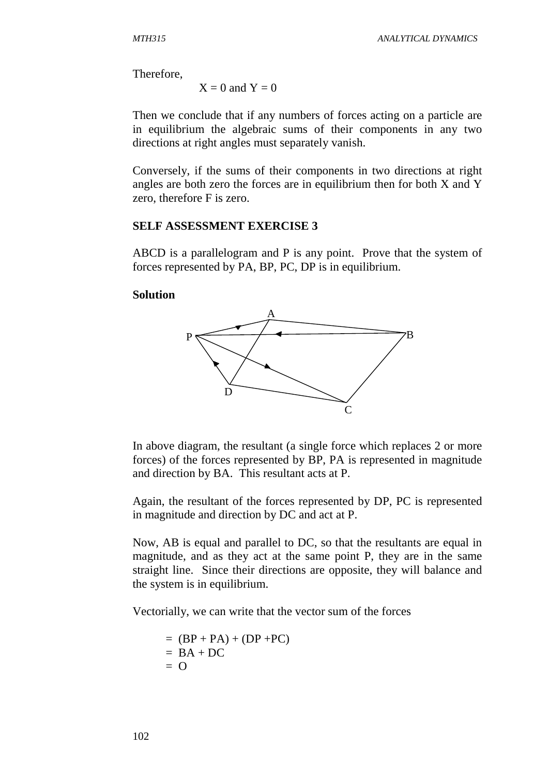Therefore,

 $X = 0$  and  $Y = 0$ 

Then we conclude that if any numbers of forces acting on a particle are in equilibrium the algebraic sums of their components in any two directions at right angles must separately vanish.

Conversely, if the sums of their components in two directions at right angles are both zero the forces are in equilibrium then for both X and Y zero, therefore F is zero.

#### **SELF ASSESSMENT EXERCISE 3**

ABCD is a parallelogram and P is any point. Prove that the system of forces represented by PA, BP, PC, DP is in equilibrium.

#### **Solution**



In above diagram, the resultant (a single force which replaces 2 or more forces) of the forces represented by BP, PA is represented in magnitude and direction by BA. This resultant acts at P.

Again, the resultant of the forces represented by DP, PC is represented in magnitude and direction by DC and act at P.

Now, AB is equal and parallel to DC, so that the resultants are equal in magnitude, and as they act at the same point P, they are in the same straight line. Since their directions are opposite, they will balance and the system is in equilibrium.

Vectorially, we can write that the vector sum of the forces

$$
= (BP + PA) + (DP + PC)
$$
  
= BA + DC  
= O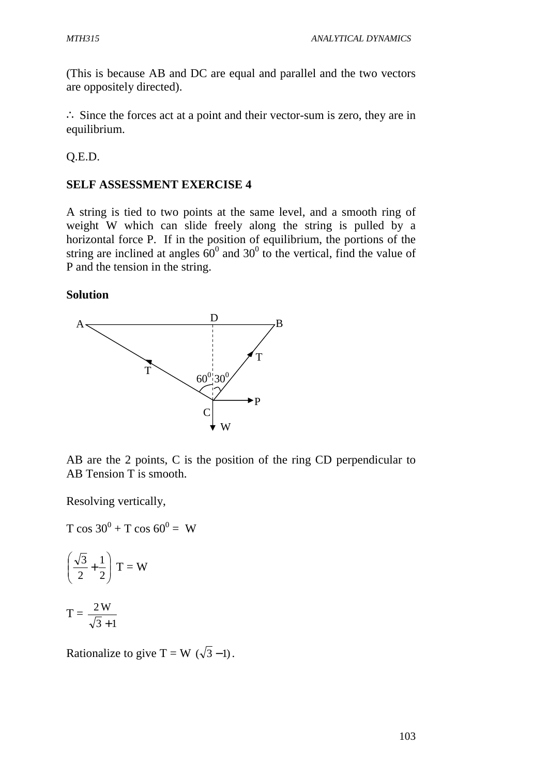(This is because AB and DC are equal and parallel and the two vectors are oppositely directed).

∴ Since the forces act at a point and their vector-sum is zero, they are in equilibrium.

Q.E.D.

## **SELF ASSESSMENT EXERCISE 4**

A string is tied to two points at the same level, and a smooth ring of weight W which can slide freely along the string is pulled by a horizontal force P. If in the position of equilibrium, the portions of the string are inclined at angles  $60^{\circ}$  and 30<sup>°</sup> to the vertical, find the value of P and the tension in the string.

## **Solution**



AB are the 2 points, C is the position of the ring CD perpendicular to AB Tension T is smooth.

Resolving vertically,

 $T \cos 30^0 + T \cos 60^0 = W$ 

$$
\left(\frac{\sqrt{3}}{2} + \frac{1}{2}\right)T = W
$$

 $T =$  $3 + 1$ 2W +

Rationalize to give T = W  $(\sqrt{3} - 1)$ .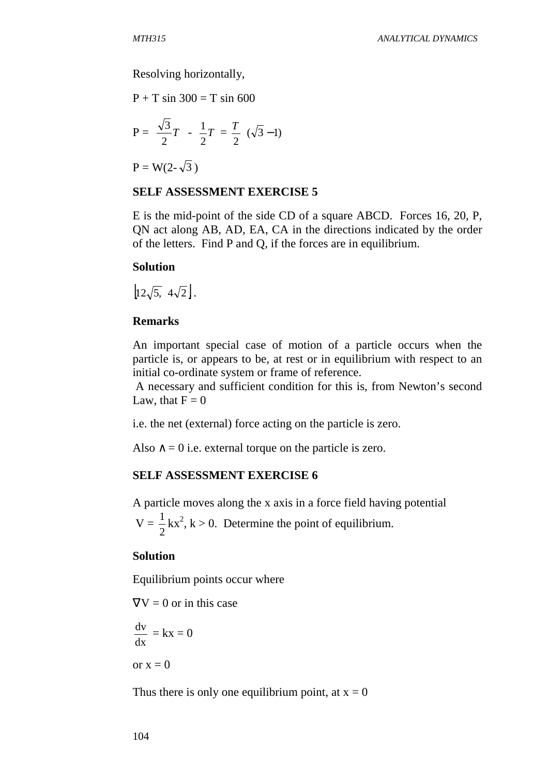Resolving horizontally,

 $P + T \sin 300 = T \sin 600$ 

$$
P = \frac{\sqrt{3}}{2}T - \frac{1}{2}T = \frac{T}{2} (\sqrt{3} - 1)
$$

 $P = W(2-\sqrt{3})$ 

#### **SELF ASSESSMENT EXERCISE 5**

E is the mid-point of the side CD of a square ABCD. Forces 16, 20, P, QN act along AB, AD, EA, CA in the directions indicated by the order of the letters. Find P and Q, if the forces are in equilibrium.

#### **Solution**

$$
\left[12\sqrt{5}, 4\sqrt{2}\right].
$$

## **Remarks**

An important special case of motion of a particle occurs when the particle is, or appears to be, at rest or in equilibrium with respect to an initial co-ordinate system or frame of reference.

 A necessary and sufficient condition for this is, from Newton's second Law, that  $F = 0$ 

i.e. the net (external) force acting on the particle is zero.

Also  $\wedge = 0$  i.e. external torque on the particle is zero.

#### **SELF ASSESSMENT EXERCISE 6**

A particle moves along the x axis in a force field having potential

 $V =$ 2  $\frac{1}{6}$  kx<sup>2</sup>, k > 0. Determine the point of equilibrium.

#### **Solution**

Equilibrium points occur where

 $\nabla V = 0$  or in this case dx  $\frac{dv}{dt} = kx = 0$ or  $x = 0$ 

Thus there is only one equilibrium point, at  $x = 0$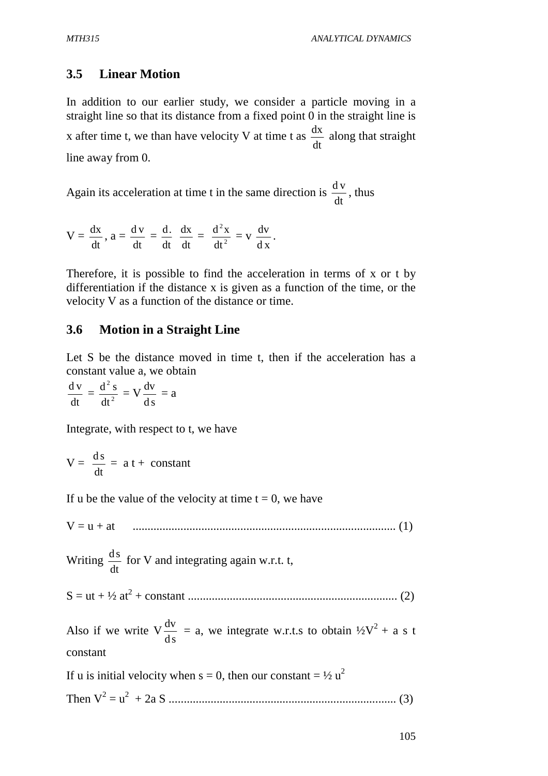# **3.5 Linear Motion**

In addition to our earlier study, we consider a particle moving in a straight line so that its distance from a fixed point 0 in the straight line is x after time t, we than have velocity V at time t as dt  $\frac{dx}{dt}$  along that straight line away from 0.

Again its acceleration at time t in the same direction is dt  $\frac{dv}{dt}$ , thus

 $V =$ dt  $\frac{dx}{dx}$ ,  $a =$ dt  $\frac{d v}{d}$  = dt dx dt  $rac{\mathrm{d}}{\mathrm{d}t} \frac{\mathrm{d}x}{\mathrm{d}t} = \frac{\mathrm{d}^2x}{\mathrm{d}t^2}$ 2 dt  $\frac{d^2x}{dx^2} = v$ d x  $\frac{dv}{dt}$ .

Therefore, it is possible to find the acceleration in terms of x or t by differentiation if the distance x is given as a function of the time, or the velocity V as a function of the distance or time.

## **3.6 Motion in a Straight Line**

Let S be the distance moved in time t, then if the acceleration has a constant value a, we obtain

dt  $\frac{dv}{dt} = \frac{d^2s}{dt^2}$ 2 dt  $\frac{d^2 s}{dt^2} = V$ d s  $\frac{dv}{dt} = a$ 

Integrate, with respect to t, we have

$$
V = \frac{ds}{dt} = a t + constant
$$

If u be the value of the velocity at time  $t = 0$ , we have

V = u + at ........................................................................................ (1)

Writing dt  $\frac{ds}{dt}$  for V and integrating again w.r.t. t,

S = ut + ½ at<sup>2</sup> + constant ...................................................................... (2)

Also if we write V d s  $\frac{dv}{dt}$  = a, we integrate w.r.t.s to obtain  $\frac{1}{2}V^2 + a$  s t constant

If u is initial velocity when  $s = 0$ , then our constant =  $\frac{1}{2} u^2$ 

Then V<sup>2</sup> = u 2 + 2a S ............................................................................ (3)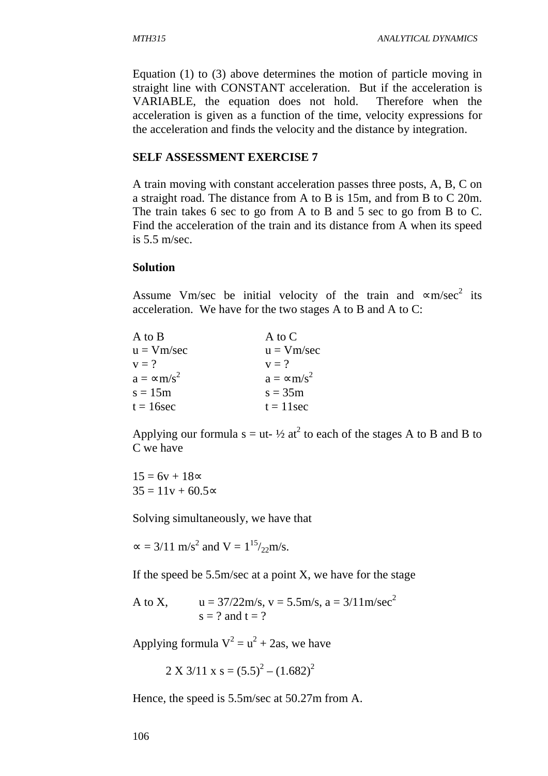Equation (1) to (3) above determines the motion of particle moving in straight line with CONSTANT acceleration. But if the acceleration is VARIABLE, the equation does not hold. Therefore when the acceleration is given as a function of the time, velocity expressions for the acceleration and finds the velocity and the distance by integration.

#### **SELF ASSESSMENT EXERCISE 7**

A train moving with constant acceleration passes three posts, A, B, C on a straight road. The distance from A to B is 15m, and from B to C 20m. The train takes 6 sec to go from A to B and 5 sec to go from B to C. Find the acceleration of the train and its distance from A when its speed is 5.5 m/sec.

#### **Solution**

Assume Vm/sec be initial velocity of the train and  $\infty$ m/sec<sup>2</sup> its acceleration. We have for the two stages A to B and A to C:

| A to B                        | A to C                        |
|-------------------------------|-------------------------------|
| $u = Vm/sec$                  | $u = Vm/sec$                  |
| $v = ?$                       | $v = ?$                       |
| $a = \infty$ m/s <sup>2</sup> | $a = \infty$ m/s <sup>2</sup> |
| $s = 15m$                     | $s = 35m$                     |
| $t = 16$ sec                  | $t = 11$ sec                  |

Applying our formula  $s = ut-1/2$  at<sup>2</sup> to each of the stages A to B and B to C we have

 $15 = 6v + 18$ ∝  $35 = 11v + 60.5$ ∝

Solving simultaneously, we have that

 $\approx$  = 3/11 m/s<sup>2</sup> and V = 1<sup>15</sup>/<sub>22</sub>m/s.

If the speed be  $5.5$ m/sec at a point X, we have for the stage

A to X,  $u = \frac{37}{22}m/s$ ,  $v = 5.5m/s$ ,  $a = \frac{3}{11}m/sec^2$  $s = ?$  and  $t = ?$ 

Applying formula  $V^2 = u^2 + 2$ as, we have

 $2 \text{ X } 3/11 \text{ X } s = (5.5)^2 - (1.682)^2$ 

Hence, the speed is 5.5m/sec at 50.27m from A.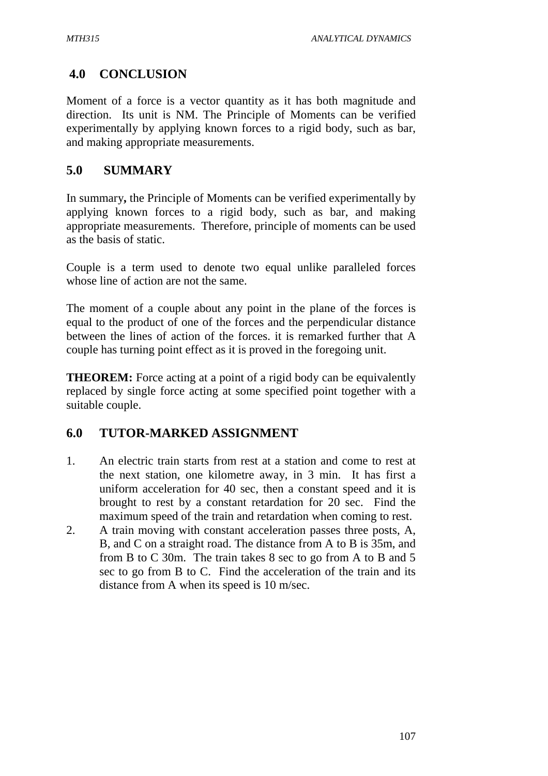# **4.0 CONCLUSION**

Moment of a force is a vector quantity as it has both magnitude and direction. Its unit is NM. The Principle of Moments can be verified experimentally by applying known forces to a rigid body, such as bar, and making appropriate measurements.

# **5.0 SUMMARY**

In summary**,** the Principle of Moments can be verified experimentally by applying known forces to a rigid body, such as bar, and making appropriate measurements. Therefore, principle of moments can be used as the basis of static.

Couple is a term used to denote two equal unlike paralleled forces whose line of action are not the same.

The moment of a couple about any point in the plane of the forces is equal to the product of one of the forces and the perpendicular distance between the lines of action of the forces. it is remarked further that A couple has turning point effect as it is proved in the foregoing unit.

**THEOREM:** Force acting at a point of a rigid body can be equivalently replaced by single force acting at some specified point together with a suitable couple.

# **6.0 TUTOR-MARKED ASSIGNMENT**

- 1. An electric train starts from rest at a station and come to rest at the next station, one kilometre away, in 3 min. It has first a uniform acceleration for 40 sec, then a constant speed and it is brought to rest by a constant retardation for 20 sec. Find the maximum speed of the train and retardation when coming to rest.
- 2. A train moving with constant acceleration passes three posts, A, B, and C on a straight road. The distance from A to B is 35m, and from B to C 30m. The train takes 8 sec to go from A to B and 5 sec to go from B to C. Find the acceleration of the train and its distance from A when its speed is 10 m/sec.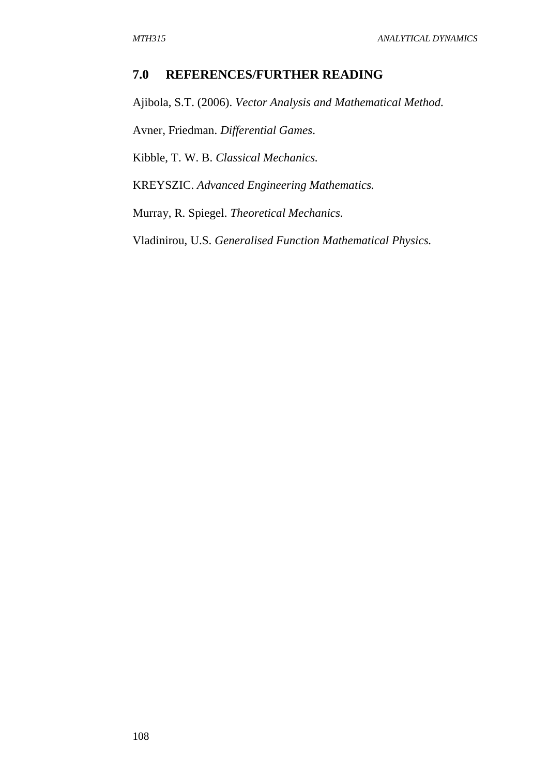## **7.0 REFERENCES/FURTHER READING**

Ajibola, S.T. (2006). *Vector Analysis and Mathematical Method.*  Avner, Friedman. *Differential Games*.

Kibble, T. W. B. *Classical Mechanics.* 

KREYSZIC. *Advanced Engineering Mathematics.* 

Murray, R. Spiegel. *Theoretical Mechanics.*

Vladinirou, U.S. *Generalised Function Mathematical Physics.*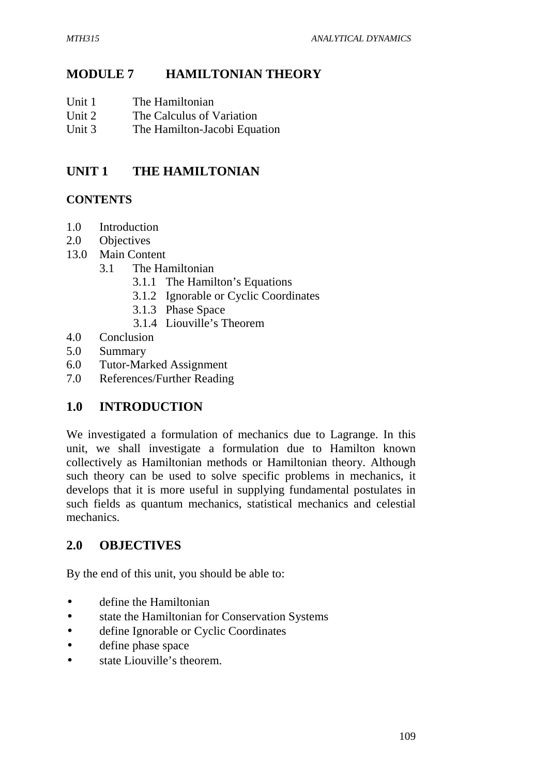# **MODULE 7 HAMILTONIAN THEORY**

- Unit 1 The Hamiltonian
- Unit 2 The Calculus of Variation
- Unit 3 The Hamilton-Jacobi Equation

# **UNIT 1 THE HAMILTONIAN**

# **CONTENTS**

- 1.0 Introduction
- 2.0 Objectives
- 13.0 Main Content
	- 3.1 The Hamiltonian
		- 3.1.1 The Hamilton's Equations
		- 3.1.2 Ignorable or Cyclic Coordinates
		- 3.1.3 Phase Space
		- 3.1.4 Liouville's Theorem
- 4.0 Conclusion
- 5.0 Summary
- 6.0 Tutor-Marked Assignment
- 7.0 References/Further Reading

# **1.0 INTRODUCTION**

We investigated a formulation of mechanics due to Lagrange. In this unit, we shall investigate a formulation due to Hamilton known collectively as Hamiltonian methods or Hamiltonian theory. Although such theory can be used to solve specific problems in mechanics, it develops that it is more useful in supplying fundamental postulates in such fields as quantum mechanics, statistical mechanics and celestial mechanics.

# **2.0 OBJECTIVES**

By the end of this unit, you should be able to:

- define the Hamiltonian
- state the Hamiltonian for Conservation Systems
- define Ignorable or Cyclic Coordinates
- define phase space
- state Liouville's theorem.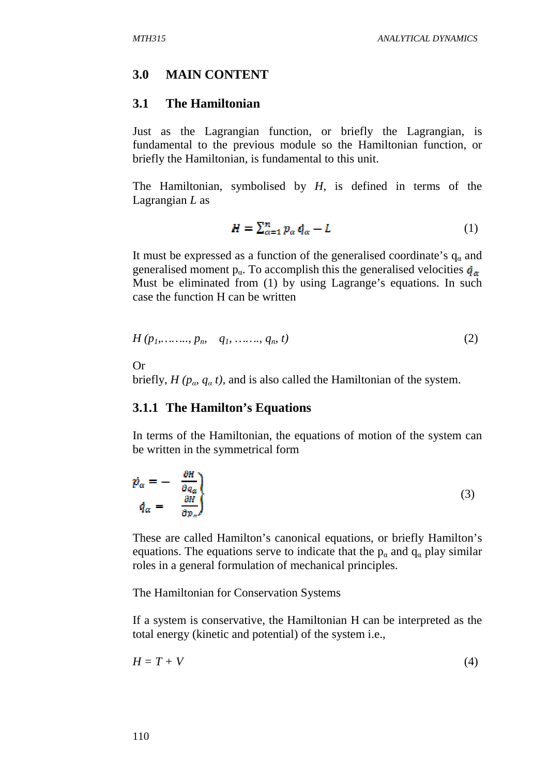## **3.0 MAIN CONTENT**

## **3.1 The Hamiltonian**

Just as the Lagrangian function, or briefly the Lagrangian, is fundamental to the previous module so the Hamiltonian function, or briefly the Hamiltonian, is fundamental to this unit.

The Hamiltonian, symbolised by *H*, is defined in terms of the Lagrangian *L* as

$$
H = \sum_{\alpha=1}^{n} p_{\alpha} \dot{q}_{\alpha} - L \tag{1}
$$

It must be expressed as a function of the generalised coordinate's  $q_a$  and generalised moment  $p_{\alpha}$ . To accomplish this the generalised velocities  $\dot{q}_{\alpha}$ Must be eliminated from (1) by using Lagrange's equations. In such case the function H can be written

$$
H(p_1, \ldots, p_n, q_1, \ldots, q_n, t) \tag{2}
$$

Or

briefly,  $H(p_\alpha, q_\alpha t)$ , and is also called the Hamiltonian of the system.

## **3.1.1 The Hamilton's Equations**

In terms of the Hamiltonian, the equations of motion of the system can be written in the symmetrical form

$$
\dot{p}_{\alpha} = -\frac{\frac{\partial H}{\partial q_{\alpha}}}{\frac{\partial H}{\partial p_{\alpha}}}
$$
\n(3)

These are called Hamilton's canonical equations, or briefly Hamilton's equations. The equations serve to indicate that the  $p_{\alpha}$  and  $q_{\alpha}$  play similar roles in a general formulation of mechanical principles.

The Hamiltonian for Conservation Systems

If a system is conservative, the Hamiltonian H can be interpreted as the total energy (kinetic and potential) of the system i.e.,

$$
H = T + V \tag{4}
$$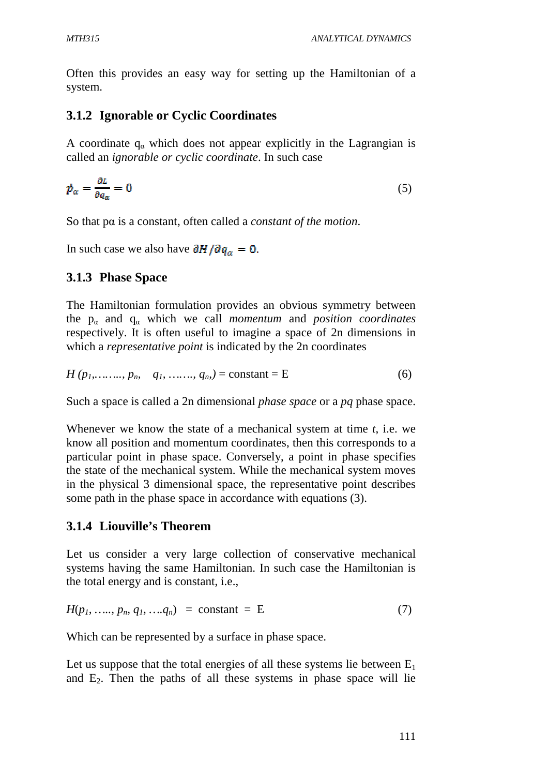Often this provides an easy way for setting up the Hamiltonian of a system.

# **3.1.2 Ignorable or Cyclic Coordinates**

A coordinate  $q_{\alpha}$  which does not appear explicitly in the Lagrangian is called an *ignorable or cyclic coordinate*. In such case

$$
\dot{p}_{\alpha} = \frac{\partial L}{\partial q_{\alpha}} = 0 \tag{5}
$$

So that pα is a constant, often called a *constant of the motion*.

In such case we also have  $\partial H / \partial q_{\alpha} = 0$ .

# **3.1.3 Phase Space**

The Hamiltonian formulation provides an obvious symmetry between the  $p_{\alpha}$  and  $q_{\alpha}$  which we call *momentum* and *position coordinates* respectively. It is often useful to imagine a space of 2n dimensions in which a *representative point* is indicated by the 2n coordinates

$$
H(p_1, \ldots, p_m \quad q_1, \ldots, q_m) = \text{constant} = E
$$
 (6)

Such a space is called a 2n dimensional *phase space* or a *pq* phase space.

Whenever we know the state of a mechanical system at time *t*, i.e. we know all position and momentum coordinates, then this corresponds to a particular point in phase space. Conversely, a point in phase specifies the state of the mechanical system. While the mechanical system moves in the physical 3 dimensional space, the representative point describes some path in the phase space in accordance with equations (3).

# **3.1.4 Liouville's Theorem**

Let us consider a very large collection of conservative mechanical systems having the same Hamiltonian. In such case the Hamiltonian is the total energy and is constant, i.e.,

$$
H(p_1, \, \ldots, \, p_n, \, q_1, \, \ldots, \, q_n) \ = \ \text{constant} \ = \ \text{E} \tag{7}
$$

Which can be represented by a surface in phase space.

Let us suppose that the total energies of all these systems lie between  $E_1$ and  $E_2$ . Then the paths of all these systems in phase space will lie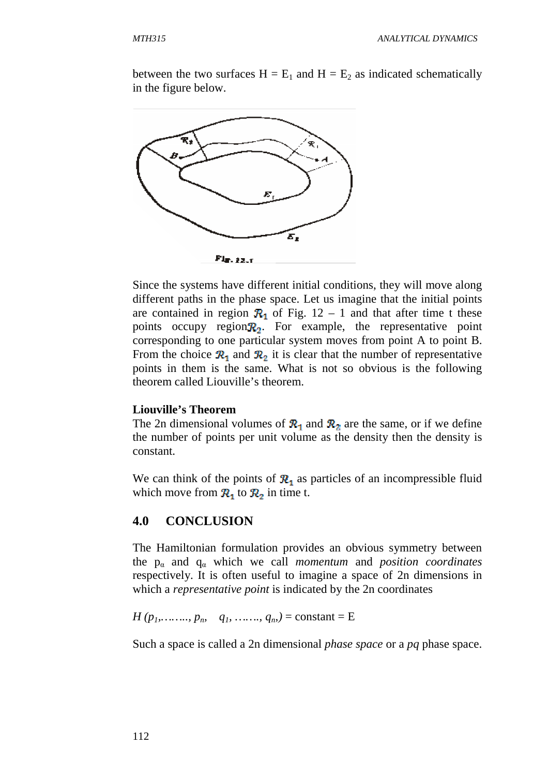between the two surfaces  $H = E_1$  and  $H = E_2$  as indicated schematically in the figure below.



Since the systems have different initial conditions, they will move along different paths in the phase space. Let us imagine that the initial points are contained in region  $\mathcal{R}_1$  of Fig. 12 – 1 and that after time t these points occupy region  $\mathbb{R}_2$ . For example, the representative point corresponding to one particular system moves from point A to point B. From the choice  $\mathcal{R}_1$  and  $\mathcal{R}_2$  it is clear that the number of representative points in them is the same. What is not so obvious is the following theorem called Liouville's theorem.

#### **Liouville's Theorem**

The 2n dimensional volumes of  $\mathcal{R}_1$  and  $\mathcal{R}_2$  are the same, or if we define the number of points per unit volume as the density then the density is constant.

We can think of the points of  $\mathbb{R}_1$  as particles of an incompressible fluid which move from  $\mathbb{R}_1$  to  $\mathbb{R}_2$  in time t.

## **4.0 CONCLUSION**

The Hamiltonian formulation provides an obvious symmetry between the  $p_\alpha$  and  $q_\alpha$  which we call *momentum* and *position coordinates* respectively. It is often useful to imagine a space of 2n dimensions in which a *representative point* is indicated by the 2n coordinates

 $H(p_1, \ldots, p_n, q_1, \ldots, q_n) = \text{constant} = E$ 

Such a space is called a 2n dimensional *phase space* or a *pq* phase space.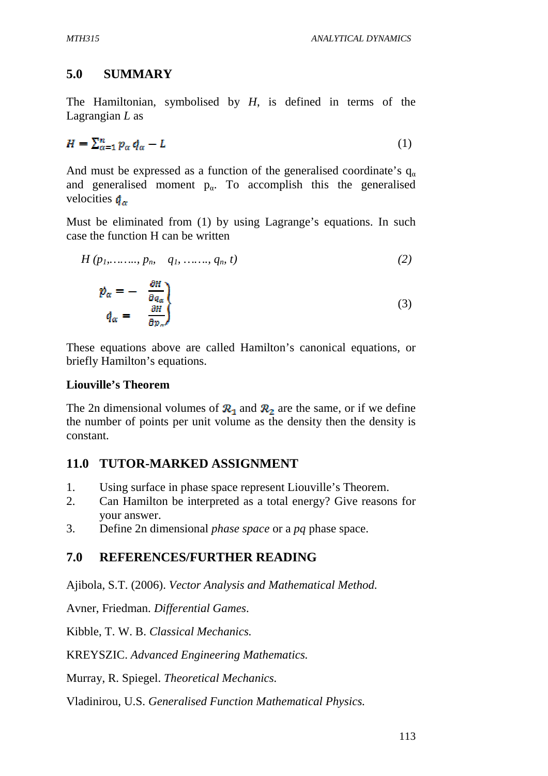# **5.0 SUMMARY**

The Hamiltonian, symbolised by *H*, is defined in terms of the Lagrangian *L* as

$$
H = \sum_{\alpha=1}^{n} p_{\alpha} \dot{q}_{\alpha} - L \tag{1}
$$

And must be expressed as a function of the generalised coordinate's  $q_{\alpha}$ and generalised moment  $p_{\alpha}$ . To accomplish this the generalised velocities  $\dot{q}_{\alpha}$ 

Must be eliminated from (1) by using Lagrange's equations. In such case the function H can be written

$$
H(p_1, \ldots, p_m \quad q_1, \ldots, q_m \ t) \tag{2}
$$

$$
\dot{p}_{\alpha} = -\frac{\partial H}{\partial q_{\alpha}} \n\dot{q}_{\alpha} = \frac{\partial H}{\partial p_{\alpha}} \tag{3}
$$

These equations above are called Hamilton's canonical equations, or briefly Hamilton's equations.

## **Liouville's Theorem**

The 2n dimensional volumes of  $\mathbb{R}_1$  and  $\mathbb{R}_2$  are the same, or if we define the number of points per unit volume as the density then the density is constant.

# **11.0 TUTOR-MARKED ASSIGNMENT**

- 1. Using surface in phase space represent Liouville's Theorem.
- 2. Can Hamilton be interpreted as a total energy? Give reasons for your answer.
- 3. Define 2n dimensional *phase space* or a *pq* phase space.

# **7.0 REFERENCES/FURTHER READING**

Ajibola, S.T. (2006). *Vector Analysis and Mathematical Method.*

Avner, Friedman. *Differential Games*.

Kibble, T. W. B. *Classical Mechanics.*

KREYSZIC. *Advanced Engineering Mathematics.*

Murray, R. Spiegel. *Theoretical Mechanics.*

Vladinirou, U.S. *Generalised Function Mathematical Physics.*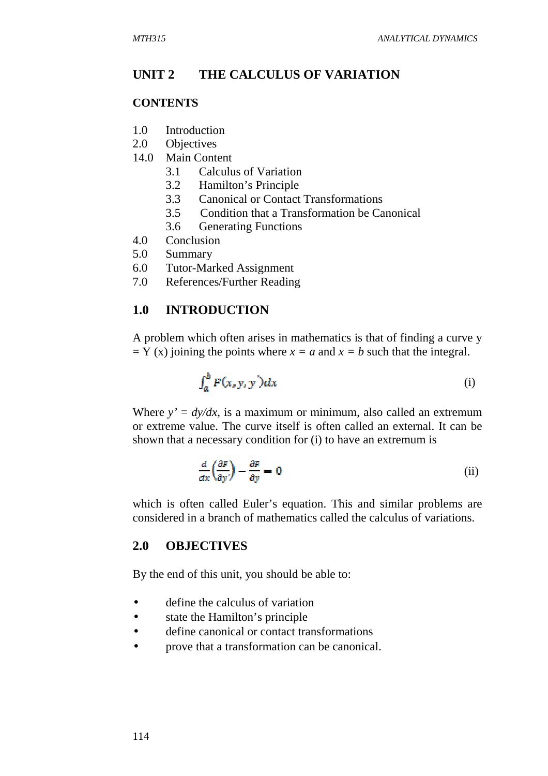## **UNIT 2 THE CALCULUS OF VARIATION**

## **CONTENTS**

- 1.0 Introduction
- 2.0 Objectives
- 14.0 Main Content
	- 3.1 Calculus of Variation
	- 3.2 Hamilton's Principle
	- 3.3 Canonical or Contact Transformations
	- 3.5 Condition that a Transformation be Canonical
	- 3.6 Generating Functions
- 4.0 Conclusion
- 5.0 Summary
- 6.0 Tutor-Marked Assignment
- 7.0 References/Further Reading

## **1.0 INTRODUCTION**

A problem which often arises in mathematics is that of finding a curve y  $= Y (x)$  joining the points where  $x = a$  and  $x = b$  such that the integral.

$$
\int_{a}^{b} F(x, y, y') dx \tag{i}
$$

Where  $y' = dy/dx$ , is a maximum or minimum, also called an extremum or extreme value. The curve itself is often called an external. It can be shown that a necessary condition for (i) to have an extremum is

$$
\frac{d}{dx}\left(\frac{\partial F}{\partial y'}\right) - \frac{\partial F}{\partial y} = 0
$$
 (ii)

which is often called Euler's equation. This and similar problems are considered in a branch of mathematics called the calculus of variations.

## **2.0 OBJECTIVES**

By the end of this unit, you should be able to:

- define the calculus of variation
- state the Hamilton's principle
- define canonical or contact transformations
- prove that a transformation can be canonical.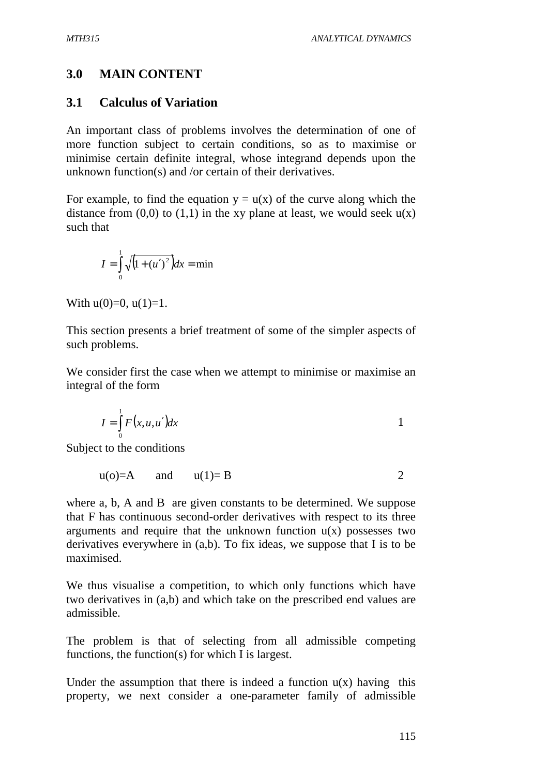# **3.0 MAIN CONTENT**

# **3.1 Calculus of Variation**

An important class of problems involves the determination of one of more function subject to certain conditions, so as to maximise or minimise certain definite integral, whose integrand depends upon the unknown function(s) and /or certain of their derivatives.

For example, to find the equation  $y = u(x)$  of the curve along which the distance from  $(0,0)$  to  $(1,1)$  in the xy plane at least, we would seek  $u(x)$ such that

$$
I = \int_{0}^{1} \sqrt{(1 + (u')^{2})} dx = \min
$$

With  $u(0)=0$ ,  $u(1)=1$ .

This section presents a brief treatment of some of the simpler aspects of such problems.

We consider first the case when we attempt to minimise or maximise an integral of the form

$$
I = \int_{0}^{1} F(x, u, u') dx
$$

Subject to the conditions

$$
u(o)=A \qquad \text{and} \qquad u(1)=B \qquad \qquad 2
$$

where a, b, A and B are given constants to be determined. We suppose that F has continuous second-order derivatives with respect to its three arguments and require that the unknown function  $u(x)$  possesses two derivatives everywhere in (a,b). To fix ideas, we suppose that I is to be maximised.

We thus visualise a competition, to which only functions which have two derivatives in (a,b) and which take on the prescribed end values are admissible.

The problem is that of selecting from all admissible competing functions, the function(s) for which I is largest.

Under the assumption that there is indeed a function  $u(x)$  having this property, we next consider a one-parameter family of admissible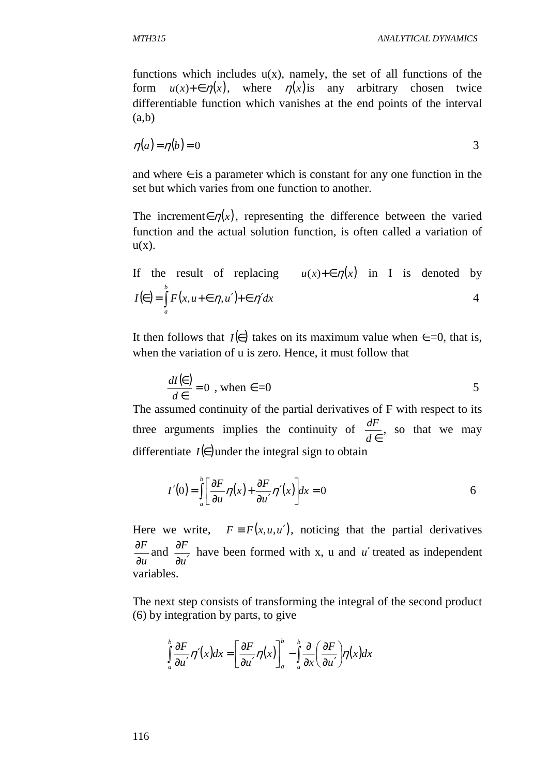functions which includes  $u(x)$ , namely, the set of all functions of the form  $u(x) + \epsilon \eta(x)$ , where  $\eta(x)$  is any arbitrary chosen twice differentiable function which vanishes at the end points of the interval (a,b)

$$
\eta(a) = \eta(b) = 0 \tag{3}
$$

and where  $\in$  is a parameter which is constant for any one function in the set but which varies from one function to another.

The increment∈  $\eta(x)$ , representing the difference between the varied function and the actual solution function, is often called a variation of  $u(x)$ .

If the result of replacing 
$$
u(x)+\epsilon \eta(x)
$$
 in I is denoted by  $I(\epsilon) = \int_{a}^{b} F(x, u+\epsilon \eta, u') + \epsilon \eta' dx$  4

It then follows that *I*(∈) takes on its maximum value when  $\epsilon = 0$ , that is, when the variation of u is zero. Hence, it must follow that

$$
\frac{dI(\epsilon)}{d\epsilon} = 0 \text{ , when } \epsilon = 0
$$

The assumed continuity of the partial derivatives of F with respect to its three arguments implies the continuity of *d* ∈  $\frac{dF}{dt}$ , so that we may differentiate  $I(\epsilon)$  under the integral sign to obtain

$$
I'(0) = \int_{a}^{b} \left[ \frac{\partial F}{\partial u} \eta(x) + \frac{\partial F}{\partial u'} \eta'(x) \right] dx = 0
$$

Here we write,  $F = F(x, u, u')$ , noticing that the partial derivatives *u F* ∂  $\frac{\partial F}{\partial x}$  and *u F*  $\partial u'$  $\frac{\partial F}{\partial x}$  have been formed with x, u and *u'* treated as independent variables.

The next step consists of transforming the integral of the second product (6) by integration by parts, to give

$$
\int_{a}^{b} \frac{\partial F}{\partial u'} \eta'(x) dx = \left[ \frac{\partial F}{\partial u'} \eta(x) \right]_{a}^{b} - \int_{a}^{b} \frac{\partial}{\partial x} \left( \frac{\partial F}{\partial u'} \right) \eta(x) dx
$$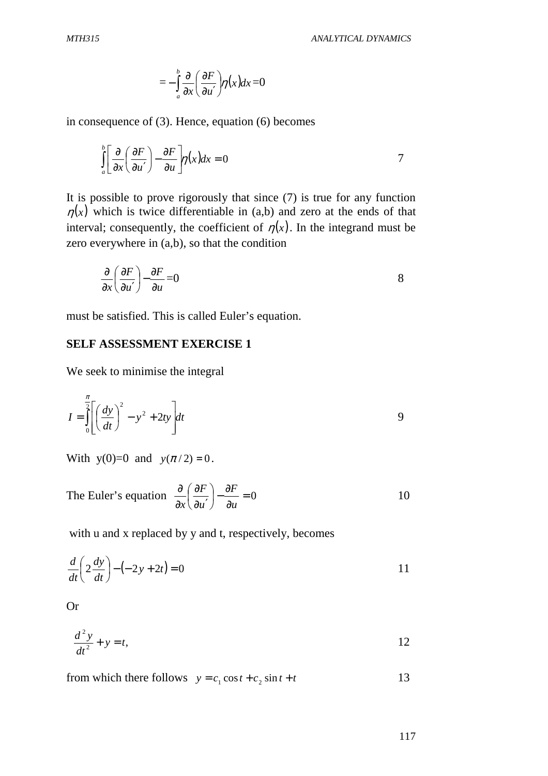$$
=-\int_{a}^{b}\frac{\partial}{\partial x}\left(\frac{\partial F}{\partial u'}\right)\eta(x)dx=0
$$

in consequence of (3). Hence, equation (6) becomes

$$
\int_{a}^{b} \left[ \frac{\partial}{\partial x} \left( \frac{\partial F}{\partial u'} \right) - \frac{\partial F}{\partial u} \right] \eta(x) dx = 0
$$

It is possible to prove rigorously that since (7) is true for any function  $\eta(x)$  which is twice differentiable in (a,b) and zero at the ends of that interval; consequently, the coefficient of  $\eta(x)$ . In the integrand must be zero everywhere in (a,b), so that the condition

$$
\frac{\partial}{\partial x} \left( \frac{\partial F}{\partial u'} \right) - \frac{\partial F}{\partial u} = 0
$$
 8

must be satisfied. This is called Euler's equation.

## **SELF ASSESSMENT EXERCISE 1**

We seek to minimise the integral

$$
I = \int_0^{\frac{\pi}{2}} \left[ \left( \frac{dy}{dt} \right)^2 - y^2 + 2ty \right] dt
$$

With  $y(0)=0$  and  $y(\pi/2) = 0$ .

The Euler's equation 
$$
\frac{\partial}{\partial x} \left( \frac{\partial F}{\partial u'} \right) - \frac{\partial F}{\partial u} = 0
$$
 10

with u and x replaced by y and t, respectively, becomes

$$
\frac{d}{dt}\left(2\frac{dy}{dt}\right) - \left(-2y + 2t\right) = 0
$$

Or

$$
\frac{d^2y}{dt^2} + y = t,\tag{12}
$$

from which there follows 
$$
y = c_1 \cos t + c_2 \sin t + t
$$
 13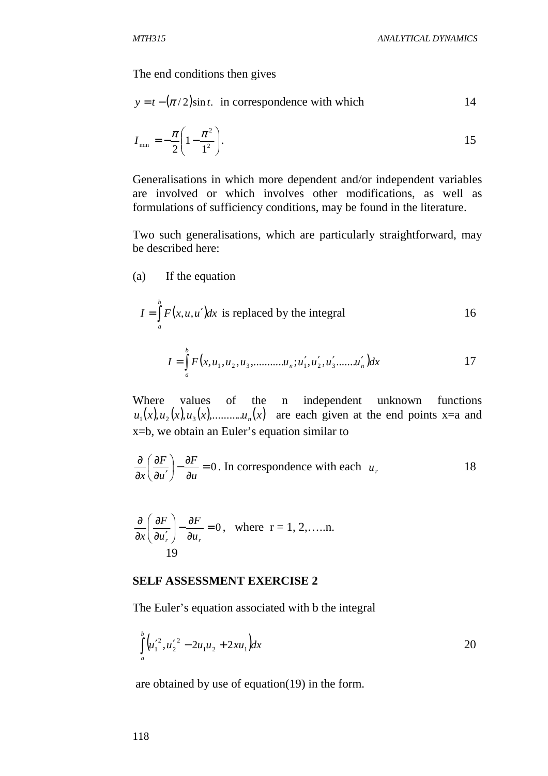The end conditions then gives

$$
y = t - (\pi/2)\sin t.
$$
 in correspondence with which

$$
I_{\min} = -\frac{\pi}{2} \left( 1 - \frac{\pi^2}{1^2} \right). \tag{15}
$$

Generalisations in which more dependent and/or independent variables are involved or which involves other modifications, as well as formulations of sufficiency conditions, may be found in the literature.

Two such generalisations, which are particularly straightforward, may be described here:

(a) If the equation

$$
I = \int_{a}^{b} F(x, u, u')dx
$$
 is replaced by the integral

$$
I = \int_{a}^{b} F(x, u_1, u_2, u_3, \dots, u_n; u'_1, u'_2, u'_3, \dots, u'_n) dx
$$
 17

Where values of the n independent unknown functions  $u_1(x), u_2(x), u_3(x), \dots, u_n(x)$  are each given at the end points x=a and x=b, we obtain an Euler's equation similar to

$$
\frac{\partial}{\partial x} \left( \frac{\partial F}{\partial u'} \right) - \frac{\partial F}{\partial u} = 0.
$$
 In correspondence with each  $u_r$ , 18

$$
\frac{\partial}{\partial x} \left( \frac{\partial F}{\partial u'_r} \right) - \frac{\partial F}{\partial u_r} = 0, \text{ where } r = 1, 2, \dots, n.
$$

#### **SELF ASSESSMENT EXERCISE 2**

The Euler's equation associated with b the integral

$$
\int_{a}^{b} \left( u_1^{\prime 2}, u_2^{\prime 2} - 2u_1 u_2 + 2x u_1 \right) dx
$$

are obtained by use of equation(19) in the form.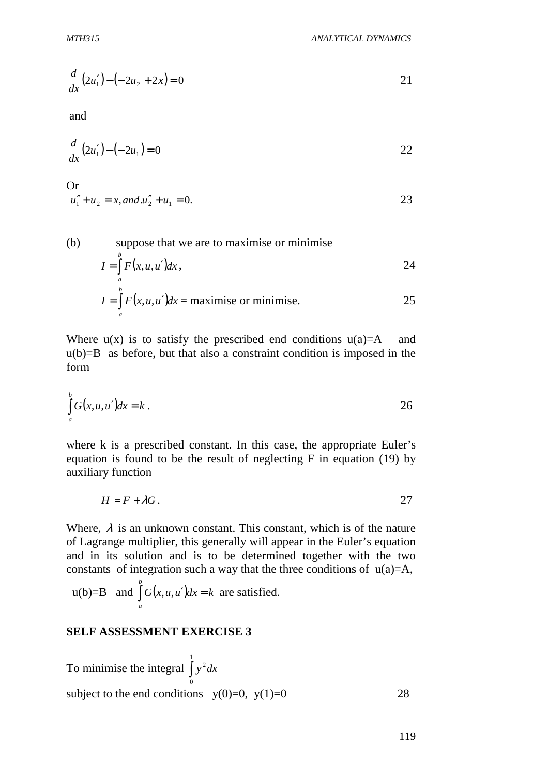$$
\frac{d}{dx}(2u_1') - (-2u_2 + 2x) = 0
$$

and

$$
\frac{d}{dx}(2u_1') - (-2u_1) = 0
$$

Or  
\n
$$
u_1'' + u_2 = x
$$
, and  $u_2'' + u_1 = 0$ .

(b) suppose that we are to maximise or minimise  
\n
$$
I = \int_{a}^{b} F(x, u, u')dx,
$$
\n
$$
I = \int_{a}^{b} F(x, u, u')dx = \text{maximise or minimise.}
$$
\n25

Where  $u(x)$  is to satisfy the prescribed end conditions  $u(a)=A$  and  $u(b)=B$  as before, but that also a constraint condition is imposed in the form

$$
\int_{a}^{b} G(x, u, u') dx = k.
$$

where k is a prescribed constant. In this case, the appropriate Euler's equation is found to be the result of neglecting F in equation (19) by auxiliary function

$$
H = F + \lambda G.
$$

Where,  $\lambda$  is an unknown constant. This constant, which is of the nature of Lagrange multiplier, this generally will appear in the Euler's equation and in its solution and is to be determined together with the two constants of integration such a way that the three conditions of  $u(a)=A$ ,

 $u(b)=B$  and  $\int_{a}^{b} G(x, u, u')dx = k$  are satisfied. *a*

#### **SELF ASSESSMENT EXERCISE 3**

To minimise the integral 
$$
\int_{0}^{1} y^2 dx
$$
  
subject to the end conditions y(0)=0, y(1)=0  
28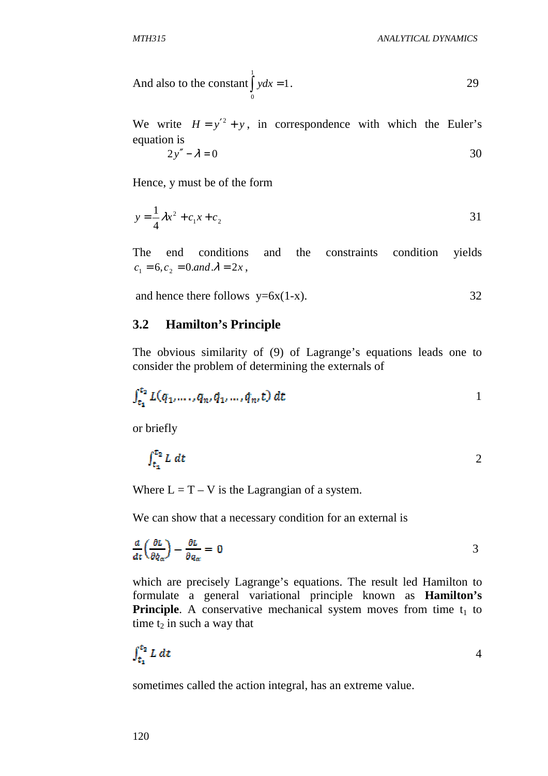And also to the constant 
$$
\int_{0}^{1} ydx = 1
$$
.

We write  $H = y'^2 + y$ , in correspondence with which the Euler's equation is

$$
2y'' - \lambda = 0 \tag{30}
$$

Hence, y must be of the form

$$
y = \frac{1}{4}\lambda x^2 + c_1 x + c_2
$$
 31

The end conditions and the constraints condition yields  $c_1 = 6, c_2 = 0$  *and*  $\lambda = 2x$ ,

and hence there follows  $y=6x(1-x)$ . 32

#### **3.2 Hamilton's Principle**

The obvious similarity of (9) of Lagrange's equations leads one to consider the problem of determining the externals of

$$
\int_{t_1}^{t_2} L(q_1, \dots, q_n, \dot{q}_1, \dots, \dot{q}_n, t) \, dt \tag{1}
$$

or briefly

$$
\int_{t_1}^{t_2} L \, dt \tag{2}
$$

Where  $L = T - V$  is the Lagrangian of a system.

We can show that a necessary condition for an external is

$$
\frac{d}{dt}\left(\frac{\partial L}{\partial \dot{q}_{\alpha}}\right) - \frac{\partial L}{\partial q_{\alpha}} = 0
$$

which are precisely Lagrange's equations. The result led Hamilton to formulate a general variational principle known as **Hamilton's Principle.** A conservative mechanical system moves from time  $t_1$  to time  $t_2$  in such a way that

$$
\int_{t_1}^{t_2} L \, dt \tag{4}
$$

sometimes called the action integral, has an extreme value.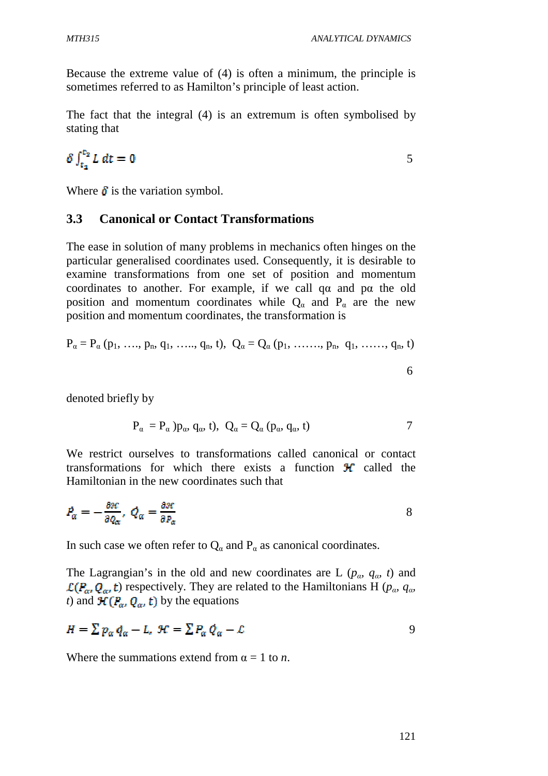Because the extreme value of (4) is often a minimum, the principle is sometimes referred to as Hamilton's principle of least action.

The fact that the integral (4) is an extremum is often symbolised by stating that

$$
\delta \int_{t_1}^{t_2} L \, dt = 0 \tag{5}
$$

Where  $\delta$  is the variation symbol.

## **3.3 Canonical or Contact Transformations**

The ease in solution of many problems in mechanics often hinges on the particular generalised coordinates used. Consequently, it is desirable to examine transformations from one set of position and momentum coordinates to another. For example, if we call qα and pα the old position and momentum coordinates while  $Q_{\alpha}$  and  $P_{\alpha}$  are the new position and momentum coordinates, the transformation is

$$
P_{\alpha} = P_{\alpha} (p_1, \, \ldots, \, p_n, \, q_1, \, \ldots, \, q_n, \, t), \, Q_{\alpha} = Q_{\alpha} (p_1, \, \ldots, \, p_n, \, q_1, \, \ldots, \, q_n, \, t)
$$

denoted briefly by

$$
P_{\alpha} = P_{\alpha} p_{\alpha}, q_{\alpha}, t), \ Q_{\alpha} = Q_{\alpha} (p_{\alpha}, q_{\alpha}, t)
$$

We restrict ourselves to transformations called canonical or contact transformations for which there exists a function  $\mathcal{H}$  called the Hamiltonian in the new coordinates such that

$$
P_{\alpha} = -\frac{\partial \mathcal{H}}{\partial Q_{\alpha}}, \ Q_{\alpha} = \frac{\partial \mathcal{H}}{\partial P_{\alpha}}
$$

In such case we often refer to  $Q_{\alpha}$  and  $P_{\alpha}$  as canonical coordinates.

The Lagrangian's in the old and new coordinates are L ( $p_{\alpha}$ ,  $q_{\alpha}$ , t) and  $\mathcal{L}(P_{\alpha}, Q_{\alpha}, t)$  respectively. They are related to the Hamiltonians H ( $p_{\alpha}, q_{\alpha}$ ) *t*) and  $\mathcal{H}(P_{\alpha}, Q_{\alpha}, t)$  by the equations

$$
H = \sum p_{\alpha} q_{\alpha} - L, \ \mathcal{H} = \sum P_{\alpha} Q_{\alpha} - L \tag{9}
$$

Where the summations extend from  $\alpha = 1$  to *n*.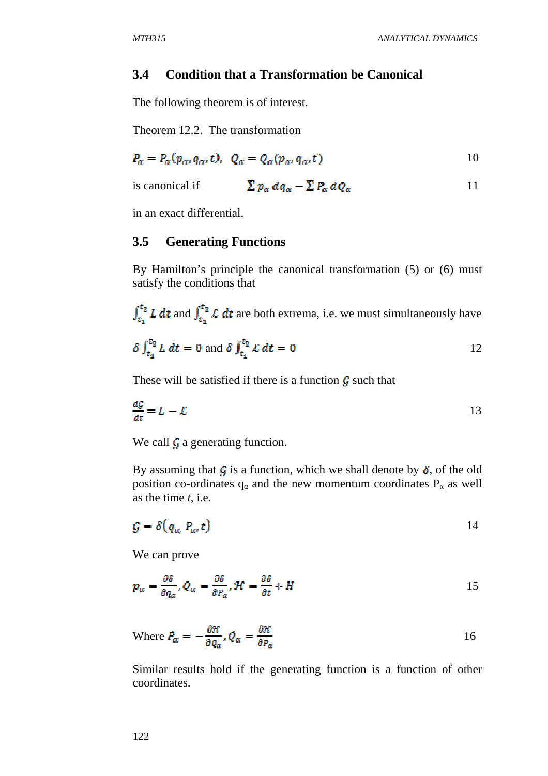## **3.4 Condition that a Transformation be Canonical**

The following theorem is of interest.

Theorem 12.2. The transformation

$$
P_{\alpha} = P_{\alpha}(p_{\alpha}, q_{\alpha}, t), \quad Q_{\alpha} = Q_{\alpha}(p_{\alpha}, q_{\alpha}, t) \tag{10}
$$

is canonical if 
$$
\sum p_{\alpha} dq_{\alpha} - \sum P_{\alpha} dQ_{\alpha}
$$
 11

in an exact differential.

#### **3.5 Generating Functions**

By Hamilton's principle the canonical transformation (5) or (6) must satisfy the conditions that

 $\int_{t_a}^{t_a} L dt$  and  $\int_{t_a}^{t_a} L dt$  are both extrema, i.e. we must simultaneously have

$$
\delta \int_{t_1}^{t_2} L \, dt = 0 \text{ and } \delta \int_{t_1}^{t_2} L \, dt = 0 \tag{12}
$$

These will be satisfied if there is a function  $\mathcal G$  such that

$$
\frac{dg}{dt} = L - \mathcal{L}
$$

We call  $\mathcal G$  a generating function.

By assuming that G is a function, which we shall denote by  $\delta$ , of the old position co-ordinates  $q_\alpha$  and the new momentum coordinates  $P_\alpha$  as well as the time *t*, i.e.

$$
G = \delta(q_{\alpha}, P_{\alpha}, t) \tag{14}
$$

We can prove

$$
p_{\alpha} = \frac{\partial \delta}{\partial q_{\alpha}}, Q_{\alpha} = \frac{\partial \delta}{\partial P_{\alpha}}, \mathcal{H} = \frac{\partial \delta}{\partial t} + H
$$

Where 
$$
P_{\alpha} = -\frac{\partial \mathcal{H}}{\partial q_{\alpha}}, Q_{\alpha} = \frac{\partial \mathcal{H}}{\partial P_{\alpha}}
$$
 16

Similar results hold if the generating function is a function of other coordinates.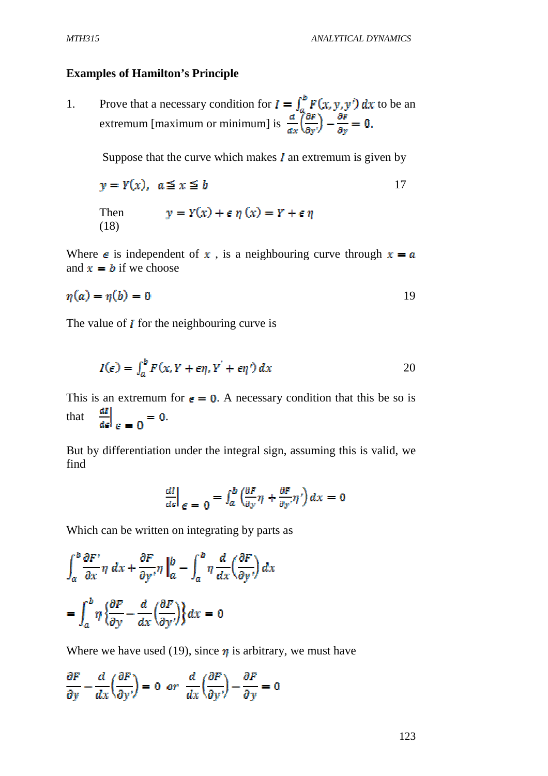#### **Examples of Hamilton's Principle**

1. Prove that a necessary condition for  $I = \int_{a}^{b} F(x, y, y') dx$  to be an extremum [maximum or minimum] is

Suppose that the curve which makes  $\boldsymbol{I}$  an extremum is given by

$$
y = Y(x), \quad a \le x \le b
$$
  
Then 
$$
y = Y(x) + \epsilon \eta(x) = Y + \epsilon \eta
$$
  
(18)

Where  $\epsilon$  is independent of x, is a neighbouring curve through  $x = a$ and  $x = b$  if we choose

$$
\eta(a) = \eta(b) = 0 \tag{19}
$$

The value of  $\boldsymbol{I}$  for the neighbouring curve is

$$
I(\epsilon) = \int_{a}^{b} F(x, Y + \epsilon \eta, Y' + \epsilon \eta') dx
$$

This is an extremum for  $\epsilon = 0$ . A necessary condition that this be so is that  $\left.\frac{dI}{d\epsilon}\right|_{\epsilon=0} = 0.$ 

But by differentiation under the integral sign, assuming this is valid, we find

$$
\left. \frac{dI}{d\epsilon} \right|_{\epsilon=0} = \int_{a}^{b} \left( \frac{\partial F}{\partial y} \eta + \frac{\partial F}{\partial y'} \eta' \right) dx = 0
$$

Which can be written on integrating by parts as

$$
\int_{a}^{b} \frac{\partial F'}{\partial x} \eta \, dx + \frac{\partial F}{\partial y'} \eta \Big|_{a}^{b} - \int_{a}^{b} \eta \, \frac{d}{dx} \Big( \frac{\partial F}{\partial y'} \Big) \, dx
$$

$$
= \int_{a}^{b} \eta \, \Big( \frac{\partial F}{\partial y} - \frac{d}{dx} \Big( \frac{\partial F}{\partial y'} \Big) \Big) dx = 0
$$

Where we have used (19), since  $\eta$  is arbitrary, we must have

$$
\frac{\partial F}{\partial y} - \frac{d}{dx} \left( \frac{\partial F}{\partial y'} \right) = 0 \quad \text{or} \quad \frac{d}{dx} \left( \frac{\partial F}{\partial y'} \right) - \frac{\partial F}{\partial y} = 0
$$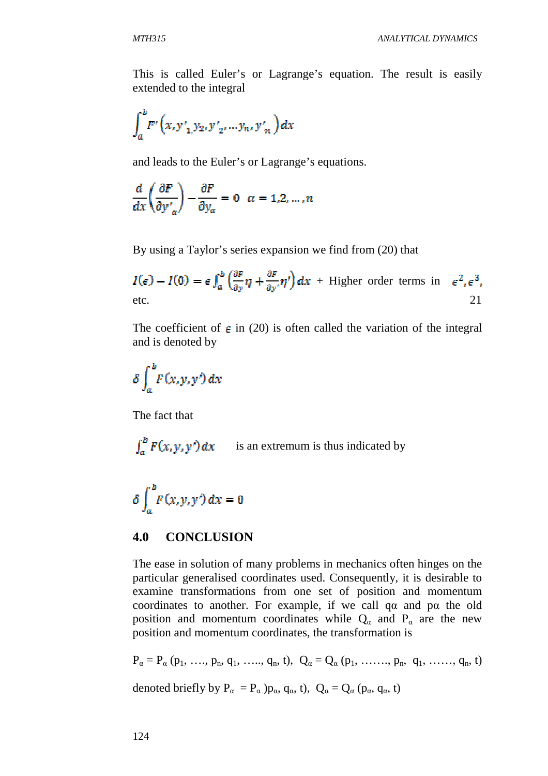This is called Euler's or Lagrange's equation. The result is easily extended to the integral

$$
\int_{a}^{b} F'\left(x, y'_{1,} y_{2}, y'_{2}, \ldots, y_{n}, y'_{n}\right) dx
$$

and leads to the Euler's or Lagrange's equations.

$$
\frac{d}{dx}\left(\frac{\partial F}{\partial y'_{\alpha}}\right) - \frac{\partial F}{\partial y_{\alpha}} = 0 \quad \alpha = 1, 2, ..., n
$$

By using a Taylor's series expansion we find from (20) that

$$
I(\epsilon) - I(0) = \epsilon \int_{a}^{b} \left(\frac{\partial F}{\partial y}\eta + \frac{\partial F}{\partial y'}\eta'\right) dx + \text{Higher order terms in } \epsilon^{2}, \epsilon^{3},
$$
etc.

The coefficient of  $\epsilon$  in (20) is often called the variation of the integral and is denoted by

$$
\delta\int_a^b F(x,y,y')\,dx
$$

The fact that

$$
\int_a^b F(x, y, y') dx
$$
 is an extremum is thus indicated by

$$
\delta \int_a^b F(x,y,y')\,dx = 0
$$

## **4.0 CONCLUSION**

The ease in solution of many problems in mechanics often hinges on the particular generalised coordinates used. Consequently, it is desirable to examine transformations from one set of position and momentum coordinates to another. For example, if we call qα and pα the old position and momentum coordinates while  $Q_{\alpha}$  and  $P_{\alpha}$  are the new position and momentum coordinates, the transformation is

 $P_{\alpha} = P_{\alpha} (p_1, \ldots, p_n, q_1, \ldots, q_n, t), Q_{\alpha} = Q_{\alpha} (p_1, \ldots, p_n, q_1, \ldots, q_n, t)$ 

denoted briefly by  $P_{\alpha} = P_{\alpha}$  ) $p_{\alpha}$ ,  $q_{\alpha}$ , t),  $Q_{\alpha} = Q_{\alpha}$  ( $p_{\alpha}$ ,  $q_{\alpha}$ , t)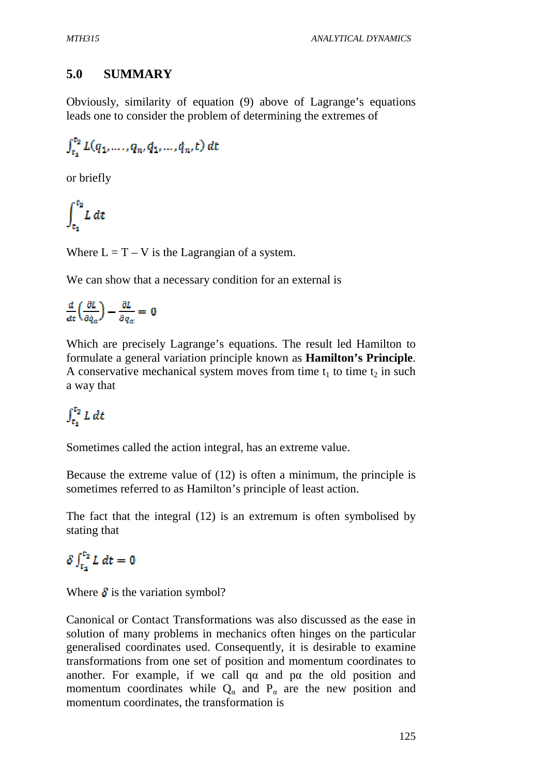# **5.0 SUMMARY**

Obviously, similarity of equation (9) above of Lagrange's equations leads one to consider the problem of determining the extremes of

$$
\int_{t_1}^{t_2} L(q_1,\ldots,q_n,\dot{q}_1,\ldots,\dot{q}_n,t) \, dt
$$

or briefly

$$
\int_{t_1}^{t_2} L \, dt
$$

Where  $L = T - V$  is the Lagrangian of a system.

We can show that a necessary condition for an external is

$$
\frac{d}{dt}\left(\frac{\partial L}{\partial \dot{q}_{\alpha}}\right) - \frac{\partial L}{\partial q_{\alpha}} = 0
$$

Which are precisely Lagrange's equations. The result led Hamilton to formulate a general variation principle known as **Hamilton's Principle**. A conservative mechanical system moves from time  $t_1$  to time  $t_2$  in such a way that

# $\int_{t_1}^{t_2} L dt$

Sometimes called the action integral, has an extreme value.

Because the extreme value of (12) is often a minimum, the principle is sometimes referred to as Hamilton's principle of least action.

The fact that the integral (12) is an extremum is often symbolised by stating that

# $\delta \int_{t_1}^{t_2} L \, dt = 0$

Where  $\delta$  is the variation symbol?

Canonical or Contact Transformations was also discussed as the ease in solution of many problems in mechanics often hinges on the particular generalised coordinates used. Consequently, it is desirable to examine transformations from one set of position and momentum coordinates to another. For example, if we call  $qa$  and  $pa$  the old position and momentum coordinates while  $Q_{\alpha}$  and  $P_{\alpha}$  are the new position and momentum coordinates, the transformation is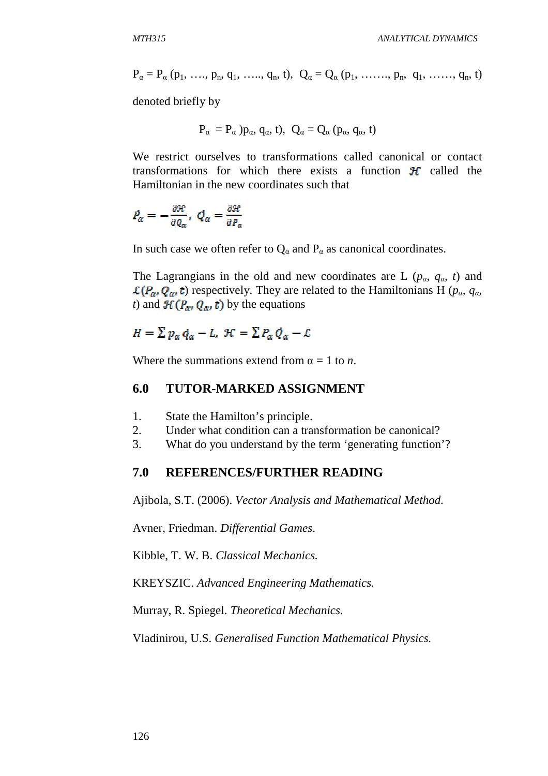$$
P_{\alpha}=P_{\alpha}\left(p_{1},\; \ldots, \; p_{n}, \, q_{1},\; \ldots, \; q_{n}, \, t\right), \;\; Q_{\alpha}=Q_{\alpha}\left(p_{1},\; \ldots \ldots, \; p_{n}, \; \; q_{1},\; \ldots \ldots, \; q_{n}, \, t\right)
$$

denoted briefly by

$$
P_{\alpha} = P_{\alpha} p_{\alpha}, q_{\alpha}, t, Q_{\alpha} = Q_{\alpha} (p_{\alpha}, q_{\alpha}, t)
$$

We restrict ourselves to transformations called canonical or contact transformations for which there exists a function  $\mathcal{H}$  called the Hamiltonian in the new coordinates such that

$$
P_{\alpha} = -\frac{\partial \mathcal{H}}{\partial Q_{\alpha}}, \ Q_{\alpha} = \frac{\partial \mathcal{H}}{\partial P_{\alpha}}
$$

In such case we often refer to  $Q_a$  and  $P_a$  as canonical coordinates.

The Lagrangians in the old and new coordinates are L ( $p_\alpha$ ,  $q_\alpha$ , *t*) and  $\mathcal{L}(P_{\alpha}, Q_{\alpha}, t)$  respectively. They are related to the Hamiltonians H ( $p_{\alpha}, q_{\alpha}$ ) *t*) and  $\mathcal{H}(P_{\alpha}, Q_{\alpha}, t)$  by the equations

$$
H = \sum p_{\alpha} \dot{q}_{\alpha} - L, \mathcal{H} = \sum P_{\alpha} Q_{\alpha} - L
$$

Where the summations extend from  $\alpha = 1$  to *n*.

#### **6.0 TUTOR-MARKED ASSIGNMENT**

- 1. State the Hamilton's principle.
- 2. Under what condition can a transformation be canonical?
- 3. What do you understand by the term 'generating function'?

## **7.0 REFERENCES/FURTHER READING**

Ajibola, S.T. (2006). *Vector Analysis and Mathematical Method.* 

Avner, Friedman. *Differential Games*.

Kibble, T. W. B. *Classical Mechanics.* 

KREYSZIC. *Advanced Engineering Mathematics.* 

Murray, R. Spiegel. *Theoretical Mechanics.*

Vladinirou, U.S. *Generalised Function Mathematical Physics.*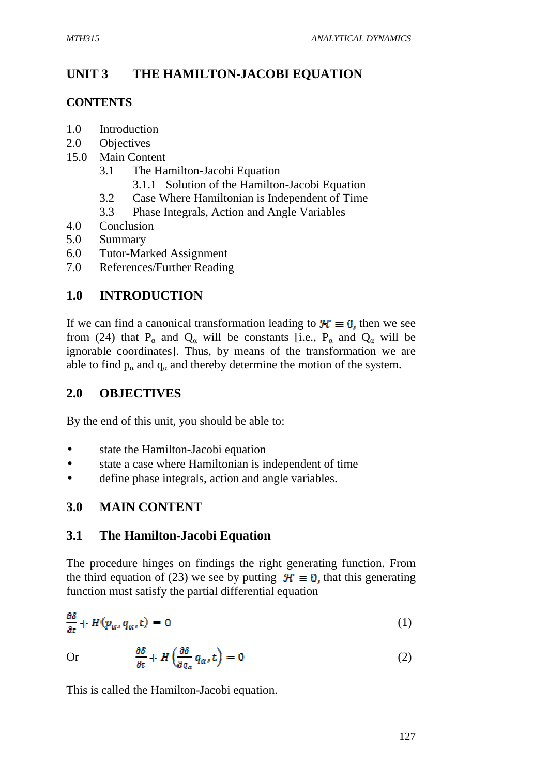# **UNIT 3 THE HAMILTON-JACOBI EQUATION**

# **CONTENTS**

- 1.0 Introduction
- 2.0 Objectives
- 15.0 Main Content
	- 3.1 The Hamilton-Jacobi Equation
		- 3.1.1 Solution of the Hamilton-Jacobi Equation
	- 3.2 Case Where Hamiltonian is Independent of Time
	- 3.3 Phase Integrals, Action and Angle Variables
- 4.0 Conclusion
- 5.0 Summary
- 6.0 Tutor-Marked Assignment
- 7.0 References/Further Reading

# **1.0 INTRODUCTION**

If we can find a canonical transformation leading to  $\mathcal{H} \equiv 0$ , then we see from (24) that P<sub>a</sub> and Q<sub>a</sub> will be constants [i.e., P<sub>a</sub> and Q<sub>a</sub> will be ignorable coordinates]. Thus, by means of the transformation we are able to find  $p_{\alpha}$  and  $q_{\alpha}$  and thereby determine the motion of the system.

# **2.0 OBJECTIVES**

By the end of this unit, you should be able to:

- state the Hamilton-Jacobi equation
- state a case where Hamiltonian is independent of time
- define phase integrals, action and angle variables.

# **3.0 MAIN CONTENT**

# **3.1 The Hamilton-Jacobi Equation**

The procedure hinges on findings the right generating function. From the third equation of (23) we see by putting  $\mathcal{H} \equiv 0$ , that this generating function must satisfy the partial differential equation

$$
\frac{\partial \delta}{\partial t} + H(p_{\alpha}, q_{\alpha}, t) = 0 \tag{1}
$$

Or 
$$
\frac{\partial \delta}{\partial t} + H\left(\frac{\partial \delta}{\partial q_{\alpha}} q_{\alpha}, t\right) = 0
$$
 (2)

This is called the Hamilton-Jacobi equation.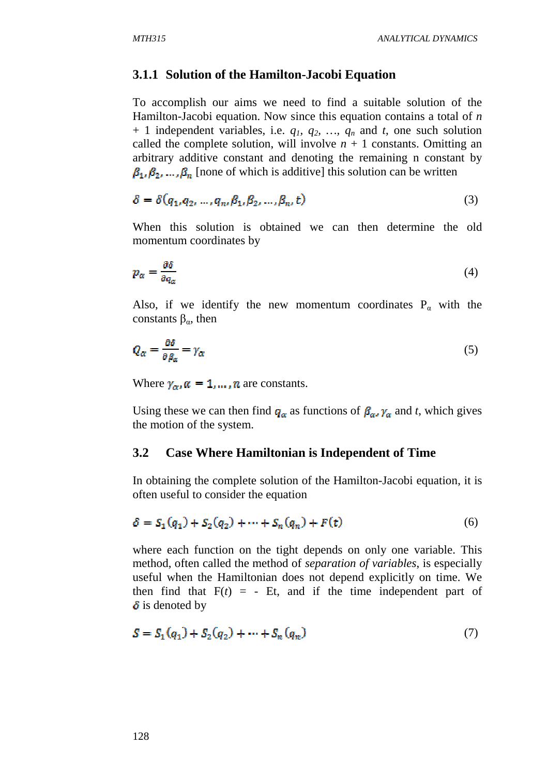## **3.1.1 Solution of the Hamilton-Jacobi Equation**

To accomplish our aims we need to find a suitable solution of the Hamilton-Jacobi equation. Now since this equation contains a total of *n* + 1 independent variables, i.e.  $q_1$ ,  $q_2$ , ...,  $q_n$  and  $t$ , one such solution called the complete solution, will involve  $n + 1$  constants. Omitting an arbitrary additive constant and denoting the remaining n constant by  $\beta_1, \beta_2, ..., \beta_n$  [none of which is additive] this solution can be written

$$
\delta = \delta(q_1, q_2, ..., q_n, \beta_1, \beta_2, ..., \beta_n, t)
$$
\n(3)

When this solution is obtained we can then determine the old momentum coordinates by

$$
p_{\alpha} = \frac{\partial \delta}{\partial q_{\alpha}} \tag{4}
$$

Also, if we identify the new momentum coordinates  $P_{\alpha}$  with the constants  $β<sub>α</sub>$ , then

$$
Q_{\alpha} = \frac{\partial \delta}{\partial \beta_{\alpha}} = \gamma_{\alpha} \tag{5}
$$

Where  $\gamma_{\alpha}$ ,  $\alpha = 1, \dots, n$  are constants.

Using these we can then find  $q_a$  as functions of  $\beta_a$ ,  $\gamma_a$  and *t*, which gives the motion of the system.

#### **3.2 Case Where Hamiltonian is Independent of Time**

In obtaining the complete solution of the Hamilton-Jacobi equation, it is often useful to consider the equation

$$
\delta = S_1(q_1) + S_2(q_2) + \dots + S_n(q_n) + F(t)
$$
\n(6)

where each function on the tight depends on only one variable. This method, often called the method of *separation of variables*, is especially useful when the Hamiltonian does not depend explicitly on time. We then find that  $F(t) = -Et$ , and if the time independent part of  $\delta$  is denoted by

$$
S = S_1(q_1) + S_2(q_2) + \dots + S_n(q_n)
$$
\n(7)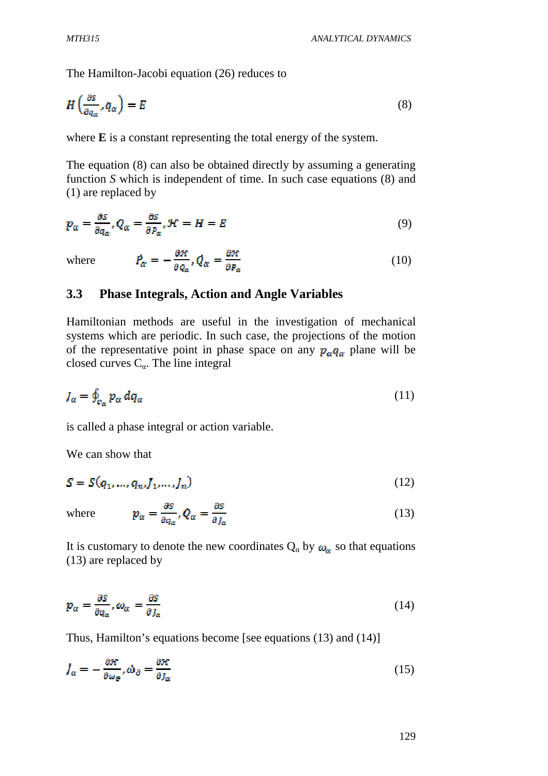The Hamilton-Jacobi equation (26) reduces to

$$
H\left(\frac{\partial S}{\partial q_{\alpha}}, q_{\alpha}\right) = E\tag{8}
$$

where **E** is a constant representing the total energy of the system.

The equation (8) can also be obtained directly by assuming a generating function *S* which is independent of time. In such case equations (8) and (1) are replaced by

$$
p_{\alpha} = \frac{\partial S}{\partial q_{\alpha}}, Q_{\alpha} = \frac{\partial S}{\partial P_{\alpha}}, \mathcal{H} = H = E \tag{9}
$$

where 
$$
\vec{P}_{\alpha} = -\frac{\partial \mathcal{H}}{\partial q_{\alpha}}, \vec{Q}_{\alpha} = \frac{\partial \mathcal{H}}{\partial P_{\alpha}}
$$
 (10)

## **3.3 Phase Integrals, Action and Angle Variables**

Hamiltonian methods are useful in the investigation of mechanical systems which are periodic. In such case, the projections of the motion of the representative point in phase space on any  $p_{\alpha}q_{\alpha}$  plane will be closed curves  $C_{\alpha}$ . The line integral

$$
J_{\alpha} = \oint_{c_{\alpha}} p_{\alpha} dq_{\alpha} \tag{11}
$$

is called a phase integral or action variable.

We can show that

$$
S = S(q_1, ..., q_n, J_1, ..., J_n)
$$
 (12)

where 
$$
p_{\alpha} = \frac{\partial s}{\partial q_{\alpha}}, Q_{\alpha} = \frac{\partial s}{\partial J_{\alpha}}
$$
 (13)

It is customary to denote the new coordinates  $Q_{\alpha}$  by  $\omega_{\alpha}$  so that equations (13) are replaced by

$$
\mathbf{p}_{\alpha} = \frac{\partial S}{\partial q_{\alpha}}, \omega_{\alpha} = \frac{\partial S}{\partial J_{\alpha}}
$$
 (14)

Thus, Hamilton's equations become [see equations (13) and (14)]

$$
J_{\alpha} = -\frac{\partial \mathcal{H}}{\partial \omega_{\partial}}, \dot{\omega}_{\partial} = \frac{\partial \mathcal{H}}{\partial J_{\alpha}}
$$
(15)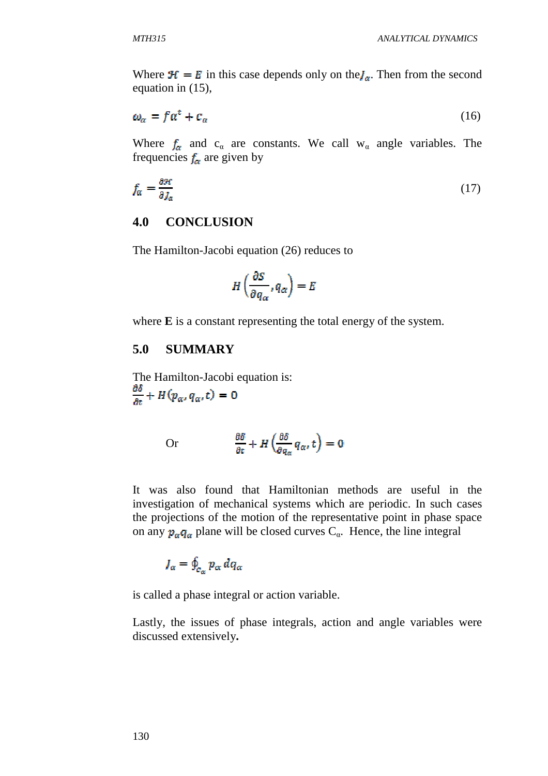Where  $\mathcal{H} = E$  in this case depends only on the  $J_{\alpha}$ . Then from the second equation in (15),

$$
\omega_{\alpha} = f a^t + c_{\alpha} \tag{16}
$$

Where  $f_{\alpha}$  and  $c_{\alpha}$  are constants. We call w<sub>a</sub> angle variables. The frequencies  $f_{\alpha}$  are given by

$$
f_{\alpha} = \frac{\partial \mathcal{H}}{\partial J_{\alpha}} \tag{17}
$$

## **4.0 CONCLUSION**

The Hamilton-Jacobi equation (26) reduces to

$$
H\left(\frac{\partial S}{\partial q_{\alpha}}, q_{\alpha}\right) = E
$$

where **E** is a constant representing the total energy of the system.

## **5.0 SUMMARY**

The Hamilton-Jacobi equation is:  $\frac{\partial \delta}{\partial t} + H(p_\alpha, q_\alpha, t) = 0$ 

Or 
$$
\frac{\partial \delta}{\partial t} + H\left(\frac{\partial \delta}{\partial q_{\alpha}} q_{\alpha}, t\right) = 0
$$

It was also found that Hamiltonian methods are useful in the investigation of mechanical systems which are periodic. In such cases the projections of the motion of the representative point in phase space on any  $p_{\alpha}q_{\alpha}$  plane will be closed curves  $C_{\alpha}$ . Hence, the line integral

$$
J_{\alpha} = \oint_{c_{\alpha}} p_{\alpha} dq_{\alpha}
$$

is called a phase integral or action variable.

Lastly, the issues of phase integrals, action and angle variables were discussed extensively**.**